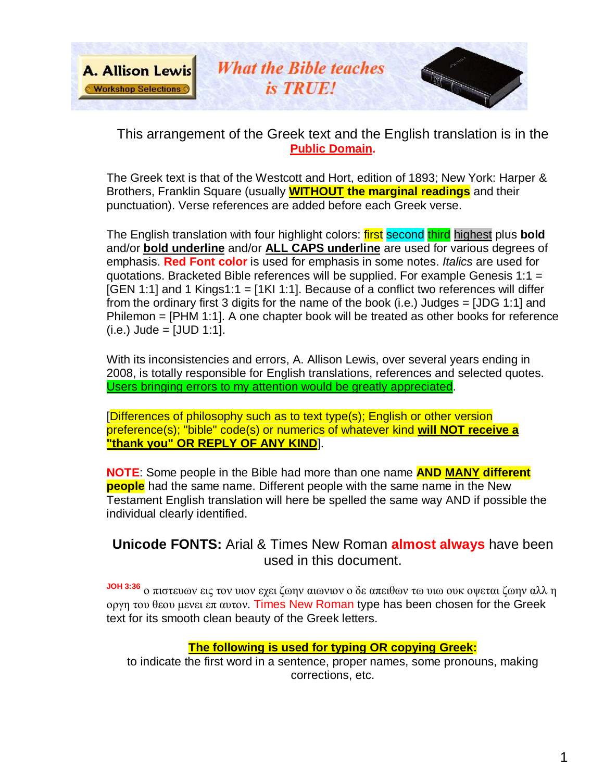

This arrangement of the Greek text and the English translation is in the **Public Domain.**

The Greek text is that of the Westcott and Hort, edition of 1893; New York: Harper & Brothers, Franklin Square (usually **WITHOUT the marginal readings** and their punctuation). Verse references are added before each Greek verse.

The English translation with four highlight colors: first second third highest plus **bold** and/or **bold underline** and/or **ALL CAPS underline** are used for various degrees of emphasis. **Red Font color** is used for emphasis in some notes. *Italics* are used for quotations. Bracketed Bible references will be supplied. For example Genesis 1:1 =  $[GEN 1:1]$  and 1 Kings1:1 =  $[1K1 1:1]$ . Because of a conflict two references will differ from the ordinary first 3 digits for the name of the book (i.e.) Judges = [JDG 1:1] and Philemon = [PHM 1:1]. A one chapter book will be treated as other books for reference  $(i.e.)$  Jude =  $[JUD 1:1]$ .

With its inconsistencies and errors, A. Allison Lewis, over several years ending in 2008, is totally responsible for English translations, references and selected quotes. Users bringing errors to my attention would be greatly appreciated.

[Differences of philosophy such as to text type(s); English or other version preference(s); "bible" code(s) or numerics of whatever kind **will NOT receive a "thank you" OR REPLY OF ANY KIND**].

**NOTE**: Some people in the Bible had more than one name **AND MANY different people** had the same name. Different people with the same name in the New Testament English translation will here be spelled the same way AND if possible the individual clearly identified.

#### **Unicode FONTS:** Arial & Times New Roman **almost always** have been used in this document.

**JOH 3:36** ο πιστευων εις τον υιον εχει ζωην αιωνιον ο δε απειθων τω υιω ουκ οψεται ζωην αλλ η οργη του θεου μενει επ αυτον. Times New Roman type has been chosen for the Greek text for its smooth clean beauty of the Greek letters.

#### **The following is used for typing OR copying Greek:**

to indicate the first word in a sentence, proper names, some pronouns, making corrections, etc.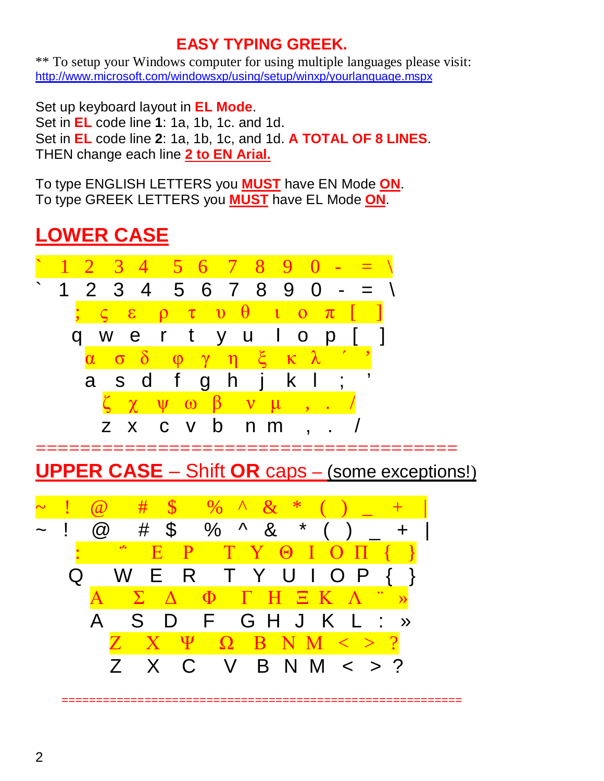### **EASY TYPING GREEK.**

\*\* To setup your Windows computer for using multiple languages please visit: <http://www.microsoft.com/windowsxp/using/setup/winxp/yourlanguage.mspx>

Set up keyboard layout in **EL Mode**. Set in **EL** code line **1**: 1a, 1b, 1c. and 1d. Set in **EL** code line **2**: 1a, 1b, 1c, and 1d. **A TOTAL OF 8 LINES**. THEN change each line **2 to EN Arial.**

To type ENGLISH LETTERS you **MUST** have EN Mode **ON**. To type GREEK LETTERS you **MUST** have EL Mode **ON**.

## **LOWER CASE**



**UPPER CASE** – Shift **OR** caps – (some exceptions!)

==========================================================

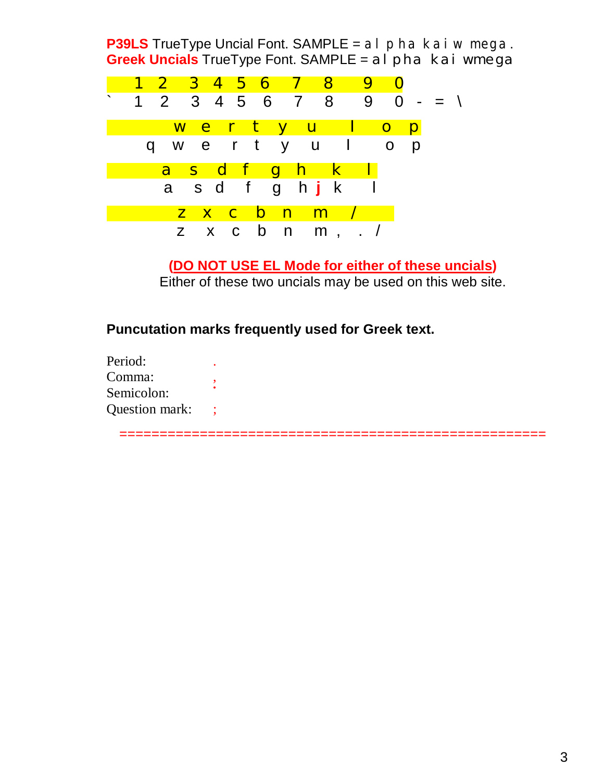**P39LS** TrueType Uncial Font. SAMPLE = al pha kai wmega. **Greek Uncials** TrueType Font. SAMPLE = al pha kai wmega



**(DO NOT USE EL Mode for either of these uncials)** Either of these two uncials may be used on this web site.

**Puncutation marks frequently used for Greek text.**

| Period:        |  |
|----------------|--|
| Comma:         |  |
| Semicolon:     |  |
| Question mark: |  |

=====================================================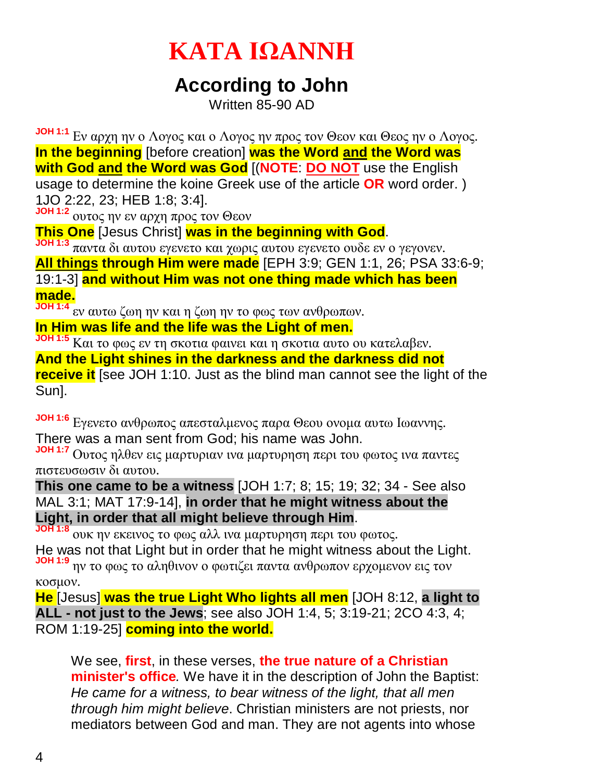# **KATA ΙΩANNΗ**

## **According to John**

Written 85-90 AD

**JOH 1:1** Εν αρχη ην ο Λογος και ο Λογος ην προς τον Θεον και Θεος ην ο Λογος. **In the beginning** [before creation] **was the Word and the Word was with God and the Word was God** [(**NOTE**: **DO NOT** use the English usage to determine the koine Greek use of the article **OR** word order. ) 1JO 2:22, 23; HEB 1:8; 3:4].

**JOH 1:2** ουτος ην εν αρχη προς τον Θεον

**This One** [Jesus Christ] **was in the beginning with God**.

**JOH 1:3** παντα δι αυτου εγενετο και χωρις αυτου εγενετο ουδε εν ο γεγονεν.

**All things through Him were made** [EPH 3:9; GEN 1:1, 26; PSA 33:6-9;

19:1-3] **and without Him was not one thing made which has been made.**

**JOH 1:4** εν αυτω ζωη ην και η ζωη ην το φως των ανθρωπων.

**In Him was life and the life was the Light of men.**

**JOH 1:5** Και το φως εν τη σκοτια φαινει και η σκοτια αυτο ου κατελαβεν.

**And the Light shines in the darkness and the darkness did not receive it** [see JOH 1:10. Just as the blind man cannot see the light of the Sun].

**JOH 1:6** Εγενετο ανθρωπος απεσταλμενος παρα Θεου ονομα αυτω Ιωαννης. There was a man sent from God; his name was John.

**JOH 1:7** Ουτος ηλθεν εις μαρτυριαν ινα μαρτυρηση περι του φωτος ινα παντες πιστευσωσιν δι αυτου.

**This one came to be a witness** [JOH 1:7; 8; 15; 19; 32; 34 - See also MAL 3:1; MAT 17:9-14], **in order that he might witness about the Light, in order that all might believe through Him**.

**JOH 1:8** ουκ ην εκεινος το φως αλλ ινα μαρτυρηση περι του φωτος. He was not that Light but in order that he might witness about the Light. **JOH 1:9** ην το φως το αληθινον ο φωτιζει παντα ανθρωπον ερχομενον εις τον

κοσμον.

**He** [Jesus] **was the true Light Who lights all men** [JOH 8:12, **a light to ALL - not just to the Jews**; see also JOH 1:4, 5; 3:19-21; 2CO 4:3, 4; ROM 1:19-25] **coming into the world.**

We see, **first**, in these verses, **the true nature of a Christian minister's office***.* We have it in the description of John the Baptist: *He came for a witness, to bear witness of the light, that all men through him might believe*. Christian ministers are not priests, nor mediators between God and man. They are not agents into whose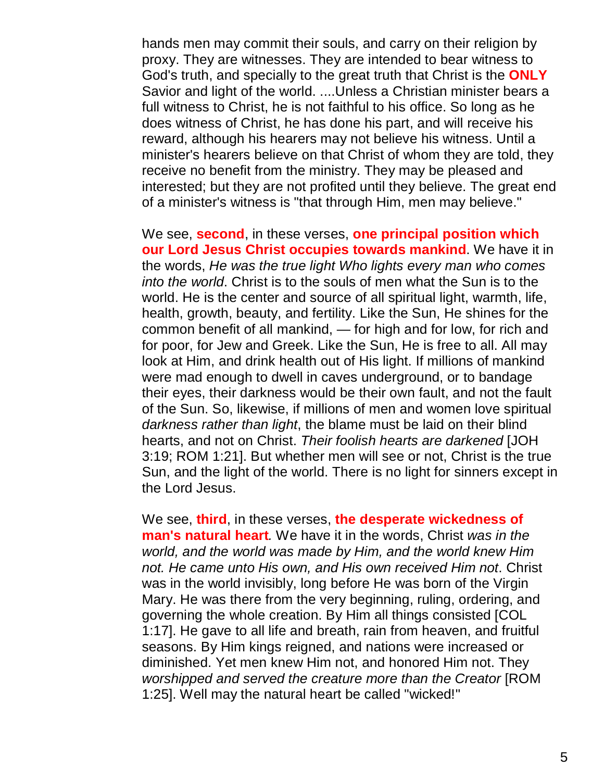hands men may commit their souls, and carry on their religion by proxy. They are witnesses. They are intended to bear witness to God's truth, and specially to the great truth that Christ is the **ONLY** Savior and light of the world. ....Unless a Christian minister bears a full witness to Christ, he is not faithful to his office. So long as he does witness of Christ, he has done his part, and will receive his reward, although his hearers may not believe his witness. Until a minister's hearers believe on that Christ of whom they are told, they receive no benefit from the ministry. They may be pleased and interested; but they are not profited until they believe. The great end of a minister's witness is "that through Him, men may believe."

We see, **second**, in these verses, **one principal position which our Lord Jesus Christ occupies towards mankind**. We have it in the words, *He was the true light Who lights every man who comes into the world*. Christ is to the souls of men what the Sun is to the world. He is the center and source of all spiritual light, warmth, life, health, growth, beauty, and fertility. Like the Sun, He shines for the common benefit of all mankind, — for high and for low, for rich and for poor, for Jew and Greek. Like the Sun, He is free to all. All may look at Him, and drink health out of His light. If millions of mankind were mad enough to dwell in caves underground, or to bandage their eyes, their darkness would be their own fault, and not the fault of the Sun. So, likewise, if millions of men and women love spiritual *darkness rather than light*, the blame must be laid on their blind hearts, and not on Christ. *Their foolish hearts are darkened* [JOH 3:19; ROM 1:21]. But whether men will see or not, Christ is the true Sun, and the light of the world. There is no light for sinners except in the Lord Jesus.

We see, **third**, in these verses, **the desperate wickedness of man's natural heart***.* We have it in the words, Christ *was in the world, and the world was made by Him, and the world knew Him not. He came unto His own, and His own received Him not*. Christ was in the world invisibly, long before He was born of the Virgin Mary. He was there from the very beginning, ruling, ordering, and governing the whole creation. By Him all things consisted [COL 1:17]. He gave to all life and breath, rain from heaven, and fruitful seasons. By Him kings reigned, and nations were increased or diminished. Yet men knew Him not, and honored Him not. They *worshipped and served the creature more than the Creator* [ROM 1:25]. Well may the natural heart be called "wicked!"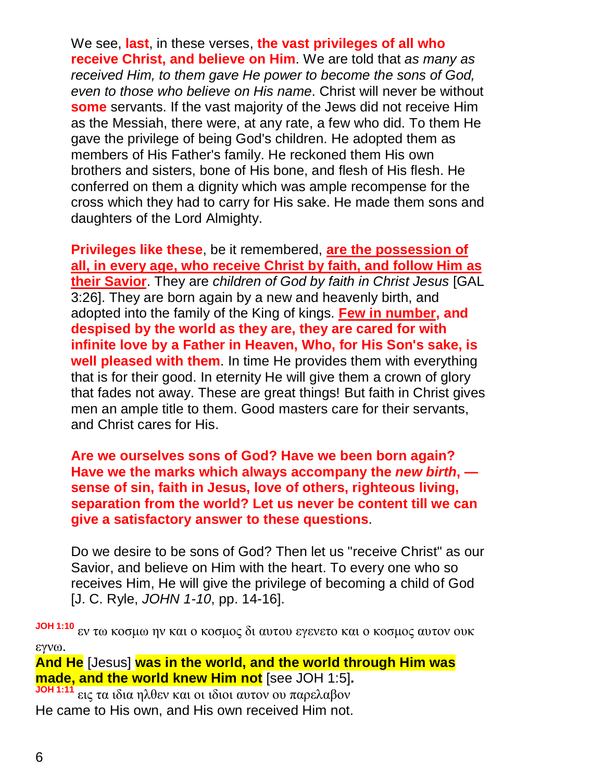We see, **last**, in these verses, **the vast privileges of all who receive Christ, and believe on Him**. We are told that *as many as received Him, to them gave He power to become the sons of God, even to those who believe on His name*. Christ will never be without **some** servants. If the vast majority of the Jews did not receive Him as the Messiah, there were, at any rate, a few who did. To them He gave the privilege of being God's children. He adopted them as members of His Father's family. He reckoned them His own brothers and sisters, bone of His bone, and flesh of His flesh. He conferred on them a dignity which was ample recompense for the cross which they had to carry for His sake. He made them sons and daughters of the Lord Almighty.

**Privileges like these**, be it remembered, **are the possession of all, in every age, who receive Christ by faith, and follow Him as their Savior**. They are *children of God by faith in Christ Jesus* [GAL 3:26]. They are born again by a new and heavenly birth, and adopted into the family of the King of kings. **Few in number, and despised by the world as they are, they are cared for with infinite love by a Father in Heaven, Who, for His Son's sake, is well pleased with them**. In time He provides them with everything that is for their good. In eternity He will give them a crown of glory that fades not away. These are great things! But faith in Christ gives men an ample title to them. Good masters care for their servants, and Christ cares for His.

**Are we ourselves sons of God? Have we been born again? Have we the marks which always accompany the** *new birth***, sense of sin, faith in Jesus, love of others, righteous living, separation from the world? Let us never be content till we can give a satisfactory answer to these questions**.

Do we desire to be sons of God? Then let us "receive Christ" as our Savior, and believe on Him with the heart. To every one who so receives Him, He will give the privilege of becoming a child of God [J. C. Ryle, *JOHN 1-10*, pp. 14-16].

**JOH 1:10** εν τω κοσμω ην και ο κοσμος δι αυτου εγενετο και ο κοσμος αυτον ουκ εγνω.

**And He** [Jesus] **was in the world, and the world through Him was made, and the world knew Him not** [see JOH 1:5]**.**

**JOH 1:11** εις τα ιδια ηλθεν και οι ιδιοι αυτον ου παρελαβον He came to His own, and His own received Him not.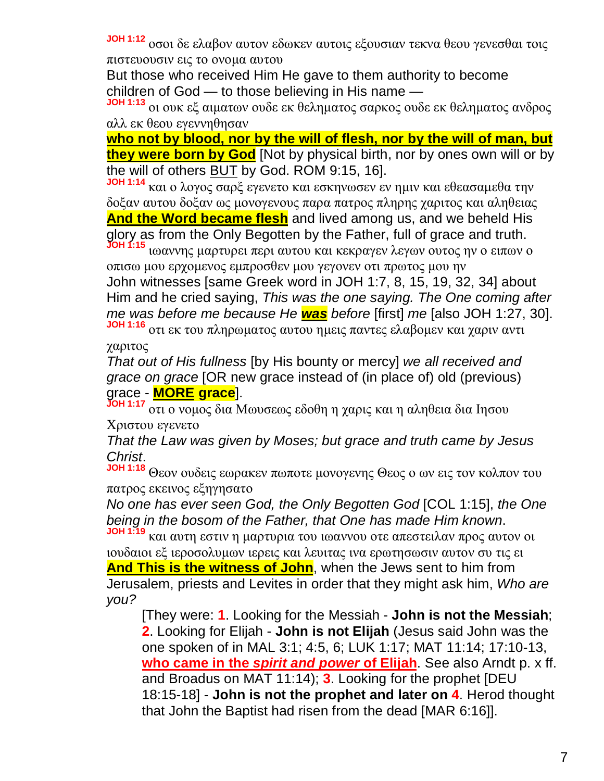**JOH 1:12** οσοι δε ελαβον αυτον εδωκεν αυτοις εξουσιαν τεκνα θεου γενεσθαι τοις πιστευουσιν εις το ονομα αυτου

But those who received Him He gave to them authority to become children of God — to those believing in His name —

οι ουκ εξ αιματων ουδε εκ θεληματος σαρκος ουδε εκ θεληματος ανδρος αλλ εκ θεου εγεννηθησαν

**who not by blood, nor by the will of flesh, nor by the will of man, but they were born by God** [Not by physical birth, nor by ones own will or by the will of others BUT by God. ROM 9:15, 16].

**JOH 1:14** και ο λογος σαρξ εγενετο και εσκηνωσεν εν ημιν και εθεασαμεθα την δοξαν αυτου δοξαν ως μονογενους παρα πατρος πληρης χαριτος και αληθειας **And the Word became flesh** and lived among us, and we beheld His glory as from the Only Begotten by the Father, full of grace and truth.

**JOH 1:15** ιωαννης μαρτυρει περι αυτου και κεκραγεν λεγων ουτος ην ο ειπων ο οπισω μου ερχομενος εμπροσθεν μου γεγονεν οτι πρωτος μου ην John witnesses [same Greek word in JOH 1:7, 8, 15, 19, 32, 34] about Him and he cried saying, *This was the one saying. The One coming after me was before me because He was before* [first] *me* [also JOH 1:27, 30].

**JOH 1:16** οτι εκ του πληρωματος αυτου ημεις παντες ελαβομεν και χαριν αντι χαριτος

*That out of His fullness* [by His bounty or mercy] *we all received and grace on grace* [OR new grace instead of (in place of) old (previous) grace - **MORE grace**].

**JOH 1:17** οτι ο νομος δια Μωυσεως εδοθη η χαρις και η αληθεια δια Ιησου Xριστου εγενετο

*That the Law was given by Moses; but grace and truth came by Jesus Christ*.

**JOH 1:18** Θεον ουδεις εωρακεν πωποτε μονογενης Θεος ο ων εις τον κολπον του πατρος εκεινος εξηγησατο

*No one has ever seen God, the Only Begotten God* [COL 1:15], *the One being in the bosom of the Father, that One has made Him known*.

**JOH 1:19** και αυτη εστιν η μαρτυρια του ιωαννου οτε απεστειλαν προς αυτον οι ιουδαιοι εξ ιεροσολυμων ιερεις και λευιτας ινα ερωτησωσιν αυτον συ τις ει **And This is the witness of John**, when the Jews sent to him from Jerusalem, priests and Levites in order that they might ask him, *Who are you?*

[They were: **1**. Looking for the Messiah - **John is not the Messiah**; **2**. Looking for Elijah - **John is not Elijah** (Jesus said John was the one spoken of in MAL 3:1; 4:5, 6; LUK 1:17; MAT 11:14; 17:10-13, **who came in the** *spirit and power* **of Elijah**. See also Arndt p. x ff. and Broadus on MAT 11:14); **3**. Looking for the prophet [DEU 18:15-18] - **John is not the prophet and later on 4**. Herod thought that John the Baptist had risen from the dead [MAR 6:16]].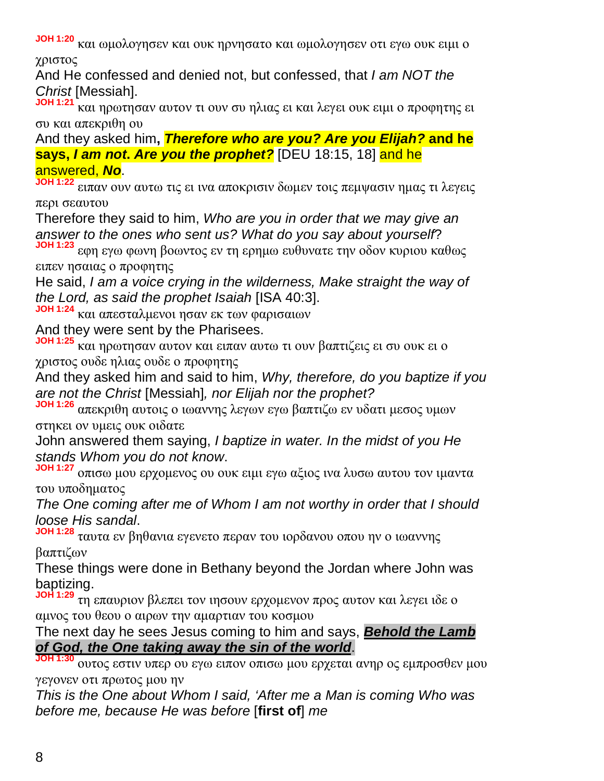**JOH 1:20** και ωμολογησεν και ουκ ηρνησατο και ωμολογησεν οτι εγω ουκ ειμι ο χριστος

And He confessed and denied not, but confessed, that *I am NOT the Christ* [Messiah].

**JOH 1:21** και ηρωτησαν αυτον τι ουν συ ηλιας ει και λεγει ουκ ειμι ο προφητης ει συ και απεκριθη ου

And they asked him**,** *Therefore who are you? Are you Elijah?* **and he says,** *I am not***.** *Are you the prophet?* [DEU 18:15, 18] and he answered, *No*.

**JOH 1:22** ειπαν ουν αυτω τις ει ινα αποκρισιν δωμεν τοις πεμψασιν ημας τι λεγεις περι σεαυτου

Therefore they said to him, *Who are you in order that we may give an answer to the ones who sent us? What do you say about yourself*?

**JOH 1:23** εφη εγω φωνη βοωντος εν τη ερημω ευθυνατε την οδον κυριου καθως ειπεν ησαιας ο προφητης

He said, *I am a voice crying in the wilderness, Make straight the way of the Lord, as said the prophet Isaiah* [ISA 40:3].

**JOH 1:24** και απεσταλμενοι ησαν εκ των φαρισαιων

And they were sent by the Pharisees.

**JOH 1:25** και ηρωτησαν αυτον και ειπαν αυτω τι ουν βαπτιζεις ει συ ουκ ει ο χριστος ουδε ηλιας ουδε ο προφητης

And they asked him and said to him, *Why, therefore, do you baptize if you are not the Christ* [Messiah]*, nor Elijah nor the prophet?*

**JOH 1:26** απεκριθη αυτοις ο ιωαννης λεγων εγω βαπτιζω εν υδατι μεσος υμων στηκει ον υμεις ουκ οιδατε

John answered them saying, *I baptize in water. In the midst of you He stands Whom you do not know*.

**JOH 1:27** οπισω μου ερχομενος ου ουκ ειμι εγω αξιος ινα λυσω αυτου τον ιμαντα του υποδηματος

*The One coming after me of Whom I am not worthy in order that I should loose His sandal*.

**JOH 1:28** ταυτα εν βηθανια εγενετο περαν του ιορδανου οπου ην ο ιωαννης βαπτιζων

These things were done in Bethany beyond the Jordan where John was baptizing.

**JOH 1:29** τη επαυριον βλεπει τον ιησουν ερχομενον προς αυτον και λεγει ιδε ο αμνος του θεου ο αιρων την αμαρτιαν του κοσμου

The next day he sees Jesus coming to him and says, *Behold the Lamb of God, the One taking away the sin of the world*.

**JOH 1:30** ουτος εστιν υπερ ου εγω ειπον οπισω μου ερχεται ανηρ ος εμπροσθεν μου γεγονεν οτι πρωτος μου ην

*This is the One about Whom I said, 'After me a Man is coming Who was before me, because He was before* [**first of**] *me*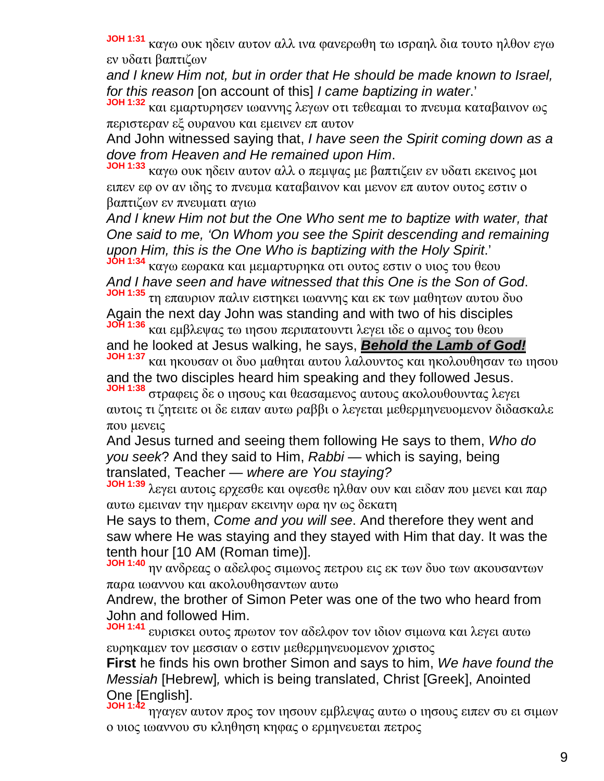**JOH 1:31** καγω ουκ ηδειν αυτον αλλ ινα φανερωθη τω ισραηλ δια τουτο ηλθον εγω εν υδατι βαπτιζων

*and I knew Him not, but in order that He should be made known to Israel, for this reason* [on account of this] *I came baptizing in water*.'

**JOH 1:32** και εμαρτυρησεν ιωαννης λεγων οτι τεθεαμαι το πνευμα καταβαινον ως περιστεραν εξ ουρανου και εμεινεν επ αυτον

And John witnessed saying that, *I have seen the Spirit coming down as a dove from Heaven and He remained upon Him*.

**JOH 1:33** καγω ουκ ηδειν αυτον αλλ ο πεμψας με βαπτιζειν εν υδατι εκεινος μοι ειπεν εφ ον αν ιδης το πνευμα καταβαινον και μενον επ αυτον ουτος εστιν ο βαπτιζων εν πνευματι αγιω

*And I knew Him not but the One Who sent me to baptize with water, that One said to me, 'On Whom you see the Spirit descending and remaining upon Him, this is the One Who is baptizing with the Holy Spirit*.'

**JOH 1:34** καγω εωρακα και μεμαρτυρηκα οτι ουτος εστιν ο υιος του θεου *And I have seen and have witnessed that this One is the Son of God*.

**JOH 1:35** τη επαυριον παλιν ειστηκει ιωαννης και εκ των μαθητων αυτου δυο Again the next day John was standing and with two of his disciples **JOH 1:36** και εμβλεψας τω ιησου περιπατουντι λεγει ιδε ο αμνος του θεου

and he looked at Jesus walking, he says, *Behold the Lamb of God!*

**JOH 1:37** και ηκουσαν οι δυο μαθηται αυτου λαλουντος και ηκολουθησαν τω ιησου and the two disciples heard him speaking and they followed Jesus.

**JOH 1:38** στραφεις δε ο ιησους και θεασαμενος αυτους ακολουθουντας λεγει αυτοις τι ζητειτε οι δε ειπαν αυτω ραββι ο λεγεται μεθερμηνευομενον διδασκαλε που μενεις

And Jesus turned and seeing them following He says to them, *Who do you seek*? And they said to Him, *Rabbi* — which is saying, being translated, Teacher — *where are You staying?*

**JOH 1:39** λεγει αυτοις ερχεσθε και οψεσθε ηλθαν ουν και ειδαν που μενει και παρ αυτω εμειναν την ημεραν εκεινην ωρα ην ως δεκατη

He says to them, *Come and you will see*. And therefore they went and saw where He was staying and they stayed with Him that day. It was the tenth hour [10 AM (Roman time)].

**JOH 1:40** ην ανδρεας ο αδελφος σιμωνος πετρου εις εκ των δυο των ακουσαντων παρα ιωαννου και ακολουθησαντων αυτω

Andrew, the brother of Simon Peter was one of the two who heard from John and followed Him.

**JOH 1:41** ευρισκει ουτος πρωτον τον αδελφον τον ιδιον σιμωνα και λεγει αυτω ευρηκαμεν τον μεσσιαν ο εστιν μεθερμηνευομενον χριστος

**First** he finds his own brother Simon and says to him, *We have found the Messiah* [Hebrew]*,* which is being translated, Christ [Greek], Anointed One [English].

**JOH 1:42** ηγαγεν αυτον προς τον ιησουν εμβλεψας αυτω ο ιησους ειπεν συ ει σιμων ο υιος ιωαννου συ κληθηση κηφας ο ερμηνευεται πετρος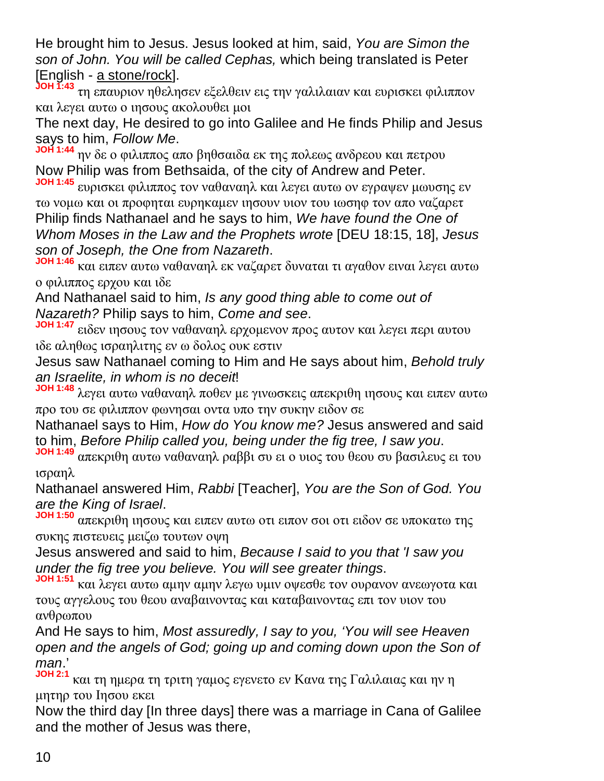He brought him to Jesus. Jesus looked at him, said, *You are Simon the son of John. You will be called Cephas,* which being translated is Peter [English - a stone/rock].

**JOH 1:43** τη επαυριον ηθελησεν εξελθειν εις την γαλιλαιαν και ευρισκει φιλιππον και λεγει αυτω ο ιησους ακολουθει μοι

The next day, He desired to go into Galilee and He finds Philip and Jesus says to him, *Follow Me*.

**JOH 1:44** ην δε ο φιλιππος απο βηθσαιδα εκ της πολεως ανδρεου και πετρου Now Philip was from Bethsaida, of the city of Andrew and Peter.

**JOH 1:45** ευρισκει φιλιππος τον ναθαναηλ και λεγει αυτω ον εγραψεν μωυσης εν τω νομω και οι προφηται ευρηκαμεν ιησουν υιον του ιωσηφ τον απο ναζαρετ Philip finds Nathanael and he says to him, *We have found the One of Whom Moses in the Law and the Prophets wrote* [DEU 18:15, 18], *Jesus son of Joseph, the One from Nazareth*.

**JOH 1:46** και ειπεν αυτω ναθαναηλ εκ ναζαρετ δυναται τι αγαθον ειναι λεγει αυτω ο φιλιππος ερχου και ιδε

And Nathanael said to him, *Is any good thing able to come out of Nazareth?* Philip says to him, *Come and see*.

**JOH 1:47** ειδεν ιησους τον ναθαναηλ ερχομενον προς αυτον και λεγει περι αυτου ιδε αληθως ισραηλιτης εν ω δολος ουκ εστιν

Jesus saw Nathanael coming to Him and He says about him, *Behold truly an Israelite, in whom is no deceit*!

**JOH 1:48** λεγει αυτω ναθαναηλ ποθεν με γινωσκεις απεκριθη ιησους και ειπεν αυτω προ του σε φιλιππον φωνησαι οντα υπο την συκην ειδον σε

Nathanael says to Him, *How do You know me?* Jesus answered and said to him, *Before Philip called you, being under the fig tree, I saw you*.

**JOH 1:49** απεκριθη αυτω ναθαναηλ ραββι συ ει ο υιος του θεου συ βασιλευς ει του ισραηλ

Nathanael answered Him, *Rabbi* [Teacher], *You are the Son of God. You are the King of Israel*.

**JOH 1:50** απεκριθη ιησους και ειπεν αυτω οτι ειπον σοι οτι ειδον σε υποκατω της συκης πιστευεις μειζω τουτων οψη

Jesus answered and said to him, *Because I said to you that 'I saw you under the fig tree you believe. You will see greater things*.

**JOH 1:51** και λεγει αυτω αμην αμην λεγω υμιν οψεσθε τον ουρανον ανεωγοτα και τους αγγελους του θεου αναβαινοντας και καταβαινοντας επι τον υιον του ανθρωπου

And He says to him, *Most assuredly, I say to you, 'You will see Heaven open and the angels of God; going up and coming down upon the Son of man*.'

**JOH 2:1** και τη ημερα τη τριτη γαμος εγενετο εν Kανα της Γαλιλαιας και ην η μητηρ του Iησου εκει

Now the third day [In three days] there was a marriage in Cana of Galilee and the mother of Jesus was there,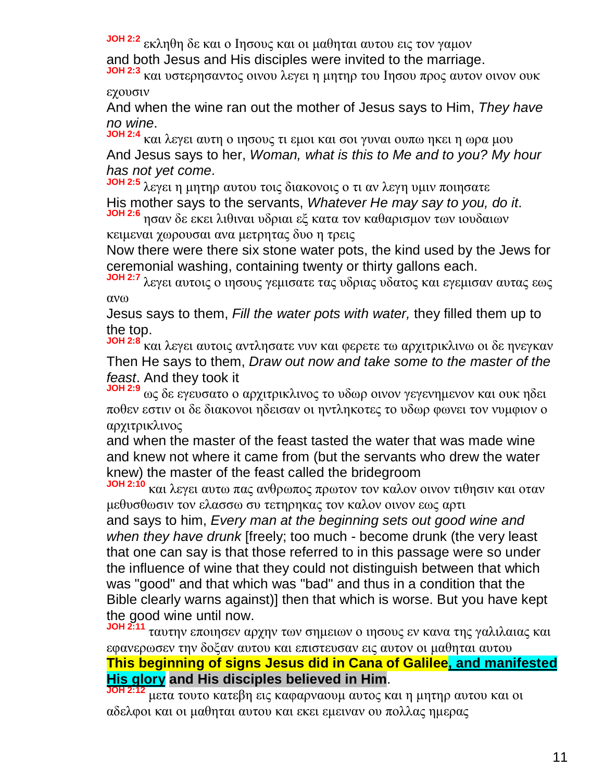**JOH 2:2** εκληθη δε και ο Iησους και οι μαθηται αυτου εις τον γαμον

and both Jesus and His disciples were invited to the marriage.

**JOH 2:3** και υστερησαντος οινου λεγει η μητηρ του Iησου προς αυτον οινον ουκ εχουσιν

And when the wine ran out the mother of Jesus says to Him, *They have no wine*.

**JOH 2:4** και λεγει αυτη ο ιησους τι εμοι και σοι γυναι ουπω ηκει η ωρα μου And Jesus says to her, *Woman, what is this to Me and to you? My hour has not yet come*.

**JOH 2:5** λεγει η μητηρ αυτου τοις διακονοις ο τι αν λεγη υμιν ποιησατε His mother says to the servants, *Whatever He may say to you, do it*. **JOH 2:6** ησαν δε εκει λιθιναι υδριαι εξ κατα τον καθαρισμον των ιουδαιων

κειμεναι χωρουσαι ανα μετρητας δυο η τρεις

Now there were there six stone water pots, the kind used by the Jews for ceremonial washing, containing twenty or thirty gallons each.

**JOH 2:7** λεγει αυτοις ο ιησους γεμισατε τας υδριας υδατος και εγεμισαν αυτας εως ανω

Jesus says to them, *Fill the water pots with water,* they filled them up to the top.

**JOH 2:8** και λεγει αυτοις αντλησατε νυν και φερετε τω αρχιτρικλινω οι δε ηνεγκαν Then He says to them, *Draw out now and take some to the master of the feast*. And they took it

**JOH 2:9** ως δε εγευσατο ο αρχιτρικλινος το υδωρ οινον γεγενημενον και ουκ ηδει ποθεν εστιν οι δε διακονοι ηδεισαν οι ηντληκοτες το υδωρ φωνει τον νυμφιον ο αρχιτρικλινος

and when the master of the feast tasted the water that was made wine and knew not where it came from (but the servants who drew the water knew) the master of the feast called the bridegroom

**JOH 2:10** και λεγει αυτω πας ανθρωπος πρωτον τον καλον οινον τιθησιν και οταν μεθυσθωσιν τον ελασσω συ τετηρηκας τον καλον οινον εως αρτι

and says to him, *Every man at the beginning sets out good wine and when they have drunk* [freely; too much - become drunk (the very least that one can say is that those referred to in this passage were so under the influence of wine that they could not distinguish between that which was "good" and that which was "bad" and thus in a condition that the Bible clearly warns against)] then that which is worse. But you have kept the good wine until now.

**JOH 2:11** ταυτην εποιησεν αρχην των σημειων ο ιησους εν κανα της γαλιλαιας και εφανερωσεν την δοξαν αυτου και επιστευσαν εις αυτον οι μαθηται αυτου **This beginning of signs Jesus did in Cana of Galilee, and manifested His glory and His disciples believed in Him**.

**JOH 2:12** μετα τουτο κατεβη εις καφαρναουμ αυτος και η μητηρ αυτου και οι αδελφοι και οι μαθηται αυτου και εκει εμειναν ου πολλας ημερας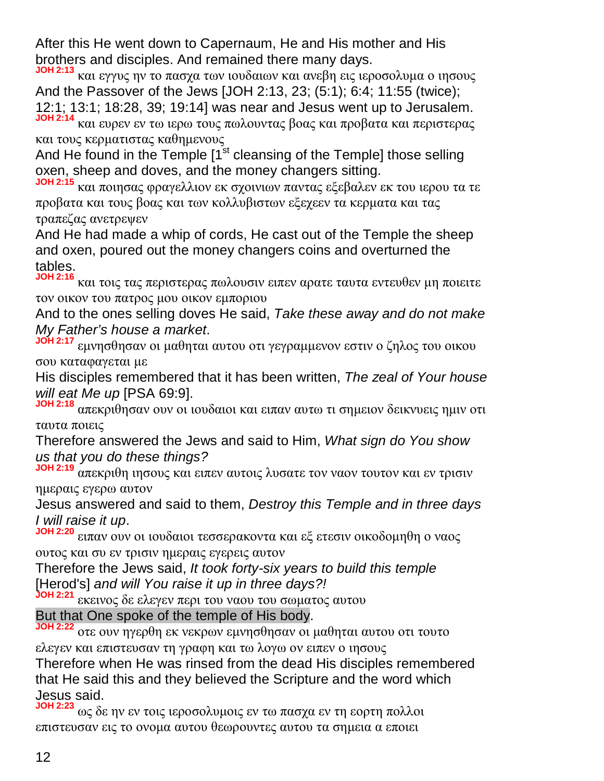After this He went down to Capernaum, He and His mother and His brothers and disciples. And remained there many days.

**JOH 2:13** και εγγυς ην το πασχα των ιουδαιων και ανεβη εις ιεροσολυμα ο ιησους And the Passover of the Jews [JOH 2:13, 23; (5:1); 6:4; 11:55 (twice); 12:1; 13:1; 18:28, 39; 19:14] was near and Jesus went up to Jerusalem.

**JOH 2:14** και ευρεν εν τω ιερω τους πωλουντας βοας και προβατα και περιστερας και τους κερματιστας καθημενους

And He found in the Temple  $1<sup>st</sup>$  cleansing of the Temple] those selling oxen, sheep and doves, and the money changers sitting.

**JOH 2:15** και ποιησας φραγελλιον εκ σχοινιων παντας εξεβαλεν εκ του ιερου τα τε προβατα και τους βοας και των κολλυβιστων εξεχεεν τα κερματα και τας τραπεζας ανετρεψεν

And He had made a whip of cords, He cast out of the Temple the sheep and oxen, poured out the money changers coins and overturned the tables.

**JOH 2:16** και τοις τας περιστερας πωλουσιν ειπεν αρατε ταυτα εντευθεν μη ποιειτε τον οικον του πατρος μου οικον εμποριου

And to the ones selling doves He said, *Take these away and do not make My Father's house a market*.

**JOH 2:17** εμνησθησαν οι μαθηται αυτου οτι γεγραμμενον εστιν ο ζηλος του οικου σου καταφαγεται με

His disciples remembered that it has been written, *The zeal of Your house will eat Me up* [PSA 69:9].

**JOH 2:18** απεκριθησαν ουν οι ιουδαιοι και ειπαν αυτω τι σημειον δεικνυεις ημιν οτι ταυτα ποιεις

Therefore answered the Jews and said to Him, *What sign do You show us that you do these things?*

**JOH 2:19** απεκριθη ιησους και ειπεν αυτοις λυσατε τον ναον τουτον και εν τρισιν ημεραις εγερω αυτον

Jesus answered and said to them, *Destroy this Temple and in three days I will raise it up*.

**JOH 2:20** ειπαν ουν οι ιουδαιοι τεσσερακοντα και εξ ετεσιν οικοδομηθη ο ναος ουτος και συ εν τρισιν ημεραις εγερεις αυτον

Therefore the Jews said, *It took forty-six years to build this temple* [Herod's] *and will You raise it up in three days?!*

**JOH 2:21** εκεινος δε ελεγεν περι του ναου του σωματος αυτου

But that One spoke of the temple of His body.

**JOH 2:22** οτε ουν ηγερθη εκ νεκρων εμνησθησαν οι μαθηται αυτου οτι τουτο ελεγεν και επιστευσαν τη γραφη και τω λογω ον ειπεν ο ιησους

Therefore when He was rinsed from the dead His disciples remembered that He said this and they believed the Scripture and the word which Jesus said.

**JOH 2:23** ως δε ην εν τοις ιεροσολυμοις εν τω πασχα εν τη εορτη πολλοι επιστευσαν εις το ονομα αυτου θεωρουντες αυτου τα σημεια α εποιει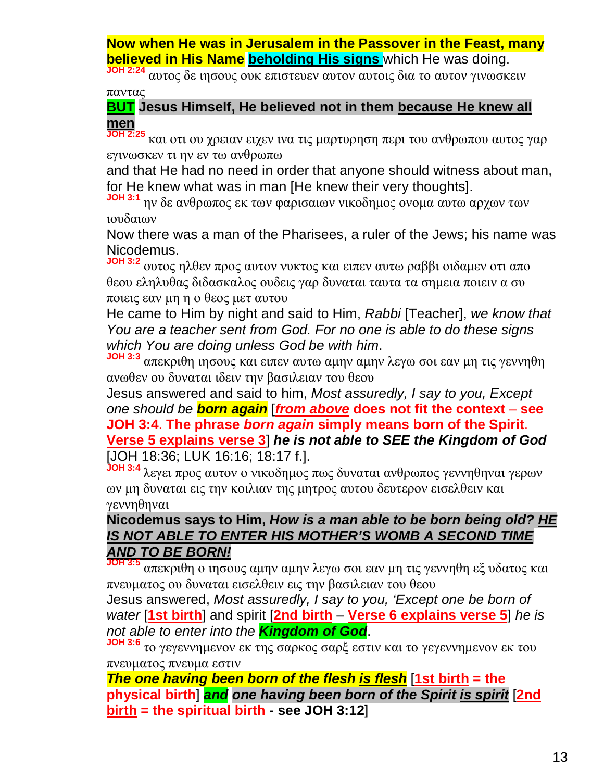**Now when He was in Jerusalem in the Passover in the Feast, many believed in His Name beholding His signs** which He was doing.

**JOH 2:24** αυτος δε ιησους ουκ επιστευεν αυτον αυτοις δια το αυτον γινωσκειν παντας

#### **BUT Jesus Himself, He believed not in them because He knew all men**

**JOH 2:25** και οτι ου χρειαν ειχεν ινα τις μαρτυρηση περι του ανθρωπου αυτος γαρ εγινωσκεν τι ην εν τω ανθρωπω

and that He had no need in order that anyone should witness about man, for He knew what was in man [He knew their very thoughts].

**JOH 3:1** ην δε ανθρωπος εκ των φαρισαιων νικοδημος ονομα αυτω αρχων των ιουδαιων

Now there was a man of the Pharisees, a ruler of the Jews; his name was Nicodemus.

**JOH 3:2** ουτος ηλθεν προς αυτον νυκτος και ειπεν αυτω ραββι οιδαμεν οτι απο θεου εληλυθας διδασκαλος ουδεις γαρ δυναται ταυτα τα σημεια ποιειν α συ ποιεις εαν μη η ο θεος μετ αυτου

He came to Him by night and said to Him, *Rabbi* [Teacher], *we know that You are a teacher sent from God. For no one is able to do these signs which You are doing unless God be with him*.

**JOH 3:3** απεκριθη ιησους και ειπεν αυτω αμην αμην λεγω σοι εαν μη τις γεννηθη ανωθεν ου δυναται ιδειν την βασιλειαν του θεου

Jesus answered and said to him, *Most assuredly, I say to you, Except one should be born again* [*from above* **does not fit the context** – **see JOH 3:4**. **The phrase** *born again* **simply means born of the Spirit**. **Verse 5 explains verse 3**] *he is not able to SEE the Kingdom of God* [JOH 18:36; LUK 16:16; 18:17 f.].

**JOH 3:4** λεγει προς αυτον ο νικοδημος πως δυναται ανθρωπος γεννηθηναι γερων ων μη δυναται εις την κοιλιαν της μητρος αυτου δευτερον εισελθειν και γεννηθηναι

#### **Nicodemus says to Him,** *How is a man able to be born being old? HE IS NOT ABLE TO ENTER HIS MOTHER'S WOMB A SECOND TIME AND TO BE BORN!*

**JOH 3:5** απεκριθη ο ιησους αμην αμην λεγω σοι εαν μη τις γεννηθη εξ υδατος και πνευματος ου δυναται εισελθειν εις την βασιλειαν του θεου

Jesus answered, *Most assuredly, I say to you, 'Except one be born of water* [**1st birth**] and spirit [**2nd birth** – **Verse 6 explains verse 5**] *he is not able to enter into the Kingdom of God*.

**JOH 3:6** το γεγεννημενον εκ της σαρκος σαρξ εστιν και το γεγεννημενον εκ του πνευματος πνευμα εστιν

*The one having been born of the flesh is flesh* [**1st birth = the physical birth**] *and one having been born of the Spirit is spirit* [**2nd birth = the spiritual birth - see JOH 3:12**]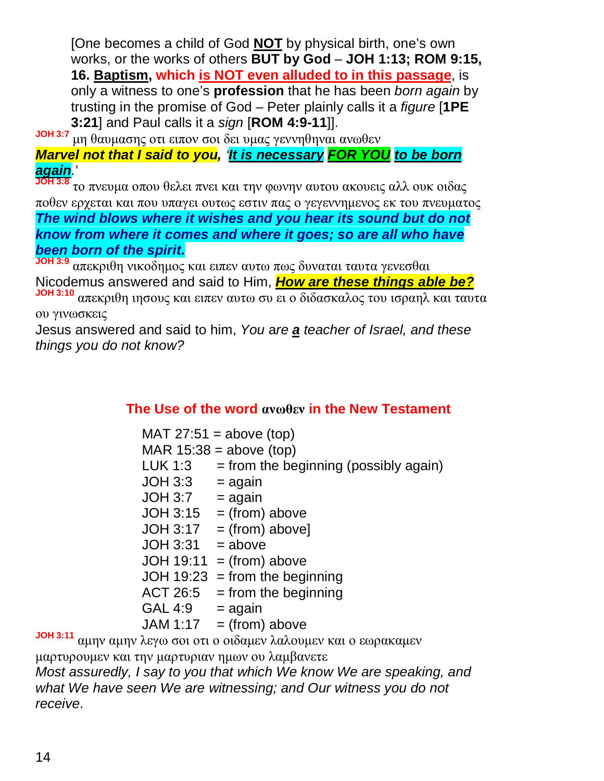[One becomes a child of God **NOT** by physical birth, one's own works, or the works of others **BUT by God** – **JOH 1:13; ROM 9:15, 16. Baptism, which is NOT even alluded to in this passage**, is only a witness to one's **profession** that he has been *born again* by trusting in the promise of God – Peter plainly calls it a *figure* [**1PE 3:21**] and Paul calls it a *sign* [**ROM 4:9-11**]].

**JOH 3:7** μη θαυμασης οτι ειπον σοι δει υμας γεννηθηναι ανωθεν

*Marvel not that I said to you, 'It is necessary FOR YOU to be born again.*'

**JOH 3:8** το πνευμα οπου θελει πνει και την φωνην αυτου ακουεις αλλ ουκ οιδας ποθεν ερχεται και που υπαγει ουτως εστιν πας ο γεγεννημενος εκ του πνευματος *The wind blows where it wishes and you hear its sound but do not know from where it comes and where it goes; so are all who have been born of the spirit***.**

**JOH 3:9** απεκριθη νικοδημος και ειπεν αυτω πως δυναται ταυτα γενεσθαι Nicodemus answered and said to Him, *How are these things able be?* **JOH 3:10** απεκριθη ιησους και ειπεν αυτω συ ει ο διδασκαλος του ισραηλ και ταυτα ου γινωσκεις

Jesus answered and said to him, *You* a*re a teacher of Israel, and these things you do not know?*

#### **The Use of the word ανωθεν in the New Testament**

|                 |                           | MAT $27:51 = above (top)$                                 |  |
|-----------------|---------------------------|-----------------------------------------------------------|--|
|                 | MAR $15:38$ = above (top) |                                                           |  |
|                 | LUK 1:3                   | $=$ from the beginning (possibly again)                   |  |
|                 | <b>JOH 3:3</b>            | $=$ again                                                 |  |
|                 | JOH 3:7                   | $=$ again                                                 |  |
|                 |                           | JOH $3:15 = (from) above$                                 |  |
|                 |                           | $JOH 3:17 = (from) above$                                 |  |
|                 | $JOH 3:31 = above$        |                                                           |  |
|                 |                           | JOH $19:11 = (from) above$                                |  |
|                 |                           | JOH $19:23$ = from the beginning                          |  |
|                 | ACT 26:5                  | $=$ from the beginning                                    |  |
|                 | GAL 4:9                   | $=$ again                                                 |  |
|                 |                           | JAM 1:17 = (from) above                                   |  |
| <b>JOH 3:11</b> |                           | αμην αμην λεγω σοι οτι ο οιδαμεν λαλουμεν και ο εωρακαμεν |  |

μαρτυρουμεν και την μαρτυριαν ημων ου λαμβανετε

*Most assuredly, I say to you that which We know We are speaking, and what We have seen We are witnessing; and Our witness you do not receive*.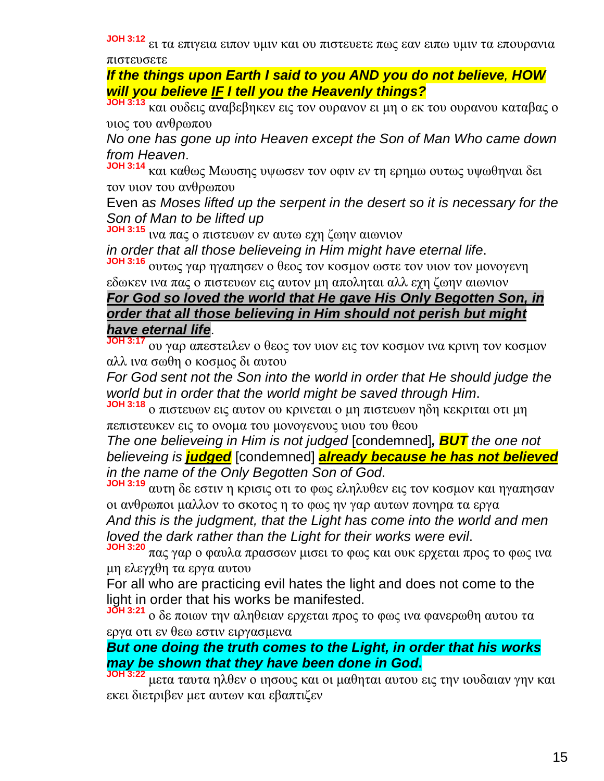**JOH 3:12** ει τα επιγεια ειπον υμιν και ου πιστευετε πως εαν ειπω υμιν τα επουρανια πιστευσετε

*If the things upon Earth I said to you AND you do not believe, HOW will you believe IF I tell you the Heavenly things?*

**JOH 3:13** και ουδεις αναβεβηκεν εις τον ουρανον ει μη ο εκ του ουρανου καταβας ο υιος του ανθρωπου

*No one has gone up into Heaven except the Son of Man Who came down from Heaven*.

**JOH 3:14** και καθως Mωυσης υψωσεν τον οφιν εν τη ερημω ουτως υψωθηναι δει τον υιον του ανθρωπου

Even a*s Moses lifted up the serpent in the desert so it is necessary for the Son of Man to be lifted up*

**JOH 3:15** ινα πας ο πιστευων εν αυτω εχη ζωην αιωνιον

*in order that all those believeing in Him might have eternal life*.

**JOH 3:16** ουτως γαρ ηγαπησεν ο θεος τον κοσμον ωστε τον υιον τον μονογενη εδωκεν ινα πας ο πιστευων εις αυτον μη αποληται αλλ εχη ζωην αιωνιον

#### *For God so loved the world that He gave His Only Begotten Son, in order that all those believing in Him should not perish but might have eternal life*.

**JOH 3:17** ου γαρ απεστειλεν ο θεος τον υιον εις τον κοσμον ινα κρινη τον κοσμον αλλ ινα σωθη ο κοσμος δι αυτου

*For God sent not the Son into the world in order that He should judge the world but in order that the world might be saved through Him*.

**JOH 3:18** ο πιστευων εις αυτον ου κρινεται ο μη πιστευων ηδη κεκριται οτι μη πεπιστευκεν εις το ονομα του μονογενους υιου του θεου

*The one believeing in Him is not judged* [condemned]*, BUT the one not believeing is judged* [condemned] *already because he has not believed in the name of the Only Begotten Son of God*.

**JOH 3:19** αυτη δε εστιν η κρισις οτι το φως εληλυθεν εις τον κοσμον και ηγαπησαν οι ανθρωποι μαλλον το σκοτος η το φως ην γαρ αυτων πονηρα τα εργα *And this is the judgment, that the Light has come into the world and men loved the dark rather than the Light for their works were evil*.

**JOH 3:20** πας γαρ ο φαυλα πρασσων μισει το φως και ουκ ερχεται προς το φως ινα μη ελεγχθη τα εργα αυτου

For all who are practicing evil hates the light and does not come to the light in order that his works be manifested.

**JOH 3:21** ο δε ποιων την αληθειαν ερχεται προς το φως ινα φανερωθη αυτου τα εργα οτι εν θεω εστιν ειργασμενα

#### *But one doing the truth comes to the Light, in order that his works may be shown that they have been done in God***.**

**JOH 3:22** μετα ταυτα ηλθεν ο ιησους και οι μαθηται αυτου εις την ιουδαιαν γην και εκει διετριβεν μετ αυτων και εβαπτιζεν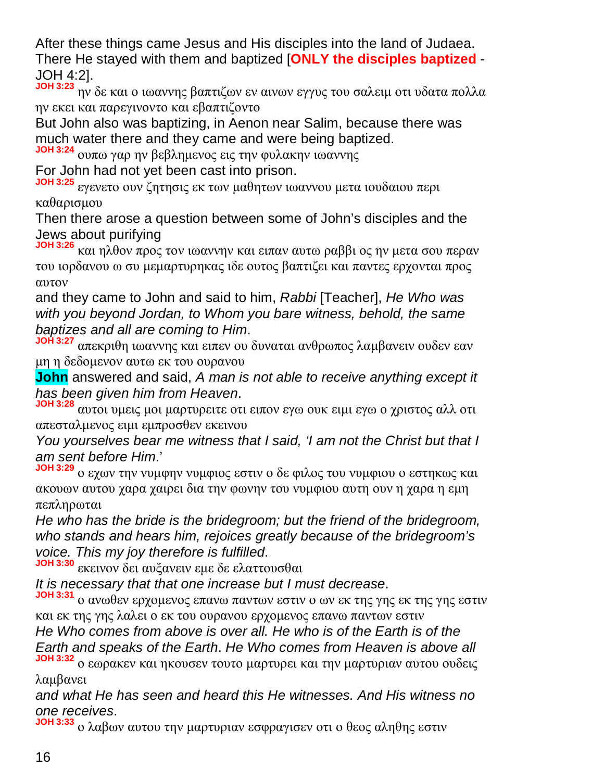After these things came Jesus and His disciples into the land of Judaea. There He stayed with them and baptized [**ONLY the disciples baptized** - JOH 4:2].

**JOH 3:23** ην δε και ο ιωαννης βαπτιζων εν αινων εγγυς του σαλειμ οτι υδατα πολλα ην εκει και παρεγινοντο και εβαπτιζοντο

But John also was baptizing, in Aenon near Salim, because there was much water there and they came and were being baptized.

**JOH 3:24** ουπω γαρ ην βεβλημενος εις την φυλακην ιωαννης

For John had not yet been cast into prison.

**JOH 3:25** εγενετο ουν ζητησις εκ των μαθητων ιωαννου μετα ιουδαιου περι καθαρισμου

Then there arose a question between some of John's disciples and the Jews about purifying

**JOH 3:26** και ηλθον προς τον ιωαννην και ειπαν αυτω ραββι ος ην μετα σου περαν του ιορδανου ω συ μεμαρτυρηκας ιδε ουτος βαπτιζει και παντες ερχονται προς αυτον

and they came to John and said to him, *Rabbi* [Teacher], *He Who was with you beyond Jordan, to Whom you bare witness, behold, the same baptizes and all are coming to Him*.

**JOH 3:27** απεκριθη ιωαννης και ειπεν ου δυναται ανθρωπος λαμβανειν ουδεν εαν μη η δεδομενον αυτω εκ του ουρανου

**John** answered and said, *A man is not able to receive anything except it has been given him from Heaven*.

**JOH 3:28** αυτοι υμεις μοι μαρτυρειτε οτι ειπον εγω ουκ ειμι εγω ο χριστος αλλ οτι απεσταλμενος ειμι εμπροσθεν εκεινου

*You yourselves bear me witness that I said, 'I am not the Christ but that I am sent before Him*.'

**JOH 3:29** ο εχων την νυμφην νυμφιος εστιν ο δε φιλος του νυμφιου ο εστηκως και ακουων αυτου χαρα χαιρει δια την φωνην του νυμφιου αυτη ουν η χαρα η εμη πεπληρωται

*He who has the bride is the bridegroom; but the friend of the bridegroom, who stands and hears him, rejoices greatly because of the bridegroom's voice. This my joy therefore is fulfilled*.

**JOH 3:30** εκεινον δει αυξανειν εμε δε ελαττουσθαι

*It is necessary that that one increase but I must decrease*.

**JOH 3:31** ο ανωθεν ερχομενος επανω παντων εστιν ο ων εκ της γης εκ της γης εστιν και εκ της γης λαλει ο εκ του ουρανου ερχομενος επανω παντων εστιν

*He Who comes from above is over all. He who is of the Earth is of the Earth and speaks of the Earth*. *He Who comes from Heaven is above all*

**JOH 3:32** ο εωρακεν και ηκουσεν τουτο μαρτυρει και την μαρτυριαν αυτου ουδεις λαμβανει

*and what He has seen and heard this He witnesses. And His witness no one receives*.

**JOH 3:33** ο λαβων αυτου την μαρτυριαν εσφραγισεν οτι ο θεος αληθης εστιν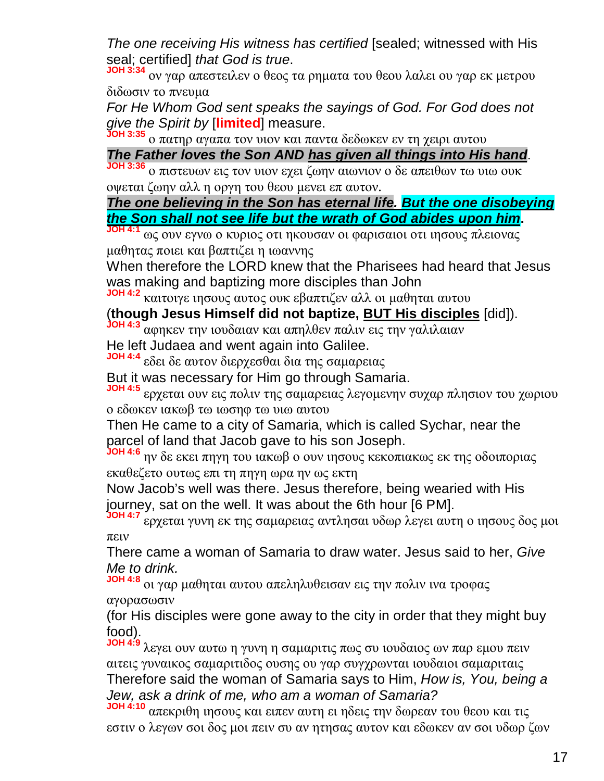*The one receiving His witness has certified* [sealed; witnessed with His seal; certified] *that God is true*.

**JOH 3:34** ον γαρ απεστειλεν ο θεος τα ρηματα του θεου λαλει ου γαρ εκ μετρου διδωσιν το πνευμα

*For He Whom God sent speaks the sayings of God. For God does not give the Spirit by* [**limited**] measure.

**JOH 3:35** ο πατηρ αγαπα τον υιον και παντα δεδωκεν εν τη χειρι αυτου

#### *The Father loves the Son AND has given all things into His hand*.

**JOH 3:36** ο πιστευων εις τον υιον εχει ζωην αιωνιον ο δε απειθων τω υιω ουκ οψεται ζωην αλλ η οργη του θεου μενει επ αυτον.

*The one believing in the Son has eternal life. But the one disobeying the Son shall not see life but the wrath of God abides upon him***.**

**JOH 4:1** ως ουν εγνω ο κυριος οτι ηκουσαν οι φαρισαιοι οτι ιησους πλειονας μαθητας ποιει και βαπτιζει η ιωαννης

When therefore the LORD knew that the Pharisees had heard that Jesus was making and baptizing more disciples than John

**JOH 4:2** καιτοιγε ιησους αυτος ουκ εβαπτιζεν αλλ οι μαθηται αυτου

(**though Jesus Himself did not baptize, BUT His disciples** [did]).

**JOH 4:3** αφηκεν την ιουδαιαν και απηλθεν παλιν εις την γαλιλαιαν

He left Judaea and went again into Galilee.

**JOH 4:4** εδει δε αυτον διερχεσθαι δια της σαμαρειας

But it was necessary for Him go through Samaria.

**JOH 4:5** ερχεται ουν εις πολιν της σαμαρειας λεγομενην συχαρ πλησιον του χωριου ο εδωκεν ιακωβ τω ιωσηφ τω υιω αυτου

Then He came to a city of Samaria, which is called Sychar, near the parcel of land that Jacob gave to his son Joseph.

**JOH 4:6** ην δε εκει πηγη του ιακωβ ο ουν ιησους κεκοπιακως εκ της οδοιποριας εκαθεζετο ουτως επι τη πηγη ωρα ην ως εκτη

Now Jacob's well was there. Jesus therefore, being wearied with His journey, sat on the well. It was about the 6th hour [6 PM].

**JOH 4:7** ερχεται γυνη εκ της σαμαρειας αντλησαι υδωρ λεγει αυτη ο ιησους δος μοι πειν

There came a woman of Samaria to draw water. Jesus said to her, *Give Me to drink.*

**JOH 4:8** οι γαρ μαθηται αυτου απεληλυθεισαν εις την πολιν ινα τροφας αγορασωσιν

(for His disciples were gone away to the city in order that they might buy food).

**JOH 4:9** λεγει ουν αυτω η γυνη η σαμαριτις πως συ ιουδαιος ων παρ εμου πειν αιτεις γυναικος σαμαριτιδος ουσης ου γαρ συγχρωνται ιουδαιοι σαμαριταις Therefore said the woman of Samaria says to Him, *How is, You, being a Jew, ask a drink of me, who am a woman of Samaria?*

**JOH 4:10** απεκριθη ιησους και ειπεν αυτη ει ηδεις την δωρεαν του θεου και τις εστιν ο λεγων σοι δος μοι πειν συ αν ητησας αυτον και εδωκεν αν σοι υδωρ ζων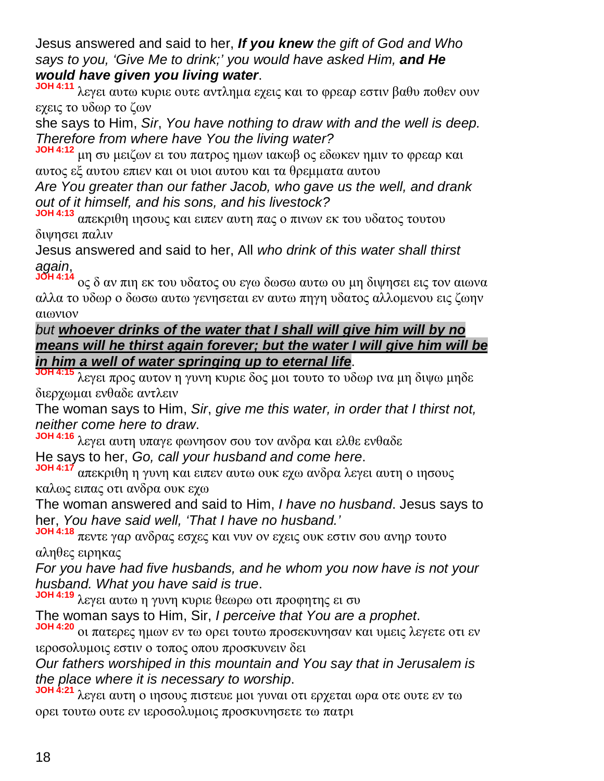Jesus answered and said to her, *If you knew the gift of God and Who says to you, 'Give Me to drink;' you would have asked Him, and He would have given you living water*.

**JOH 4:11** λεγει αυτω κυριε ουτε αντλημα εχεις και το φρεαρ εστιν βαθυ ποθεν ουν εχεις το υδωρ το ζων

she says to Him, *Sir*, *You have nothing to draw with and the well is deep. Therefore from where have You the living water?*

**JOH 4:12** μη συ μειζων ει του πατρος ημων ιακωβ ος εδωκεν ημιν το φρεαρ και αυτος εξ αυτου επιεν και οι υιοι αυτου και τα θρεμματα αυτου

*Are You greater than our father Jacob, who gave us the well, and drank out of it himself, and his sons, and his livestock?*

**JOH 4:13** απεκριθη ιησους και ειπεν αυτη πας ο πινων εκ του υδατος τουτου διψησει παλιν

Jesus answered and said to her, All *who drink of this water shall thirst again*,

**JOH 4:14** ος δ αν πιη εκ του υδατος ου εγω δωσω αυτω ου μη διψησει εις τον αιωνα αλλα το υδωρ ο δωσω αυτω γενησεται εν αυτω πηγη υδατος αλλομενου εις ζωην αιωνιον

#### *but whoever drinks of the water that I shall will give him will by no means will he thirst again forever; but the water I will give him will be in him a well of water springing up to eternal life*.

**JOH 4:15** λεγει προς αυτον η γυνη κυριε δος μοι τουτο το υδωρ ινα μη διψω μηδε διερχωμαι ενθαδε αντλειν

The woman says to Him, *Sir*, *give me this water, in order that I thirst not, neither come here to draw*.

**JOH 4:16** λεγει αυτη υπαγε φωνησον σου τον ανδρα και ελθε ενθαδε

He says to her, *Go, call your husband and come here*.

**JOH 4:17** απεκριθη η γυνη και ειπεν αυτω ουκ εχω ανδρα λεγει αυτη ο ιησους καλως ειπας οτι ανδρα ουκ εχω

The woman answered and said to Him, *I have no husband*. Jesus says to her, *You have said well, 'That I have no husband.'*

**JOH 4:18** πεντε γαρ ανδρας εσχες και νυν ον εχεις ουκ εστιν σου ανηρ τουτο αληθες ειρηκας

*For you have had five husbands, and he whom you now have is not your husband. What you have said is true*.

**JOH 4:19** λεγει αυτω η γυνη κυριε θεωρω οτι προφητης ει συ

The woman says to Him, Sir, *I perceive that You are a prophet*.

**JOH 4:20** οι πατερες ημων εν τω ορει τουτω προσεκυνησαν και υμεις λεγετε οτι εν ιεροσολυμοις εστιν ο τοπος οπου προσκυνειν δει

*Our fathers worshiped in this mountain and You say that in Jerusalem is the place where it is necessary to worship*.

**JOH 4:21** λεγει αυτη ο ιησους πιστευε μοι γυναι οτι ερχεται ωρα οτε ουτε εν τω ορει τουτω ουτε εν ιεροσολυμοις προσκυνησετε τω πατρι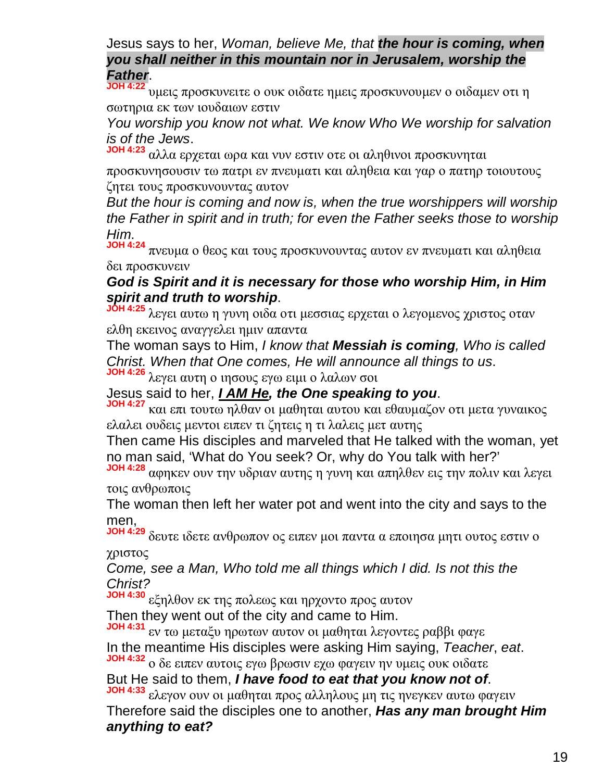#### Jesus says to her, *Woman, believe Me, that the hour is coming, when you shall neither in this mountain nor in Jerusalem, worship the Father*.

**JOH 4:22** υμεις προσκυνειτε ο ουκ οιδατε ημεις προσκυνουμεν ο οιδαμεν οτι η σωτηρια εκ των ιουδαιων εστιν

*You worship you know not what. We know Who We worship for salvation is of the Jews*.

**JOH 4:23** αλλα ερχεται ωρα και νυν εστιν οτε οι αληθινοι προσκυνηται

προσκυνησουσιν τω πατρι εν πνευματι και αληθεια και γαρ ο πατηρ τοιουτους ζητει τους προσκυνουντας αυτον

*But the hour is coming and now is, when the true worshippers will worship the Father in spirit and in truth; for even the Father seeks those to worship Him*.

**JOH 4:24** πνευμα ο θεος και τους προσκυνουντας αυτον εν πνευματι και αληθεια δει προσκυνειν

#### *God is Spirit and it is necessary for those who worship Him, in Him spirit and truth to worship*.

**JOH 4:25** λεγει αυτω η γυνη οιδα οτι μεσσιας ερχεται ο λεγομενος χριστος οταν ελθη εκεινος αναγγελει ημιν απαντα

The woman says to Him, *I know that Messiah is coming, Who is called Christ. When that One comes, He will announce all things to us*.

**JOH 4:26** λεγει αυτη ο ιησους εγω ειμι ο λαλων σοι

Jesus said to her, *I AM He, the One speaking to you*.

**JOH 4:27** και επι τουτω ηλθαν οι μαθηται αυτου και εθαυμαζον οτι μετα γυναικος ελαλει ουδεις μεντοι ειπεν τι ζητεις η τι λαλεις μετ αυτης

Then came His disciples and marveled that He talked with the woman, yet no man said, 'What do You seek? Or, why do You talk with her?'

**JOH 4:28** αφηκεν ουν την υδριαν αυτης η γυνη και απηλθεν εις την πολιν και λεγει τοις ανθρωποις

The woman then left her water pot and went into the city and says to the men,

**JOH 4:29** δευτε ιδετε ανθρωπον ος ειπεν μοι παντα α εποιησα μητι ουτος εστιν ο χριστος

*Come, see a Man, Who told me all things which I did. Is not this the Christ?*

**JOH 4:30** εξηλθον εκ της πολεως και ηρχοντο προς αυτον

Then they went out of the city and came to Him.

**JOH 4:31** εν τω μεταξυ ηρωτων αυτον οι μαθηται λεγοντες ραββι φαγε In the meantime His disciples were asking Him saying, *Teacher*, *eat*. **JOH 4:32** ο δε ειπεν αυτοις εγω βρωσιν εχω φαγειν ην υμεις ουκ οιδατε

But He said to them, *I have food to eat that you know not of*. **JOH 4:33** ελεγον ουν οι μαθηται προς αλληλους μη τις ηνεγκεν αυτω φαγειν

Therefore said the disciples one to another, *Has any man brought Him anything to eat?*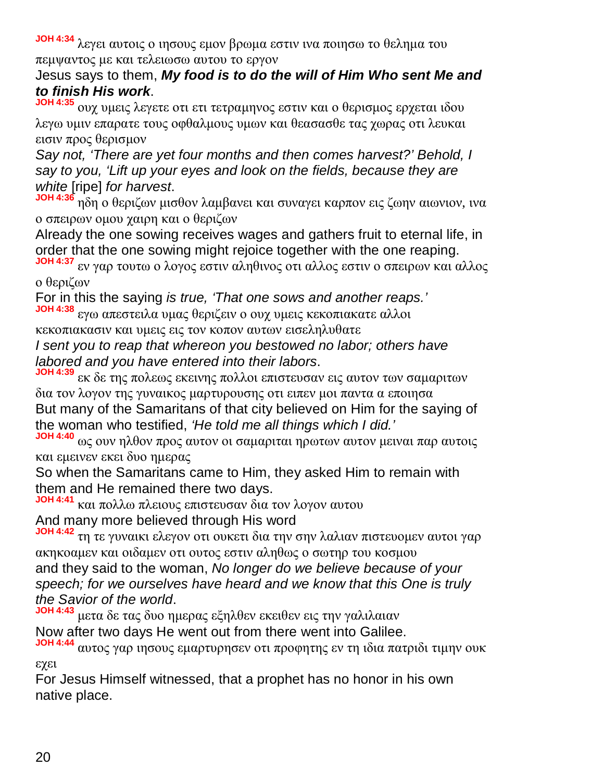**JOH 4:34** λεγει αυτοις ο ιησους εμον βρωμα εστιν ινα ποιησω το θελημα του πεμψαντος με και τελειωσω αυτου το εργον

#### Jesus says to them, *My food is to do the will of Him Who sent Me and to finish His work*.

**JOH 4:35** ουχ υμεις λεγετε οτι ετι τετραμηνος εστιν και ο θερισμος ερχεται ιδου λεγω υμιν επαρατε τους οφθαλμους υμων και θεασασθε τας χωρας οτι λευκαι εισιν προς θερισμον

*Say not, 'There are yet four months and then comes harvest?' Behold, I say to you, 'Lift up your eyes and look on the fields, because they are white* [ripe] *for harvest*.

 $\eta$ δη ο θεριζων μισθον λαμβανει και συναγει καρπον εις ζωην αιωνιον, ινα ο σπειρων ομου χαιρη και ο θεριζων

Already the one sowing receives wages and gathers fruit to eternal life, in order that the one sowing might rejoice together with the one reaping.

**JOH 4:37** εν γαρ τουτω ο λογος εστιν αληθινος οτι αλλος εστιν ο σπειρων και αλλος ο θεριζων

For in this the saying *is true, 'That one sows and another reaps.'*

**JOH 4:38** εγω απεστειλα υμας θεριζειν ο ουχ υμεις κεκοπιακατε αλλοι

κεκοπιακασιν και υμεις εις τον κοπον αυτων εισεληλυθατε

*I sent you to reap that whereon you bestowed no labor; others have labored and you have entered into their labors*.

**JOH 4:39** εκ δε της πολεως εκεινης πολλοι επιστευσαν εις αυτον των σαμαριτων δια τον λογον της γυναικος μαρτυρουσης οτι ειπεν μοι παντα α εποιησα But many of the Samaritans of that city believed on Him for the saying of the woman who testified, *'He told me all things which I did.'*

**JOH 4:40** ως ουν ηλθον προς αυτον οι σαμαριται ηρωτων αυτον μειναι παρ αυτοις και εμεινεν εκει δυο ημερας

So when the Samaritans came to Him, they asked Him to remain with them and He remained there two days.

**JOH 4:41** και πολλω πλειους επιστευσαν δια τον λογον αυτου And many more believed through His word

**JOH 4:42** τη τε γυναικι ελεγον οτι ουκετι δια την σην λαλιαν πιστευομεν αυτοι γαρ ακηκοαμεν και οιδαμεν οτι ουτος εστιν αληθως ο σωτηρ του κοσμου and they said to the woman, *No longer do we believe because of your speech; for we ourselves have heard and we know that this One is truly the Savior of the world*.

**JOH 4:43** μετα δε τας δυο ημερας εξηλθεν εκειθεν εις την γαλιλαιαν Now after two days He went out from there went into Galilee.

**JOH 4:44** αυτος γαρ ιησους εμαρτυρησεν οτι προφητης εν τη ιδια πατριδι τιμην ουκ εχει

For Jesus Himself witnessed, that a prophet has no honor in his own native place.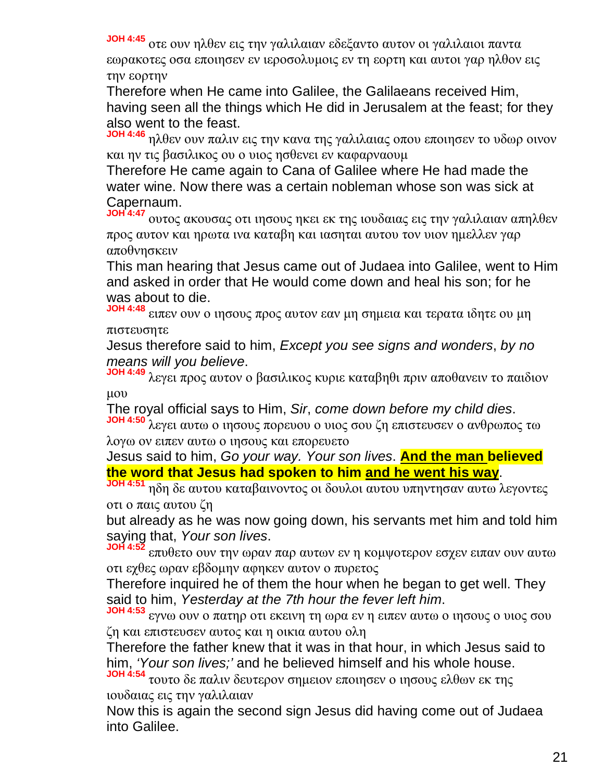**JOH 4:45** οτε ουν ηλθεν εις την γαλιλαιαν εδεξαντο αυτον οι γαλιλαιοι παντα εωρακοτες οσα εποιησεν εν ιεροσολυμοις εν τη εορτη και αυτοι γαρ ηλθον εις την εορτην

Therefore when He came into Galilee, the Galilaeans received Him, having seen all the things which He did in Jerusalem at the feast; for they also went to the feast.

**JOH 4:46** ηλθεν ουν παλιν εις την κανα της γαλιλαιας οπου εποιησεν το υδωρ οινον και ην τις βασιλικος ου ο υιος ησθενει εν καφαρναουμ

Therefore He came again to Cana of Galilee where He had made the water wine. Now there was a certain nobleman whose son was sick at Capernaum.

**JOH 4:47** ουτος ακουσας οτι ιησους ηκει εκ της ιουδαιας εις την γαλιλαιαν απηλθεν προς αυτον και ηρωτα ινα καταβη και ιασηται αυτου τον υιον ημελλεν γαρ αποθνησκειν

This man hearing that Jesus came out of Judaea into Galilee, went to Him and asked in order that He would come down and heal his son; for he was about to die.

**JOH 4:48** ειπεν ουν ο ιησους προς αυτον εαν μη σημεια και τερατα ιδητε ου μη πιστευσητε

Jesus therefore said to him, *Except you see signs and wonders*, *by no means will you believe*.

**JOH 4:49** λεγει προς αυτον ο βασιλικος κυριε καταβηθι πριν αποθανειν το παιδιον μου

The royal official says to Him, *Sir*, *come down before my child dies*.

**JOH 4:50** λεγει αυτω ο ιησους πορευου ο υιος σου ζη επιστευσεν ο ανθρωπος τω λογω ον ειπεν αυτω ο ιησους και επορευετο

Jesus said to him, *Go your way. Your son lives*. **And the man believed the word that Jesus had spoken to him and he went his way**.

**JOH 4:51** ηδη δε αυτου καταβαινοντος οι δουλοι αυτου υπηντησαν αυτω λεγοντες οτι ο παις αυτου ζη

but already as he was now going down, his servants met him and told him saying that, *Your son lives*.

**JOH 4:52** επυθετο ουν την ωραν παρ αυτων εν η κομψοτερον εσχεν ειπαν ουν αυτω οτι εχθες ωραν εβδομην αφηκεν αυτον ο πυρετος

Therefore inquired he of them the hour when he began to get well. They said to him, *Yesterday at the 7th hour the fever left him*.

**JOH 4:53** εγνω ουν ο πατηρ οτι εκεινη τη ωρα εν η ειπεν αυτω ο ιησους ο υιος σου ζη και επιστευσεν αυτος και η οικια αυτου ολη

Therefore the father knew that it was in that hour, in which Jesus said to him, *'Your son lives;'* and he believed himself and his whole house.

**JOH 4:54** τουτο δε παλιν δευτερον σημειον εποιησεν ο ιησους ελθων εκ της ιουδαιας εις την γαλιλαιαν

Now this is again the second sign Jesus did having come out of Judaea into Galilee.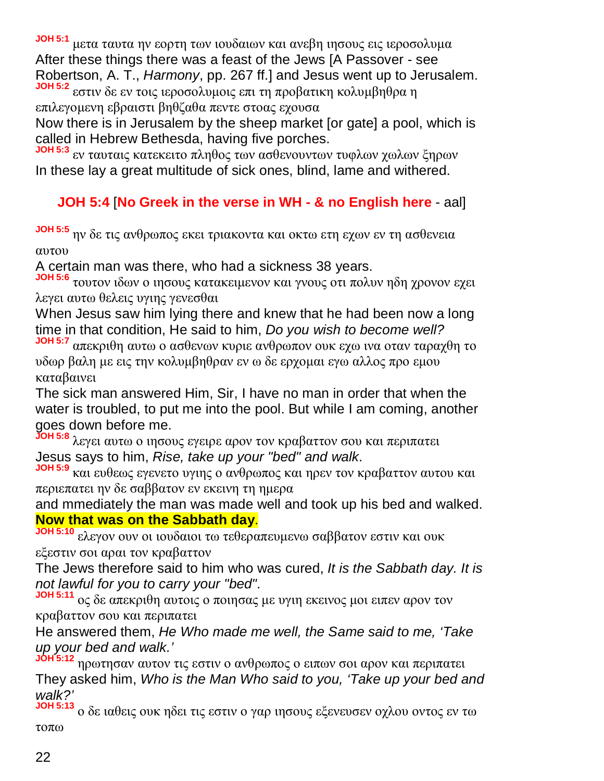**JOH 5:1** μετα ταυτα ην εορτη των ιουδαιων και ανεβη ιησους εις ιεροσολυμα After these things there was a feast of the Jews [A Passover - see Robertson, A. T., *Harmony*, pp. 267 ff.] and Jesus went up to Jerusalem. **JOH 5:2** εστιν δε εν τοις ιεροσολυμοις επι τη προβατικη κολυμβηθρα η

επιλεγομενη εβραιστι βηθζαθα πεντε στοας εχουσα

Now there is in Jerusalem by the sheep market [or gate] a pool, which is called in Hebrew Bethesda, having five porches.

**JOH 5:3** εν ταυταις κατεκειτο πληθος των ασθενουντων τυφλων χωλων ξηρων In these lay a great multitude of sick ones, blind, lame and withered.

#### **JOH 5:4** [**No Greek in the verse in WH - & no English here** - aal]

**JOH 5:5** ην δε τις ανθρωπος εκει τριακοντα και οκτω ετη εχων εν τη ασθενεια αυτου

A certain man was there, who had a sickness 38 years.

**JOH 5:6** τουτον ιδων ο ιησους κατακειμενον και γνους οτι πολυν ηδη χρονον εχει λεγει αυτω θελεις υγιης γενεσθαι

When Jesus saw him lying there and knew that he had been now a long time in that condition, He said to him, *Do you wish to become well?*

**JOH 5:7** απεκριθη αυτω ο ασθενων κυριε ανθρωπον ουκ εχω ινα οταν ταραχθη το υδωρ βαλη με εις την κολυμβηθραν εν ω δε ερχομαι εγω αλλος προ εμου καταβαινει

The sick man answered Him, Sir, I have no man in order that when the water is troubled, to put me into the pool. But while I am coming, another goes down before me.

**JOH 5:8** λεγει αυτω ο ιησους εγειρε αρον τον κραβαττον σου και περιπατει Jesus says to him, *Rise, take up your "bed" and walk*.

**JOH 5:9** και ευθεως εγενετο υγιης ο ανθρωπος και ηρεν τον κραβαττον αυτου και περιεπατει ην δε σαββατον εν εκεινη τη ημερα

and mmediately the man was made well and took up his bed and walked. **Now that was on the Sabbath day**.

**JOH 5:10** ελεγον ουν οι ιουδαιοι τω τεθεραπευμενω σαββατον εστιν και ουκ εξεστιν σοι αραι τον κραβαττον

The Jews therefore said to him who was cured, *It is the Sabbath day. It is not lawful for you to carry your "bed"*.

**JOH 5:11** ος δε απεκριθη αυτοις ο ποιησας με υγιη εκεινος μοι ειπεν αρον τον κραβαττον σου και περιπατει

He answered them, *He Who made me well, the Same said to me, 'Take up your bed and walk.'*

**JOH 5:12** ηρωτησαν αυτον τις εστιν ο ανθρωπος ο ειπων σοι αρον και περιπατει They asked him, *Who is the Man Who said to you, 'Take up your bed and walk?'*

**JOH 5:13** ο δε ιαθεις ουκ ηδει τις εστιν ο γαρ ιησους εξενευσεν οχλου οντος εν τω τοπω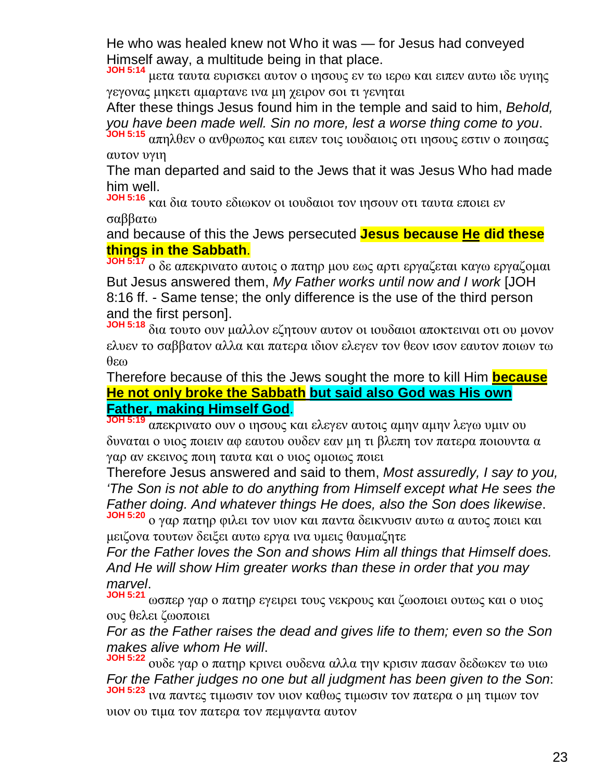He who was healed knew not Who it was — for Jesus had conveyed Himself away, a multitude being in that place.

**JOH 5:14** μετα ταυτα ευρισκει αυτον ο ιησους εν τω ιερω και ειπεν αυτω ιδε υγιης γεγονας μηκετι αμαρτανε ινα μη χειρον σοι τι γενηται

After these things Jesus found him in the temple and said to him, *Behold, you have been made well. Sin no more, lest a worse thing come to you*.

**JOH 5:15** απηλθεν ο ανθρωπος και ειπεν τοις ιουδαιοις οτι ιησους εστιν ο ποιησας αυτον υγιη

The man departed and said to the Jews that it was Jesus Who had made him well.

**JOH 5:16** και δια τουτο εδιωκον οι ιουδαιοι τον ιησουν οτι ταυτα εποιει εν σαββατω

and because of this the Jews persecuted **Jesus because He did these things in the Sabbath**.

**JOH 5:17** ο δε απεκρινατο αυτοις ο πατηρ μου εως αρτι εργαζεται καγω εργαζομαι But Jesus answered them, *My Father works until now and I work* [JOH 8:16 ff. - Same tense; the only difference is the use of the third person and the first person].

**JOH 5:18** δια τουτο ουν μαλλον εζητουν αυτον οι ιουδαιοι αποκτειναι οτι ου μονον ελυεν το σαββατον αλλα και πατερα ιδιον ελεγεν τον θεον ισον εαυτον ποιων τω θεω

Therefore because of this the Jews sought the more to kill Him **because He not only broke the Sabbath but said also God was His own Father, making Himself God**.

**JOH 5:19** απεκρινατο ουν ο ιησους και ελεγεν αυτοις αμην αμην λεγω υμιν ου δυναται ο υιος ποιειν αφ εαυτου ουδεν εαν μη τι βλεπη τον πατερα ποιουντα α γαρ αν εκεινος ποιη ταυτα και ο υιος ομοιως ποιει

Therefore Jesus answered and said to them, *Most assuredly, I say to you, 'The Son is not able to do anything from Himself except what He sees the Father doing. And whatever things He does, also the Son does likewise*. **JOH 5:20** ο γαρ πατηρ φιλει τον υιον και παντα δεικνυσιν αυτω α αυτος ποιει και

μειζονα τουτων δειξει αυτω εργα ινα υμεις θαυμαζητε

*For the Father loves the Son and shows Him all things that Himself does. And He will show Him greater works than these in order that you may marvel*.

**JOH 5:21** ωσπερ γαρ ο πατηρ εγειρει τους νεκρους και ζωοποιει ουτως και ο υιος ους θελει ζωοποιει

*For as the Father raises the dead and gives life to them; even so the Son makes alive whom He will*.

**JOH 5:22** ουδε γαρ ο πατηρ κρινει ουδενα αλλα την κρισιν πασαν δεδωκεν τω υιω *For the Father judges no one but all judgment has been given to the Son*: **JOH 5:23** ινα παντες τιμωσιν τον υιον καθως τιμωσιν τον πατερα ο μη τιμων τον υιον ου τιμα τον πατερα τον πεμψαντα αυτον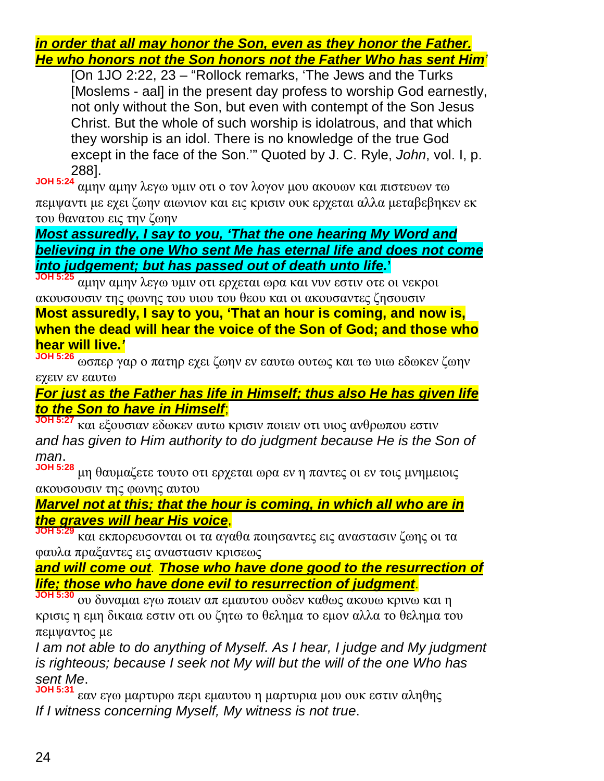*in order that all may honor the Son, even as they honor the Father. He who honors not the Son honors not the Father Who has sent Him'*

[On 1JO 2:22, 23 – "Rollock remarks, 'The Jews and the Turks [Moslems - aal] in the present day profess to worship God earnestly, not only without the Son, but even with contempt of the Son Jesus Christ. But the whole of such worship is idolatrous, and that which they worship is an idol. There is no knowledge of the true God except in the face of the Son.'" Quoted by J. C. Ryle, *John*, vol. I, p. 288].

**JOH 5:24** αμην αμην λεγω υμιν οτι ο τον λογον μου ακουων και πιστευων τω πεμψαντι με εχει ζωην αιωνιον και εις κρισιν ουκ ερχεται αλλα μεταβεβηκεν εκ του θανατου εις την ζωην

*Most assuredly, I say to you, 'That the one hearing My Word and believing in the one Who sent Me has eternal life and does not come into judgement; but has passed out of death unto life.***'**

**JOH 5:25** αμην αμην λεγω υμιν οτι ερχεται ωρα και νυν εστιν οτε οι νεκροι ακουσουσιν της φωνης του υιου του θεου και οι ακουσαντες ζησουσιν

**Most assuredly, I say to you, 'That an hour is coming, and now is, when the dead will hear the voice of the Son of God; and those who hear will live.***'*

**JOH 5:26** ωσπερ γαρ ο πατηρ εχει ζωην εν εαυτω ουτως και τω υιω εδωκεν ζωην εχειν εν εαυτω

*For just as the Father has life in Himself; thus also He has given life to the Son to have in Himself*;

**JOH 5:27** και εξουσιαν εδωκεν αυτω κρισιν ποιειν οτι υιος ανθρωπου εστιν *and has given to Him authority to do judgment because He is the Son of man*.

**JOH 5:28** μη θαυμαζετε τουτο οτι ερχεται ωρα εν η παντες οι εν τοις μνημειοις ακουσουσιν της φωνης αυτου

*Marvel not at this; that the hour is coming, in which all who are in the graves will hear His voice*,

**JOH 5:29** και εκπορευσονται οι τα αγαθα ποιησαντες εις αναστασιν ζωης οι τα φαυλα πραξαντες εις αναστασιν κρισεως

*and will come out. Those who have done good to the resurrection of life; those who have done evil to resurrection of judgment*.

**JOH 5:30** ου δυναμαι εγω ποιειν απ εμαυτου ουδεν καθως ακουω κρινω και η κρισις η εμη δικαια εστιν οτι ου ζητω το θελημα το εμον αλλα το θελημα του πεμψαντος με

*I am not able to do anything of Myself. As I hear, I judge and My judgment is righteous; because I seek not My will but the will of the one Who has sent Me*.

**JOH 5:31** εαν εγω μαρτυρω περι εμαυτου η μαρτυρια μου ουκ εστιν αληθης *If I witness concerning Myself, My witness is not true*.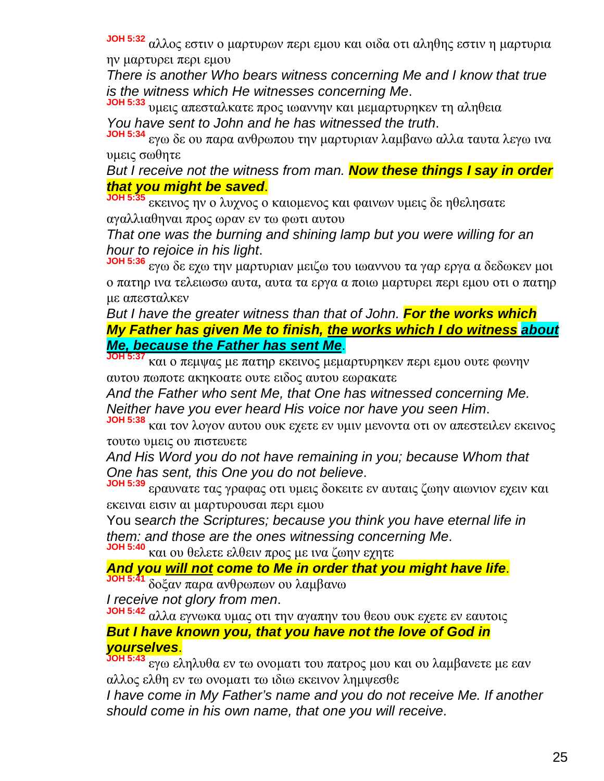**JOH 5:32** αλλος εστιν ο μαρτυρων περι εμου και οιδα οτι αληθης εστιν η μαρτυρια ην μαρτυρει περι εμου

*There is another Who bears witness concerning Me and I know that true is the witness which He witnesses concerning Me*.

**JOH 5:33** υμεις απεσταλκατε προς ιωαννην και μεμαρτυρηκεν τη αληθεια *You have sent to John and he has witnessed the truth*.

**JOH 5:34** εγω δε ου παρα ανθρωπου την μαρτυριαν λαμβανω αλλα ταυτα λεγω ινα υμεις σωθητε

*But I receive not the witness from man. Now these things I say in order that you might be saved*.

**JOH 5:35** εκεινος ην ο λυχνος ο καιομενος και φαινων υμεις δε ηθελησατε αγαλλιαθηναι προς ωραν εν τω φωτι αυτου

*That one was the burning and shining lamp but you were willing for an hour to rejoice in his light*.

**JOH 5:36** εγω δε εχω την μαρτυριαν μειζω του ιωαννου τα γαρ εργα α δεδωκεν μοι ο πατηρ ινα τελειωσω αυτα, αυτα τα εργα α ποιω μαρτυρει περι εμου οτι ο πατηρ με απεσταλκεν

*But I have the greater witness than that of John. For the works which My Father has given Me to finish, the works which I do witness about Me, because the Father has sent Me*.

**JOH 5:37** και ο πεμψας με πατηρ εκεινος μεμαρτυρηκεν περι εμου ουτε φωνην αυτου πωποτε ακηκοατε ουτε ειδος αυτου εωρακατε

*And the Father who sent Me, that One has witnessed concerning Me. Neither have you ever heard His voice nor have you seen Him*.

**JOH 5:38** και τον λογον αυτου ουκ εχετε εν υμιν μενοντα οτι ον απεστειλεν εκεινος τουτω υμεις ου πιστευετε

*And His Word you do not have remaining in you; because Whom that One has sent, this One you do not believe*.

**JOH 5:39** εραυνατε τας γραφας οτι υμεις δοκειτε εν αυταις ζωην αιωνιον εχειν και εκειναι εισιν αι μαρτυρουσαι περι εμου

You s*earch the Scriptures; because you think you have eternal life in them: and those are the ones witnessing concerning Me*.

**JOH 5:40** και ου θελετε ελθειν προς με ινα ζωην εχητε

*And you will not come to Me in order that you might have life*. **JOH 5:41** δοξαν παρα ανθρωπων ου λαμβανω

*I receive not glory from men*.

**JOH 5:42** αλλα εγνωκα υμας οτι την αγαπην του θεου ουκ εχετε εν εαυτοις *But I have known you, that you have not the love of God in yourselves*.

**JOH 5:43** εγω εληλυθα εν τω ονοματι του πατρος μου και ου λαμβανετε με εαν αλλος ελθη εν τω ονοματι τω ιδιω εκεινον λημψεσθε

*I have come in My Father's name and you do not receive Me. If another should come in his own name, that one you will receive*.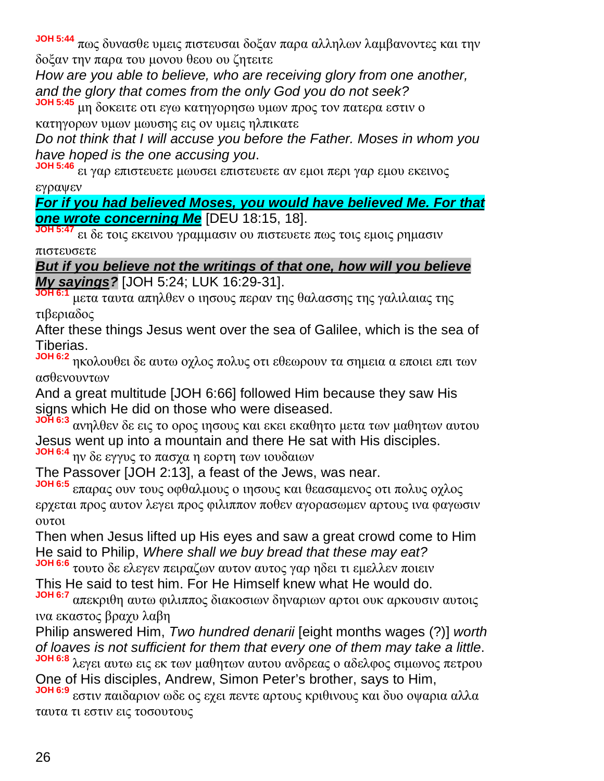**JOH 5:44** πως δυνασθε υμεις πιστευσαι δοξαν παρα αλληλων λαμβανοντες και την δοξαν την παρα του μονου θεου ου ζητειτε

*How are you able to believe, who are receiving glory from one another, and the glory that comes from the only God you do not seek?*

**JOH 5:45** μη δοκειτε οτι εγω κατηγορησω υμων προς τον πατερα εστιν ο κατηγορων υμων μωυσης εις ον υμεις ηλπικατε

*Do not think that I will accuse you before the Father. Moses in whom you have hoped is the one accusing you*.

**JOH 5:46** ει γαρ επιστευετε μωυσει επιστευετε αν εμοι περι γαρ εμου εκεινος εγραψεν

*For if you had believed Moses, you would have believed Me. For that one wrote concerning Me* [DEU 18:15, 18].

**JOH 5:47** ει δε τοις εκεινου γραμμασιν ου πιστευετε πως τοις εμοις ρημασιν πιστευσετε

*But if you believe not the writings of that one, how will you believe My sayings?* [JOH 5:24; LUK 16:29-31].

**JOH 6:1** μετα ταυτα απηλθεν ο ιησους περαν της θαλασσης της γαλιλαιας της τιβεριαδος

After these things Jesus went over the sea of Galilee, which is the sea of Tiberias.

**JOH 6:2** ηκολουθει δε αυτω οχλος πολυς οτι εθεωρουν τα σημεια α εποιει επι των ασθενουντων

And a great multitude [JOH 6:66] followed Him because they saw His signs which He did on those who were diseased.

**JOH 6:3** ανηλθεν δε εις το ορος ιησους και εκει εκαθητο μετα των μαθητων αυτου Jesus went up into a mountain and there He sat with His disciples.

**JOH 6:4** ην δε εγγυς το πασχα η εορτη των ιουδαιων

The Passover [JOH 2:13], a feast of the Jews, was near.

**JOH 6:5** επαρας ουν τους οφθαλμους ο ιησους και θεασαμενος οτι πολυς οχλος ερχεται προς αυτον λεγει προς φιλιππον ποθεν αγορασωμεν αρτους ινα φαγωσιν ουτοι

Then when Jesus lifted up His eyes and saw a great crowd come to Him He said to Philip, *Where shall we buy bread that these may eat?*

**JOH 6:6** τουτο δε ελεγεν πειραζων αυτον αυτος γαρ ηδει τι εμελλεν ποιειν This He said to test him. For He Himself knew what He would do.

**JOH 6:7** απεκριθη αυτω φιλιππος διακοσιων δηναριων αρτοι ουκ αρκουσιν αυτοις ινα εκαστος βραχυ λαβη

Philip answered Him, *Two hundred denarii* [eight months wages (?)] *worth of loaves is not sufficient for them that every one of them may take a little*. **JOH 6:8** λεγει αυτω εις εκ των μαθητων αυτου ανδρεας ο αδελφος σιμωνος πετρου

One of His disciples, Andrew, Simon Peter's brother, says to Him,

**JOH 6:9** εστιν παιδαριον ωδε ος εχει πεντε αρτους κριθινους και δυο οψαρια αλλα ταυτα τι εστιν εις τοσουτους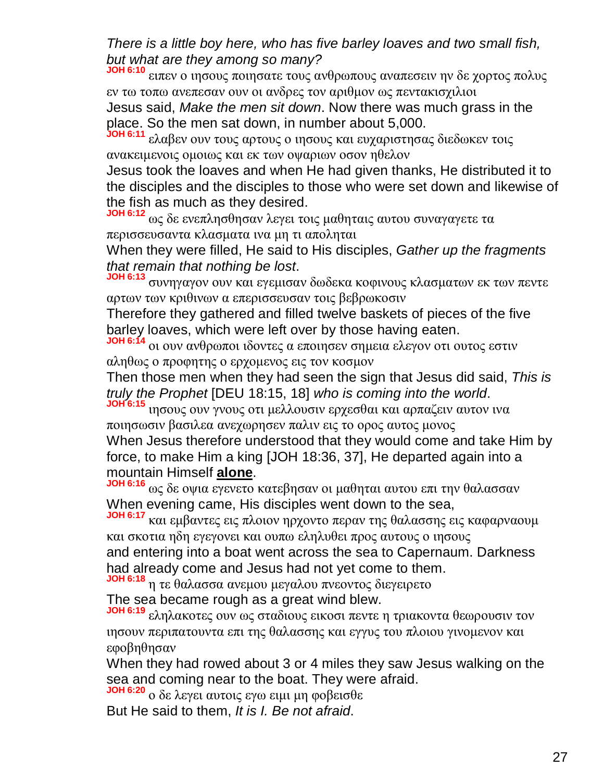*There is a little boy here, who has five barley loaves and two small fish, but what are they among so many?*

**JOH 6:10** ειπεν ο ιησους ποιησατε τους ανθρωπους αναπεσειν ην δε χορτος πολυς εν τω τοπω ανεπεσαν ουν οι ανδρες τον αριθμον ως πεντακισχιλιοι Jesus said, *Make the men sit down*. Now there was much grass in the place. So the men sat down, in number about 5,000.

**JOH 6:11** ελαβεν ουν τους αρτους ο ιησους και ευχαριστησας διεδωκεν τοις ανακειμενοις ομοιως και εκ των οψαριων οσον ηθελον

Jesus took the loaves and when He had given thanks, He distributed it to the disciples and the disciples to those who were set down and likewise of the fish as much as they desired.

**JOH 6:12** ως δε ενεπλησθησαν λεγει τοις μαθηταις αυτου συναγαγετε τα περισσευσαντα κλασματα ινα μη τι αποληται

When they were filled, He said to His disciples, *Gather up the fragments that remain that nothing be lost*.

**JOH 6:13** συνηγαγον ουν και εγεμισαν δωδεκα κοφινους κλασματων εκ των πεντε αρτων των κριθινων α επερισσευσαν τοις βεβρωκοσιν

Therefore they gathered and filled twelve baskets of pieces of the five barley loaves, which were left over by those having eaten.

**JOH 6:14** οι ουν ανθρωποι ιδοντες α εποιησεν σημεια ελεγον οτι ουτος εστιν αληθως ο προφητης ο ερχομενος εις τον κοσμον

Then those men when they had seen the sign that Jesus did said, *This is truly the Prophet* [DEU 18:15, 18] *who is coming into the world*.

**JOH 6:15** ιησους ουν γνους οτι μελλουσιν ερχεσθαι και αρπαζειν αυτον ινα ποιησωσιν βασιλεα ανεχωρησεν παλιν εις το ορος αυτος μονος

When Jesus therefore understood that they would come and take Him by force, to make Him a king [JOH 18:36, 37], He departed again into a mountain Himself **alone**.

**JOH 6:16** ως δε οψια εγενετο κατεβησαν οι μαθηται αυτου επι την θαλασσαν When evening came, His disciples went down to the sea,

**JOH 6:17** και εμβαντες εις πλοιον ηρχοντο περαν της θαλασσης εις καφαρναουμ και σκοτια ηδη εγεγονει και ουπω εληλυθει προς αυτους ο ιησους and entering into a boat went across the sea to Capernaum. Darkness

had already come and Jesus had not yet come to them.

**JOH 6:18** η τε θαλασσα ανεμου μεγαλου πνεοντος διεγειρετο

The sea became rough as a great wind blew.

**JOH 6:19** εληλακοτες ουν ως σταδιους εικοσι πεντε η τριακοντα θεωρουσιν τον ιησουν περιπατουντα επι της θαλασσης και εγγυς του πλοιου γινομενον και εφοβηθησαν

When they had rowed about 3 or 4 miles they saw Jesus walking on the sea and coming near to the boat. They were afraid.

**JOH 6:20** ο δε λεγει αυτοις εγω ειμι μη φοβεισθε

But He said to them, *It is I. Be not afraid*.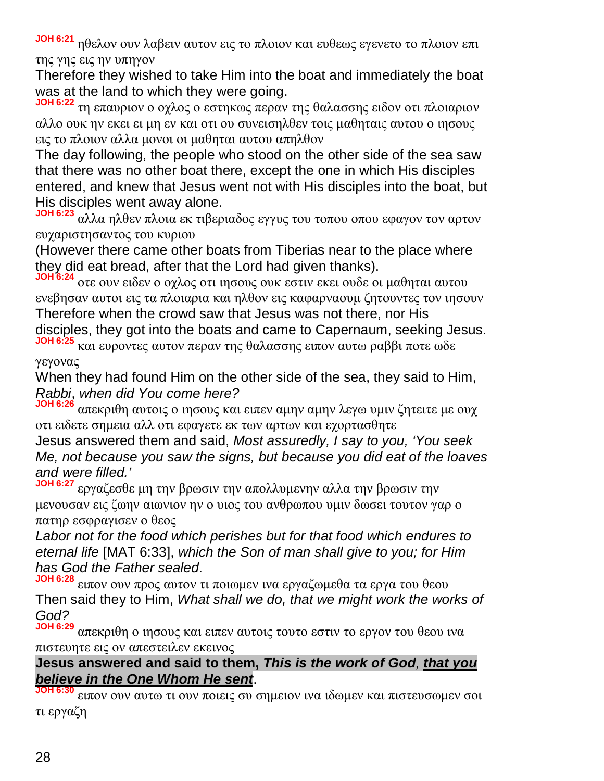**JOH 6:21** ηθελον ουν λαβειν αυτον εις το πλοιον και ευθεως εγενετο το πλοιον επι της γης εις ην υπηγον

Therefore they wished to take Him into the boat and immediately the boat was at the land to which they were going.

**JOH 6:22** τη επαυριον ο οχλος ο εστηκως περαν της θαλασσης ειδον οτι πλοιαριον αλλο ουκ ην εκει ει μη εν και οτι ου συνεισηλθεν τοις μαθηταις αυτου ο ιησους εις το πλοιον αλλα μονοι οι μαθηται αυτου απηλθον

The day following, the people who stood on the other side of the sea saw that there was no other boat there, except the one in which His disciples entered, and knew that Jesus went not with His disciples into the boat, but His disciples went away alone.

**JOH 6:23** αλλα ηλθεν πλοια εκ τιβεριαδος εγγυς του τοπου οπου εφαγον τον αρτον ευχαριστησαντος του κυριου

(However there came other boats from Tiberias near to the place where they did eat bread, after that the Lord had given thanks).

**JOH 6:24** οτε ουν ειδεν ο οχλος οτι ιησους ουκ εστιν εκει ουδε οι μαθηται αυτου ενεβησαν αυτοι εις τα πλοιαρια και ηλθον εις καφαρναουμ ζητουντες τον ιησουν Therefore when the crowd saw that Jesus was not there, nor His disciples, they got into the boats and came to Capernaum, seeking Jesus. **JOH 6:25** και ευροντες αυτον περαν της θαλασσης ειπον αυτω ραββι ποτε ωδε

γεγονας

When they had found Him on the other side of the sea, they said to Him, *Rabbi*, *when did You come here?*

**JOH 6:26** απεκριθη αυτοις ο ιησους και ειπεν αμην αμην λεγω υμιν ζητειτε με ουχ οτι ειδετε σημεια αλλ οτι εφαγετε εκ των αρτων και εχορτασθητε

Jesus answered them and said, *Most assuredly, I say to you, 'You seek Me, not because you saw the signs, but because you did eat of the loaves and were filled.'*

**JOH 6:27** εργαζεσθε μη την βρωσιν την απολλυμενην αλλα την βρωσιν την μενουσαν εις ζωην αιωνιον ην ο υιος του ανθρωπου υμιν δωσει τουτον γαρ ο πατηρ εσφραγισεν ο θεος

*Labor not for the food which perishes but for that food which endures to eternal life* [MAT 6:33], *which the Son of man shall give to you; for Him has God the Father sealed*.

**JOH 6:28** ειπον ουν προς αυτον τι ποιωμεν ινα εργαζωμεθα τα εργα του θεου Then said they to Him, *What shall we do, that we might work the works of God?*

**JOH 6:29** απεκριθη ο ιησους και ειπεν αυτοις τουτο εστιν το εργον του θεου ινα πιστευητε εις ον απεστειλεν εκεινος

#### **Jesus answered and said to them,** *This is the work of God, that you believe in the One Whom He sent*.

**JOH 6:30** ειπον ουν αυτω τι ουν ποιεις συ σημειον ινα ιδωμεν και πιστευσωμεν σοι τι εργαζη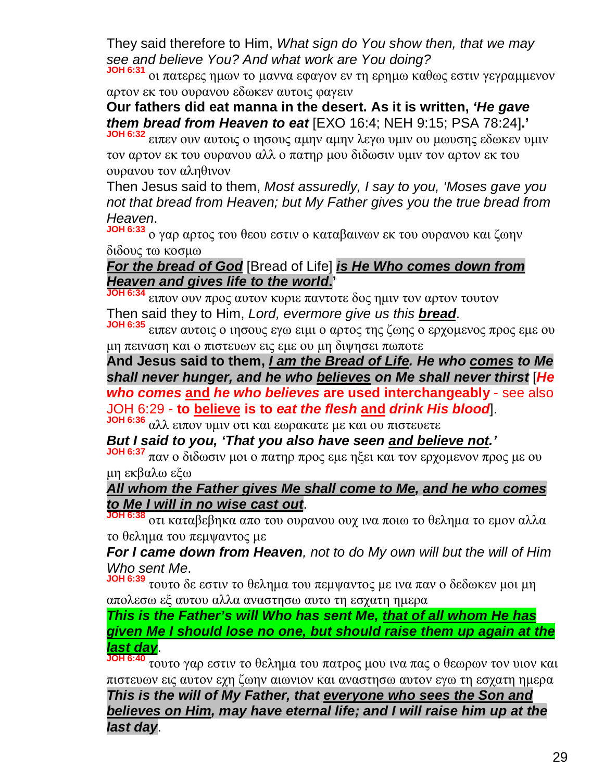They said therefore to Him, *What sign do You show then, that we may see and believe You? And what work are You doing?*

**JOH 6:31** οι πατερες ημων το μαννα εφαγον εν τη ερημω καθως εστιν γεγραμμενον αρτον εκ του ουρανου εδωκεν αυτοις φαγειν

**Our fathers did eat manna in the desert. As it is written,** *'He gave them bread from Heaven to eat* [EXO 16:4; NEH 9:15; PSA 78:24]**.'**

**JOH 6:32** ειπεν ουν αυτοις ο ιησους αμην αμην λεγω υμιν ου μωυσης εδωκεν υμιν τον αρτον εκ του ουρανου αλλ ο πατηρ μου διδωσιν υμιν τον αρτον εκ του ουρανου τον αληθινον

Then Jesus said to them, *Most assuredly, I say to you, 'Moses gave you not that bread from Heaven; but My Father gives you the true bread from Heaven*.

**JOH 6:33** ο γαρ αρτος του θεου εστιν ο καταβαινων εκ του ουρανου και ζωην διδους τω κοσμω

#### *For the bread of God* [Bread of Life] *is He Who comes down from Heaven and gives life to the world***.'**

**JOH 6:34** ειπον ουν προς αυτον κυριε παντοτε δος ημιν τον αρτον τουτον Then said they to Him, *Lord, evermore give us this bread*.

**JOH 6:35** ειπεν αυτοις ο ιησους εγω ειμι ο αρτος της ζωης ο ερχομενος προς εμε ου μη πειναση και ο πιστευων εις εμε ου μη διψησει πωποτε

**And Jesus said to them,** *I am the Bread of Life. He who comes to Me shall never hunger, and he who believes on Me shall never thirst* [*He who comes* **and** *he who believes* **are used interchangeably** - see also JOH 6:29 - **to believe is to** *eat the flesh* **and** *drink His blood*].

**JOH 6:36** αλλ ειπον υμιν οτι και εωρακατε με και ου πιστευετε

*But I said to you, 'That you also have seen and believe not.'*

**JOH 6:37** παν ο διδωσιν μοι ο πατηρ προς εμε ηξει και τον ερχομενον προς με ου μη εκβαλω εξω

#### *All whom the Father gives Me shall come to Me, and he who comes to Me I will in no wise cast out*.

**JOH 6:38** οτι καταβεβηκα απο του ουρανου ουχ ινα ποιω το θελημα το εμον αλλα το θελημα του πεμψαντος με

*For I came down from Heaven, not to do My own will but the will of Him Who sent Me*.

**JOH 6:39** τουτο δε εστιν το θελημα του πεμψαντος με ινα παν ο δεδωκεν μοι μη απολεσω εξ αυτου αλλα αναστησω αυτο τη εσχατη ημερα

*This is the Father's will Who has sent Me, that of all whom He has given Me I should lose no one, but should raise them up again at the last day*.

**JOH 6:40** τουτο γαρ εστιν το θελημα του πατρος μου ινα πας ο θεωρων τον υιον και πιστευων εις αυτον εχη ζωην αιωνιον και αναστησω αυτον εγω τη εσχατη ημερα

*This is the will of My Father, that everyone who sees the Son and believes on Him, may have eternal life; and I will raise him up at the last day*.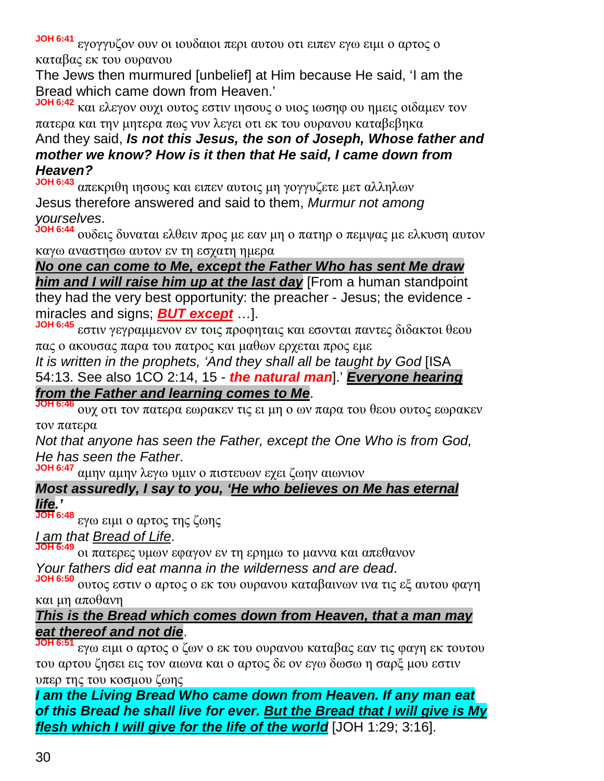**JOH 6:41** εγογγυζον ουν οι ιουδαιοι περι αυτου οτι ειπεν εγω ειμι ο αρτος ο καταβας εκ του ουρανου

The Jews then murmured [unbelief] at Him because He said, 'I am the Bread which came down from Heaven.'

**JOH 6:42** και ελεγον ουχι ουτος εστιν ιησους ο υιος ιωσηφ ου ημεις οιδαμεν τον πατερα και την μητερα πως νυν λεγει οτι εκ του ουρανου καταβεβηκα And they said, *Is not this Jesus, the son of Joseph, Whose father and mother we know? How is it then that He said, I came down from*

#### *Heaven?*

**JOH 6:43** απεκριθη ιησους και ειπεν αυτοις μη γογγυζετε μετ αλληλων Jesus therefore answered and said to them, *Murmur not among yourselves*.

**JOH 6:44** ουδεις δυναται ελθειν προς με εαν μη ο πατηρ ο πεμψας με ελκυση αυτον καγω αναστησω αυτον εν τη εσχατη ημερα

*No one can come to Me, except the Father Who has sent Me draw him and I will raise him up at the last day* [From a human standpoint they had the very best opportunity: the preacher - Jesus; the evidence miracles and signs; *BUT except* …].

**JOH 6:45** εστιν γεγραμμενον εν τοις προφηταις και εσονται παντες διδακτοι θεου πας ο ακουσας παρα του πατρος και μαθων ερχεται προς εμε

*It is written in the prophets, 'And they shall all be taught by God* [ISA 54:13. See also 1CO 2:14, 15 - *the natural man*].' *Everyone hearing from the Father and learning comes to Me*.

**JOH 6:46** ουχ οτι τον πατερα εωρακεν τις ει μη ο ων παρα του θεου ουτος εωρακεν τον πατερα

*Not that anyone has seen the Father, except the One Who is from God, He has seen the Father*.

**JOH 6:47** αμην αμην λεγω υμιν ο πιστευων εχει ζωην αιωνιον

#### *Most assuredly, I say to you, 'He who believes on Me has eternal life.'*

**JOH 6:48** εγω ειμι ο αρτος της ζωης

#### *I am that Bread of Life*.

**JOH 6:49** οι πατερες υμων εφαγον εν τη ερημω το μαννα και απεθανον *Your fathers did eat manna in the wilderness and are dead*.

**JOH 6:50** ουτος εστιν ο αρτος ο εκ του ουρανου καταβαινων ινα τις εξ αυτου φαγη και μη αποθανη

#### *This is the Bread which comes down from Heaven, that a man may eat thereof and not die*.

**JOH 6:51** εγω ειμι ο αρτος ο ζων ο εκ του ουρανου καταβας εαν τις φαγη εκ τουτου του αρτου ζησει εις τον αιωνα και ο αρτος δε ον εγω δωσω η σαρξ μου εστιν υπερ της του κοσμου ζωης

*I am the Living Bread Who came down from Heaven. If any man eat of this Bread he shall live for ever. But the Bread that I will give is My flesh which I will give for the life of the world* [JOH 1:29; 3:16].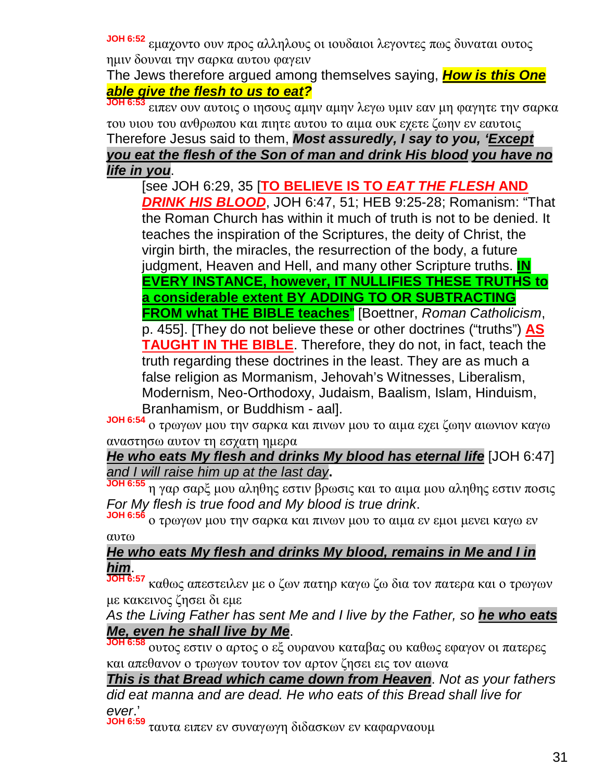**JOH 6:52** εμαχοντο ουν προς αλληλους οι ιουδαιοι λεγοντες πως δυναται ουτος ημιν δουναι την σαρκα αυτου φαγειν

The Jews therefore argued among themselves saying, *How is this One able give the flesh to us to eat?*

**JOH 6:53** ειπεν ουν αυτοις ο ιησους αμην αμην λεγω υμιν εαν μη φαγητε την σαρκα του υιου του ανθρωπου και πιητε αυτου το αιμα ουκ εχετε ζωην εν εαυτοις Therefore Jesus said to them, *Most assuredly, I say to you, 'Except you eat the flesh of the Son of man and drink His blood you have no life in you*.

[see JOH 6:29, 35 [**TO BELIEVE IS TO** *EAT THE FLESH* **AND** *DRINK HIS BLOOD*, JOH 6:47, 51; HEB 9:25-28; Romanism: "That the Roman Church has within it much of truth is not to be denied. It teaches the inspiration of the Scriptures, the deity of Christ, the virgin birth, the miracles, the resurrection of the body, a future judgment, Heaven and Hell, and many other Scripture truths. **IN EVERY INSTANCE, however, IT NULLIFIES THESE TRUTHS to a considerable extent BY ADDING TO OR SUBTRACTING FROM what THE BIBLE teaches**" [Boettner, *Roman Catholicism*, p. 455]. [They do not believe these or other doctrines ("truths") **AS TAUGHT IN THE BIBLE**. Therefore, they do not, in fact, teach the truth regarding these doctrines in the least. They are as much a false religion as Mormanism, Jehovah's Witnesses, Liberalism, Modernism, Neo-Orthodoxy, Judaism, Baalism, Islam, Hinduism, Branhamism, or Buddhism - aal].

**JOH 6:54** ο τρωγων μου την σαρκα και πινων μου το αιμα εχει ζωην αιωνιον καγω αναστησω αυτον τη εσχατη ημερα

*He who eats My flesh and drinks My blood has eternal life* [JOH 6:47] *and I will raise him up at the last day***.**

**JOH 6:55** η γαρ σαρξ μου αληθης εστιν βρωσις και το αιμα μου αληθης εστιν ποσις *For My flesh is true food and My blood is true drink*.

**JOH 6:56** ο τρωγων μου την σαρκα και πινων μου το αιμα εν εμοι μενει καγω εν αυτω

#### *He who eats My flesh and drinks My blood, remains in Me and I in him*.

**JOH 6:57** καθως απεστειλεν με ο ζων πατηρ καγω ζω δια τον πατερα και ο τρωγων με κακεινος ζησει δι εμε

*As the Living Father has sent Me and I live by the Father, so he who eats Me, even he shall live by Me*.

**JOH 6:58** ουτος εστιν ο αρτος ο εξ ουρανου καταβας ου καθως εφαγον οι πατερες και απεθανον ο τρωγων τουτον τον αρτον ζησει εις τον αιωνα

*This is that Bread which came down from Heaven*. *Not as your fathers did eat manna and are dead. He who eats of this Bread shall live for ever*.'

**JOH 6:59** ταυτα ειπεν εν συναγωγη διδασκων εν καφαρναουμ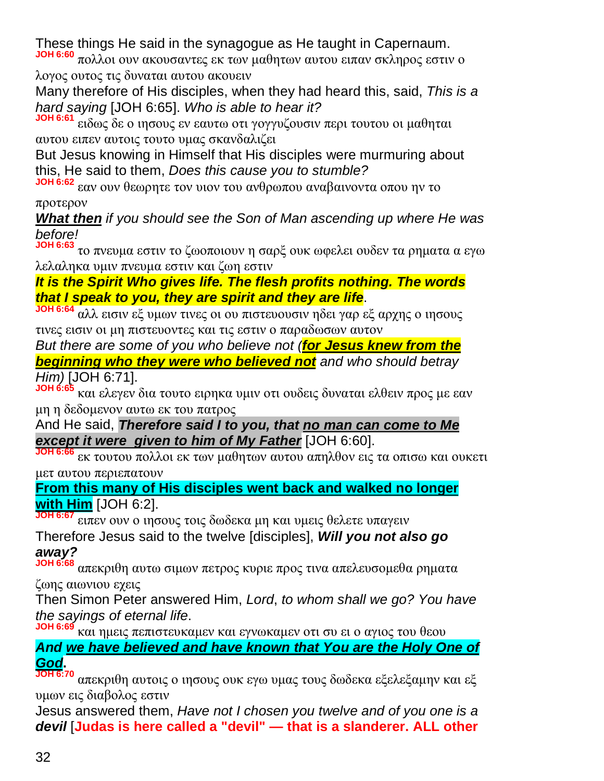These things He said in the synagogue as He taught in Capernaum.

**JOH 6:60** πολλοι ουν ακουσαντες εκ των μαθητων αυτου ειπαν σκληρος εστιν ο λογος ουτος τις δυναται αυτου ακουειν

Many therefore of His disciples, when they had heard this, said, *This is a hard saying* [JOH 6:65]. *Who is able to hear it?*

**JOH 6:61** ειδως δε ο ιησους εν εαυτω οτι γογγυζουσιν περι τουτου οι μαθηται αυτου ειπεν αυτοις τουτο υμας σκανδαλιζει

But Jesus knowing in Himself that His disciples were murmuring about this, He said to them, *Does this cause you to stumble?*

**JOH 6:62** εαν ουν θεωρητε τον υιον του ανθρωπου αναβαινοντα οπου ην το

προτερον

*What then if you should see the Son of Man ascending up where He was before!*

**JOH 6:63** το πνευμα εστιν το ζωοποιουν η σαρξ ουκ ωφελει ουδεν τα ρηματα α εγω λελαληκα υμιν πνευμα εστιν και ζωη εστιν

#### *It is the Spirit Who gives life. The flesh profits nothing. The words that I speak to you, they are spirit and they are life*.

**JOH 6:64** αλλ εισιν εξ υμων τινες οι ου πιστευουσιν ηδει γαρ εξ αρχης ο ιησους τινες εισιν οι μη πιστευοντες και τις εστιν ο παραδωσων αυτον

*But there are some of you who believe not (for Jesus knew from the beginning who they were who believed not and who should betray Him)* [JOH 6:71].

**JOH 6:65** και ελεγεν δια τουτο ειρηκα υμιν οτι ουδεις δυναται ελθειν προς με εαν μη η δεδομενον αυτω εκ του πατρος

And He said, *Therefore said I to you, that no man can come to Me except it were given to him of My Father* [JOH 6:60].

**JOH 6:66** εκ τουτου πολλοι εκ των μαθητων αυτου απηλθον εις τα οπισω και ουκετι μετ αυτου περιεπατουν

**From this many of His disciples went back and walked no longer with Him** [JOH 6:2].

**JOH 6:67** ειπεν ουν ο ιησους τοις δωδεκα μη και υμεις θελετε υπαγειν

Therefore Jesus said to the twelve [disciples], *Will you not also go away?*

**JOH 6:68** απεκριθη αυτω σιμων πετρος κυριε προς τινα απελευσομεθα ρηματα ζωης αιωνιου εχεις

Then Simon Peter answered Him, *Lord*, *to whom shall we go? You have the sayings of eternal life*.

**JOH 6:69** και ημεις πεπιστευκαμεν και εγνωκαμεν οτι συ ει ο αγιος του θεου

*And we have believed and have known that You are the Holy One of God***.**

**JOH 6:70** απεκριθη αυτοις ο ιησους ουκ εγω υμας τους δωδεκα εξελεξαμην και εξ υμων εις διαβολος εστιν

Jesus answered them, *Have not I chosen you twelve and of you one is a devil* [**Judas is here called a "devil" — that is a slanderer. ALL other**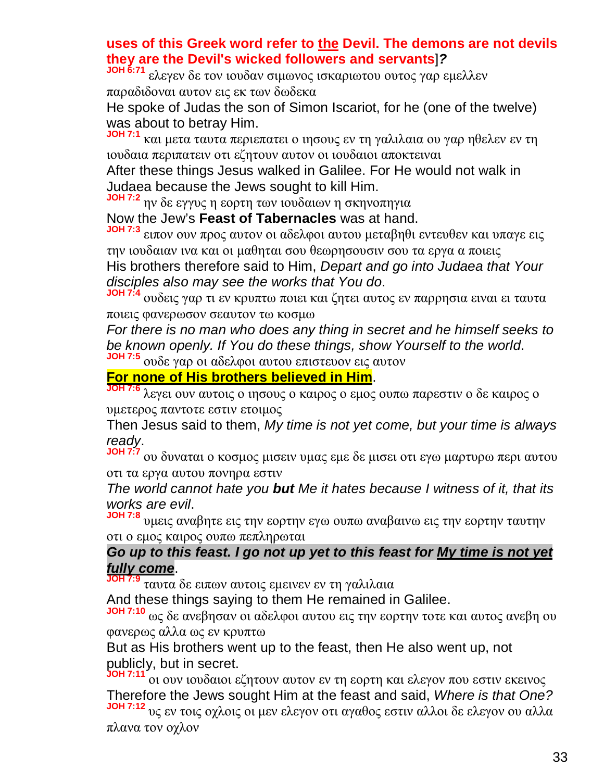#### **uses of this Greek word refer to the Devil. The demons are not devils they are the Devil's wicked followers and servants**]*?*

**JOH 6:71** ελεγεν δε τον ιουδαν σιμωνος ισκαριωτου ουτος γαρ εμελλεν παραδιδοναι αυτον εις εκ των δωδεκα

He spoke of Judas the son of Simon Iscariot, for he (one of the twelve) was about to betray Him.

**JOH 7:1** και μετα ταυτα περιεπατει ο ιησους εν τη γαλιλαια ου γαρ ηθελεν εν τη ιουδαια περιπατειν οτι εζητουν αυτον οι ιουδαιοι αποκτειναι

After these things Jesus walked in Galilee. For He would not walk in Judaea because the Jews sought to kill Him.

**JOH 7:2** ην δε εγγυς η εορτη των ιουδαιων η σκηνοπηγια

Now the Jew's **Feast of Tabernacles** was at hand.

**JOH 7:3** ειπον ουν προς αυτον οι αδελφοι αυτου μεταβηθι εντευθεν και υπαγε εις την ιουδαιαν ινα και οι μαθηται σου θεωρησουσιν σου τα εργα α ποιεις

His brothers therefore said to Him, *Depart and go into Judaea that Your disciples also may see the works that You do*.

**JOH 7:4** ουδεις γαρ τι εν κρυπτω ποιει και ζητει αυτος εν παρρησια ειναι ει ταυτα ποιεις φανερωσον σεαυτον τω κοσμω

*For there is no man who does any thing in secret and he himself seeks to be known openly. If You do these things, show Yourself to the world*.

**JOH 7:5** ουδε γαρ οι αδελφοι αυτου επιστευον εις αυτον

#### **For none of His brothers believed in Him**.

**JOH 7:6** λεγει ουν αυτοις ο ιησους ο καιρος ο εμος ουπω παρεστιν ο δε καιρος ο υμετερος παντοτε εστιν ετοιμος

Then Jesus said to them, *My time is not yet come, but your time is always ready*.

**JOH 7:7** ου δυναται ο κοσμος μισειν υμας εμε δε μισει οτι εγω μαρτυρω περι αυτου οτι τα εργα αυτου πονηρα εστιν

*The world cannot hate you but Me it hates because I witness of it, that its works are evil*.

**JOH 7:8** υμεις αναβητε εις την εορτην εγω ουπω αναβαινω εις την εορτην ταυτην οτι ο εμος καιρος ουπω πεπληρωται

#### *Go up to this feast. I go not up yet to this feast for My time is not yet fully come*.

**JOH 7:9** ταυτα δε ειπων αυτοις εμεινεν εν τη γαλιλαια

And these things saying to them He remained in Galilee.

**JOH 7:10** ως δε ανεβησαν οι αδελφοι αυτου εις την εορτην τοτε και αυτος ανεβη ου φανερως αλλα ως εν κρυπτω

But as His brothers went up to the feast, then He also went up, not publicly, but in secret.

**JOH 7:11** οι ουν ιουδαιοι εζητουν αυτον εν τη εορτη και ελεγον που εστιν εκεινος Therefore the Jews sought Him at the feast and said, *Where is that One?* **JOH 7:12** υς εν τοις οχλοις οι μεν ελεγον οτι αγαθος εστιν αλλοι δε ελεγον ου αλλα πλανα τον οχλον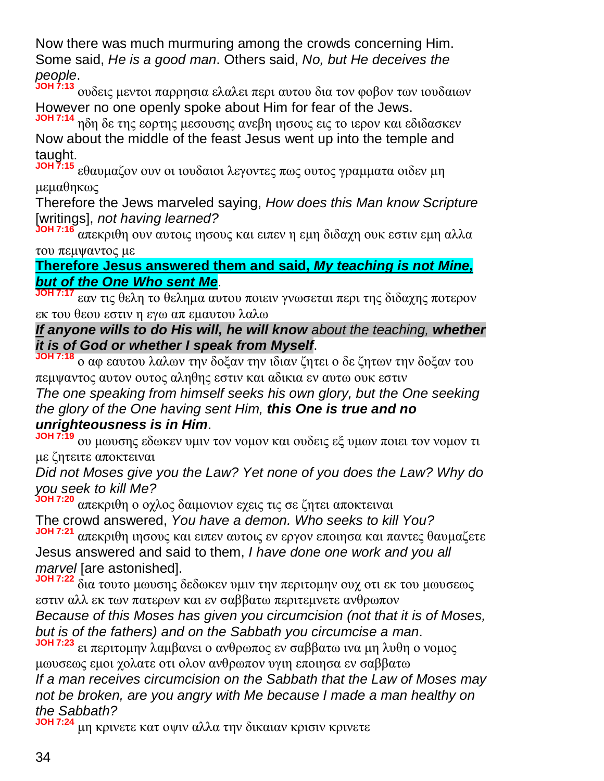Now there was much murmuring among the crowds concerning Him. Some said, *He is a good man*. Others said, *No, but He deceives the people*.

**JOH 7:13** ουδεις μεντοι παρρησια ελαλει περι αυτου δια τον φοβον των ιουδαιων However no one openly spoke about Him for fear of the Jews.

**JOH 7:14** ηδη δε της εορτης μεσουσης ανεβη ιησους εις το ιερον και εδιδασκεν Now about the middle of the feast Jesus went up into the temple and taught.

**JOH 7:15** εθαυμαζον ουν οι ιουδαιοι λεγοντες πως ουτος γραμματα οιδεν μη μεμαθηκως

Therefore the Jews marveled saying, *How does this Man know Scripture* [writings], *not having learned?*

**JOH 7:16** απεκριθη ουν αυτοις ιησους και ειπεν η εμη διδαχη ουκ εστιν εμη αλλα του πεμψαντος με

#### **Therefore Jesus answered them and said,** *My teaching is not Mine, but of the One Who sent Me*.

**JOH 7:17** εαν τις θελη το θελημα αυτου ποιειν γνωσεται περι της διδαχης ποτερον εκ του θεου εστιν η εγω απ εμαυτου λαλω

*If anyone wills to do His will, he will know about the teaching, whether it is of God or whether I speak from Myself*.

**JOH 7:18** ο αφ εαυτου λαλων την δοξαν την ιδιαν ζητει ο δε ζητων την δοξαν του πεμψαντος αυτον ουτος αληθης εστιν και αδικια εν αυτω ουκ εστιν

*The one speaking from himself seeks his own glory, but the One seeking the glory of the One having sent Him, this One is true and no unrighteousness is in Him*.

**JOH 7:19** ου μωυσης εδωκεν υμιν τον νομον και ουδεις εξ υμων ποιει τον νομον τι με ζητειτε αποκτειναι

*Did not Moses give you the Law? Yet none of you does the Law? Why do you seek to kill Me?*

**JOH 7:20** απεκριθη ο οχλος δαιμονιον εχεις τις σε ζητει αποκτειναι The crowd answered, *You have a demon. Who seeks to kill You?*

**JOH 7:21** απεκριθη ιησους και ειπεν αυτοις εν εργον εποιησα και παντες θαυμαζετε Jesus answered and said to them, *I have done one work and you all marvel* [are astonished].

**JOH 7:22** δια τουτο μωυσης δεδωκεν υμιν την περιτομην ουχ οτι εκ του μωυσεως εστιν αλλ εκ των πατερων και εν σαββατω περιτεμνετε ανθρωπον *Because of this Moses has given you circumcision (not that it is of Moses,*

*but is of the fathers) and on the Sabbath you circumcise a man*.

**JOH 7:23** ει περιτομην λαμβανει ο ανθρωπος εν σαββατω ινα μη λυθη ο νομος μωυσεως εμοι χολατε οτι ολον ανθρωπον υγιη εποιησα εν σαββατω

*If a man receives circumcision on the Sabbath that the Law of Moses may not be broken, are you angry with Me because I made a man healthy on the Sabbath?*

**JOH 7:24** μη κρινετε κατ οψιν αλλα την δικαιαν κρισιν κρινετε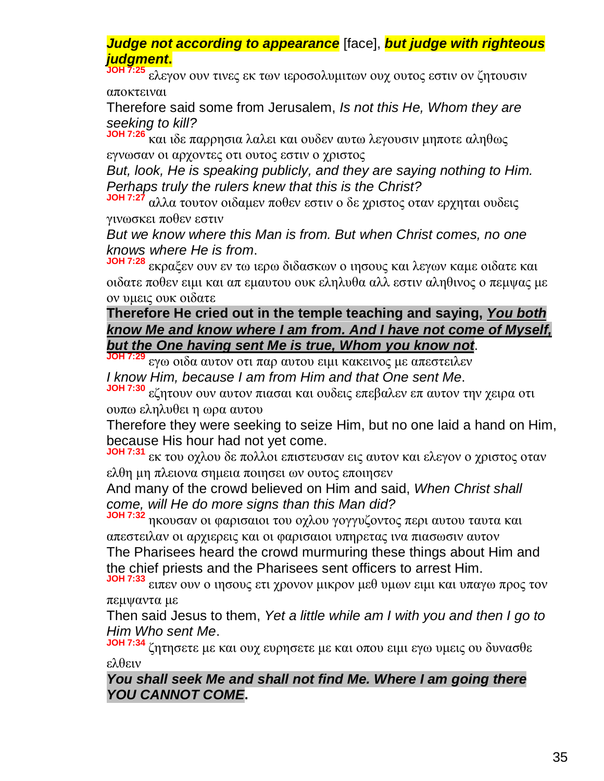*Judge not according to appearance* [face], *but judge with righteous judgment***.**

**JOH 7:25** ελεγον ουν τινες εκ των ιεροσολυμιτων ουχ ουτος εστιν ον ζητουσιν αποκτειναι

Therefore said some from Jerusalem, *Is not this He, Whom they are seeking to kill?*

**JOH 7:26** και ιδε παρρησια λαλει και ουδεν αυτω λεγουσιν μηποτε αληθως εγνωσαν οι αρχοντες οτι ουτος εστιν ο χριστος

*But, look, He is speaking publicly, and they are saying nothing to Him. Perhaps truly the rulers knew that this is the Christ?*

**JOH 7:27** αλλα τουτον οιδαμεν ποθεν εστιν ο δε χριστος οταν ερχηται ουδεις γινωσκει ποθεν εστιν

*But we know where this Man is from. But when Christ comes, no one knows where He is from*.

**JOH 7:28** εκραξεν ουν εν τω ιερω διδασκων ο ιησους και λεγων καμε οιδατε και οιδατε ποθεν ειμι και απ εμαυτου ουκ εληλυθα αλλ εστιν αληθινος ο πεμψας με ον υμεις ουκ οιδατε

#### **Therefore He cried out in the temple teaching and saying,** *You both know Me and know where I am from. And I have not come of Myself, but the One having sent Me is true, Whom you know not*.

**JOH 7:29** εγω οιδα αυτον οτι παρ αυτου ειμι κακεινος με απεστειλεν *I know Him, because I am from Him and that One sent Me*.

**JOH 7:30** εζητουν ουν αυτον πιασαι και ουδεις επεβαλεν επ αυτον την χειρα οτι ουπω εληλυθει η ωρα αυτου

Therefore they were seeking to seize Him, but no one laid a hand on Him, because His hour had not yet come.

**JOH 7:31** εκ του οχλου δε πολλοι επιστευσαν εις αυτον και ελεγον ο χριστος οταν ελθη μη πλειονα σημεια ποιησει ων ουτος εποιησεν

And many of the crowd believed on Him and said, *When Christ shall come, will He do more signs than this Man did?*

**JOH 7:32** ηκουσαν οι φαρισαιοι του οχλου γογγυζοντος περι αυτου ταυτα και απεστειλαν οι αρχιερεις και οι φαρισαιοι υπηρετας ινα πιασωσιν αυτον The Pharisees heard the crowd murmuring these things about Him and the chief priests and the Pharisees sent officers to arrest Him.

**JOH 7:33** ειπεν ουν ο ιησους ετι χρονον μικρον μεθ υμων ειμι και υπαγω προς τον πεμψαντα με

Then said Jesus to them, *Yet a little while am I with you and then I go to Him Who sent Me*.

**JOH 7:34** ζητησετε με και ουχ ευρησετε με και οπου ειμι εγω υμεις ου δυνασθε ελθειν

*You shall seek Me and shall not find Me. Where I am going there YOU CANNOT COME***.**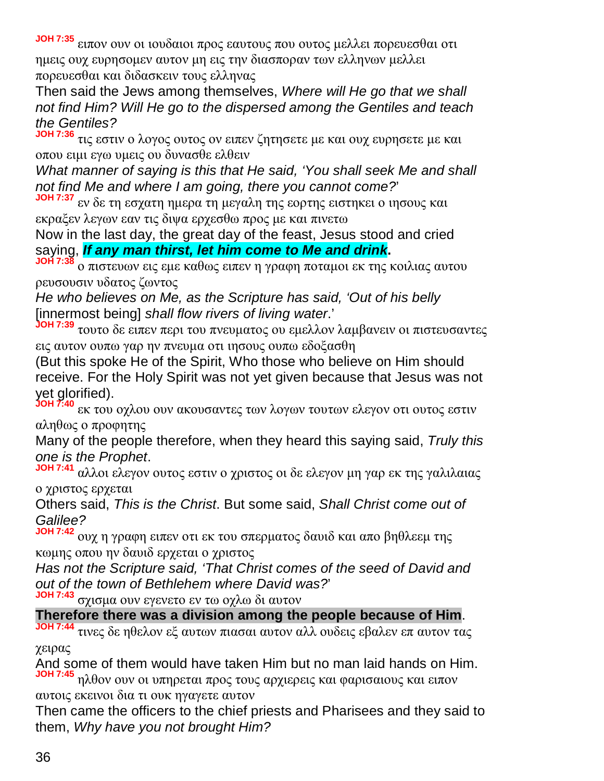**JOH 7:35** ειπον ουν οι ιουδαιοι προς εαυτους που ουτος μελλει πορευεσθαι οτι ημεις ουχ ευρησομεν αυτον μη εις την διασποραν των ελληνων μελλει πορευεσθαι και διδασκειν τους ελληνας

Then said the Jews among themselves, *Where will He go that we shall not find Him? Will He go to the dispersed among the Gentiles and teach the Gentiles?*

**JOH 7:36** τις εστιν ο λογος ουτος ον ειπεν ζητησετε με και ουχ ευρησετε με και οπου ειμι εγω υμεις ου δυνασθε ελθειν

*What manner of saying is this that He said, 'You shall seek Me and shall not find Me and where I am going, there you cannot come?*'

**JOH 7:37** εν δε τη εσχατη ημερα τη μεγαλη της εορτης ειστηκει ο ιησους και εκραξεν λεγων εαν τις διψα ερχεσθω προς με και πινετω

Now in the last day, the great day of the feast, Jesus stood and cried saying, *If any man thirst, let him come to Me and drink***.**

**JOH 7:38** ο πιστευων εις εμε καθως ειπεν η γραφη ποταμοι εκ της κοιλιας αυτου ρευσουσιν υδατος ζωντος

*He who believes on Me, as the Scripture has said, 'Out of his belly* [innermost being] *shall flow rivers of living water*.'

**JOH 7:39** τουτο δε ειπεν περι του πνευματος ου εμελλον λαμβανειν οι πιστευσαντες εις αυτον ουπω γαρ ην πνευμα οτι ιησους ουπω εδοξασθη

(But this spoke He of the Spirit, Who those who believe on Him should receive. For the Holy Spirit was not yet given because that Jesus was not yet glorified).

**JOH 7:40** εκ του οχλου ουν ακουσαντες των λογων τουτων ελεγον οτι ουτος εστιν αληθως ο προφητης

Many of the people therefore, when they heard this saying said, *Truly this one is the Prophet*.

**JOH 7:41** αλλοι ελεγον ουτος εστιν ο χριστος οι δε ελεγον μη γαρ εκ της γαλιλαιας ο χριστος ερχεται

Others said, *This is the Christ*. But some said, *Shall Christ come out of Galilee?*

**JOH 7:42** ουχ η γραφη ειπεν οτι εκ του σπερματος δαυιδ και απο βηθλεεμ της κωμης οπου ην δαυιδ ερχεται ο χριστος

*Has not the Scripture said, 'That Christ comes of the seed of David and out of the town of Bethlehem where David was?*'

**JOH 7:43** σχισμα ουν εγενετο εν τω οχλω δι αυτον

**Therefore there was a division among the people because of Him**.

**JOH 7:44** τινες δε ηθελον εξ αυτων πιασαι αυτον αλλ ουδεις εβαλεν επ αυτον τας χειρας

And some of them would have taken Him but no man laid hands on Him. **JOH 7:45** ηλθον ουν οι υπηρεται προς τους αρχιερεις και φαρισαιους και ειπον

αυτοις εκεινοι δια τι ουκ ηγαγετε αυτον

Then came the officers to the chief priests and Pharisees and they said to them, *Why have you not brought Him?*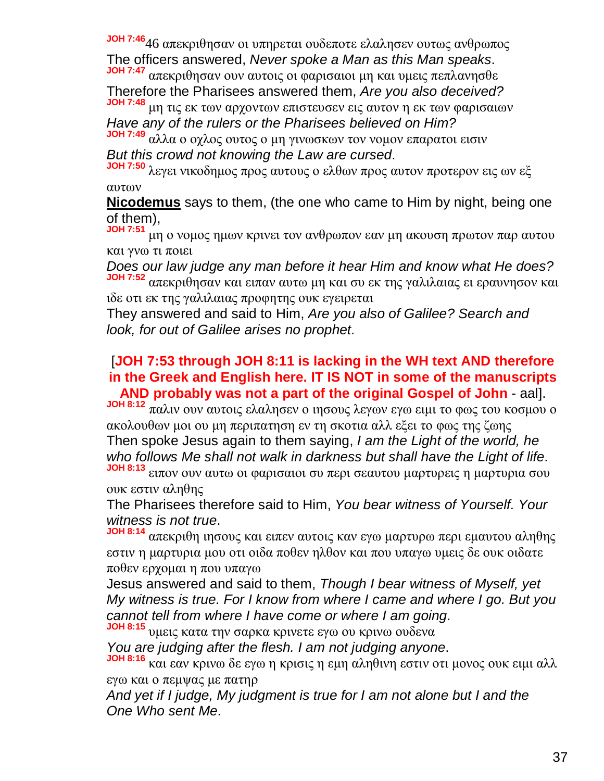**JOH 7:46**46 απεκριθησαν οι υπηρεται ουδεποτε ελαλησεν ουτως ανθρωπος The officers answered, *Never spoke a Man as this Man speaks*.

**JOH 7:47** απεκριθησαν ουν αυτοις οι φαρισαιοι μη και υμεις πεπλανησθε Therefore the Pharisees answered them, *Are you also deceived?*

**JOH 7:48** μη τις εκ των αρχοντων επιστευσεν εις αυτον η εκ των φαρισαιων *Have any of the rulers or the Pharisees believed on Him?*

**JOH 7:49** αλλα ο οχλος ουτος ο μη γινωσκων τον νομον επαρατοι εισιν *But this crowd not knowing the Law are cursed*.

**JOH 7:50** λεγει νικοδημος προς αυτους ο ελθων προς αυτον προτερον εις ων εξ αυτων

**Nicodemus** says to them, (the one who came to Him by night, being one of them),

**JOH 7:51** μη ο νομος ημων κρινει τον ανθρωπον εαν μη ακουση πρωτον παρ αυτου και γνω τι ποιει

*Does our law judge any man before it hear Him and know what He does?* **JOH 7:52** απεκριθησαν και ειπαν αυτω μη και συ εκ της γαλιλαιας ει εραυνησον και ιδε οτι εκ της γαλιλαιας προφητης ουκ εγειρεται

They answered and said to Him, *Are you also of Galilee? Search and look, for out of Galilee arises no prophet*.

#### [**JOH 7:53 through JOH 8:11 is lacking in the WH text AND therefore in the Greek and English here. IT IS NOT in some of the manuscripts AND probably was not a part of the original Gospel of John** - aal].

**JOH 8:12** παλιν ουν αυτοις ελαλησεν ο ιησους λεγων εγω ειμι το φως του κοσμου ο ακολουθων μοι ου μη περιπατηση εν τη σκοτια αλλ εξει το φως της ζωης Then spoke Jesus again to them saying, *I am the Light of the world, he who follows Me shall not walk in darkness but shall have the Light of life*.

**JOH 8:13** ειπον ουν αυτω οι φαρισαιοι συ περι σεαυτου μαρτυρεις η μαρτυρια σου ουκ εστιν αληθης

The Pharisees therefore said to Him, *You bear witness of Yourself. Your witness is not true*.

**JOH 8:14** απεκριθη ιησους και ειπεν αυτοις καν εγω μαρτυρω περι εμαυτου αληθης εστιν η μαρτυρια μου οτι οιδα ποθεν ηλθον και που υπαγω υμεις δε ουκ οιδατε ποθεν ερχομαι η που υπαγω

Jesus answered and said to them, *Though I bear witness of Myself, yet My witness is true. For I know from where I came and where I go. But you cannot tell from where I have come or where I am going*.

**JOH 8:15** υμεις κατα την σαρκα κρινετε εγω ου κρινω ουδενα

*You are judging after the flesh. I am not judging anyone*.

**JOH 8:16** και εαν κρινω δε εγω η κρισις η εμη αληθινη εστιν οτι μονος ουκ ειμι αλλ εγω και ο πεμψας με πατηρ

*And yet if I judge, My judgment is true for I am not alone but I and the One Who sent Me*.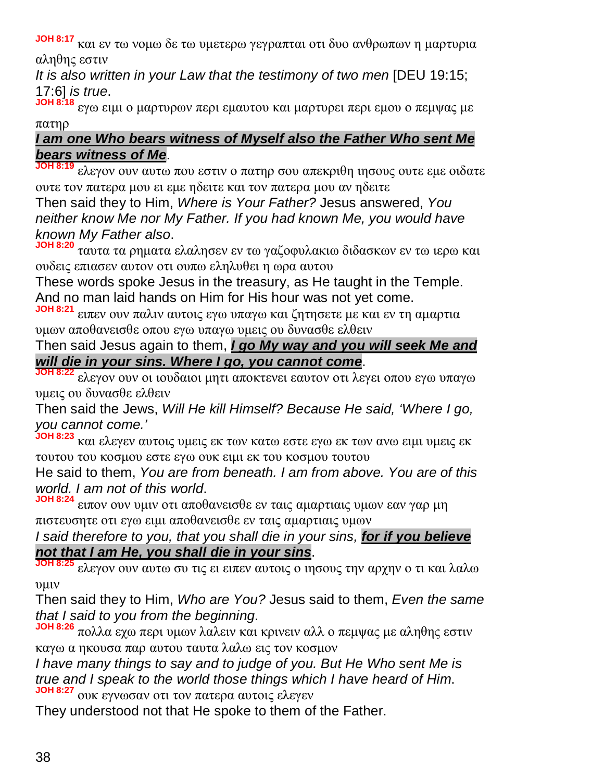**JOH 8:17** και εν τω νομω δε τω υμετερω γεγραπται οτι δυο ανθρωπων η μαρτυρια αληθης εστιν

*It is also written in your Law that the testimony of two men* [DEU 19:15; 17:6] *is true*.

**JOH 8:18** εγω ειμι ο μαρτυρων περι εμαυτου και μαρτυρει περι εμου ο πεμψας με πατηρ

# *I am one Who bears witness of Myself also the Father Who sent Me bears witness of Me*.

**JOH 8:19** ελεγον ουν αυτω που εστιν ο πατηρ σου απεκριθη ιησους ουτε εμε οιδατε ουτε τον πατερα μου ει εμε ηδειτε και τον πατερα μου αν ηδειτε

Then said they to Him, *Where is Your Father?* Jesus answered, *You neither know Me nor My Father. If you had known Me, you would have known My Father also*.

**JOH 8:20** ταυτα τα ρηματα ελαλησεν εν τω γαζοφυλακιω διδασκων εν τω ιερω και ουδεις επιασεν αυτον οτι ουπω εληλυθει η ωρα αυτου

These words spoke Jesus in the treasury, as He taught in the Temple. And no man laid hands on Him for His hour was not yet come.

**JOH 8:21** ειπεν ουν παλιν αυτοις εγω υπαγω και ζητησετε με και εν τη αμαρτια υμων αποθανεισθε οπου εγω υπαγω υμεις ου δυνασθε ελθειν

Then said Jesus again to them, *I go My way and you will seek Me and will die in your sins. Where I go, you cannot come*.

**JOH 8:22** ελεγον ουν οι ιουδαιοι μητι αποκτενει εαυτον οτι λεγει οπου εγω υπαγω υμεις ου δυνασθε ελθειν

Then said the Jews, *Will He kill Himself? Because He said, 'Where I go, you cannot come.'*

**JOH 8:23** και ελεγεν αυτοις υμεις εκ των κατω εστε εγω εκ των ανω ειμι υμεις εκ τουτου του κοσμου εστε εγω ουκ ειμι εκ του κοσμου τουτου

He said to them, *You are from beneath. I am from above. You are of this world. I am not of this world*.

**JOH 8:24** ειπον ουν υμιν οτι αποθανεισθε εν ταις αμαρτιαις υμων εαν γαρ μη πιστευσητε οτι εγω ειμι αποθανεισθε εν ταις αμαρτιαις υμων

*I said therefore to you, that you shall die in your sins, for if you believe not that I am He, you shall die in your sins*.

**JOH 8:25** ελεγον ουν αυτω συ τις ει ειπεν αυτοις ο ιησους την αρχην ο τι και λαλω υμιν

Then said they to Him, *Who are You?* Jesus said to them, *Even the same that I said to you from the beginning*.

**JOH 8:26** πολλα εχω περι υμων λαλειν και κρινειν αλλ ο πεμψας με αληθης εστιν καγω α ηκουσα παρ αυτου ταυτα λαλω εις τον κοσμον

*I have many things to say and to judge of you. But He Who sent Me is true and I speak to the world those things which I have heard of Him*. **JOH 8:27** ουκ εγνωσαν οτι τον πατερα αυτοις ελεγεν

They understood not that He spoke to them of the Father.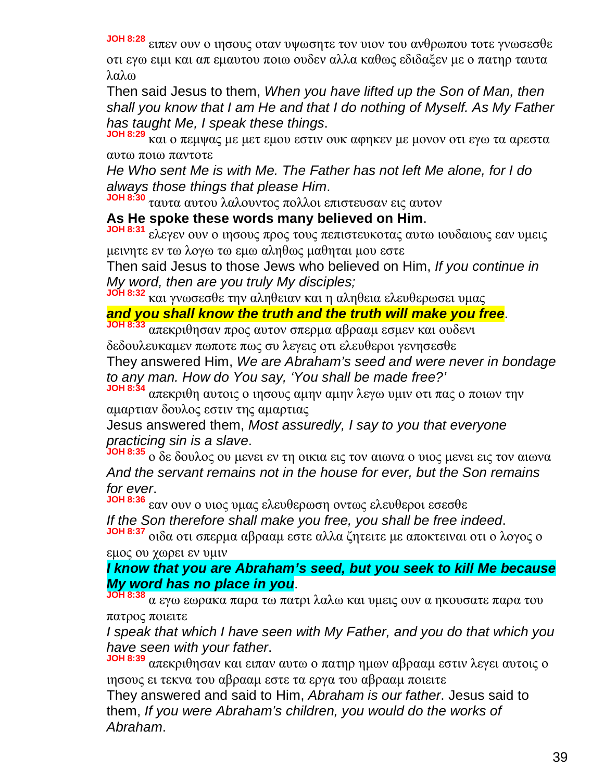**JOH 8:28** ειπεν ουν ο ιησους οταν υψωσητε τον υιον του ανθρωπου τοτε γνωσεσθε οτι εγω ειμι και απ εμαυτου ποιω ουδεν αλλα καθως εδιδαξεν με ο πατηρ ταυτα λαλω

Then said Jesus to them, *When you have lifted up the Son of Man, then shall you know that I am He and that I do nothing of Myself. As My Father has taught Me, I speak these things*.

**JOH 8:29** και ο πεμψας με μετ εμου εστιν ουκ αφηκεν με μονον οτι εγω τα αρεστα αυτω ποιω παντοτε

*He Who sent Me is with Me. The Father has not left Me alone, for I do always those things that please Him*.

**JOH 8:30** ταυτα αυτου λαλουντος πολλοι επιστευσαν εις αυτον

## **As He spoke these words many believed on Him**.

**JOH 8:31** ελεγεν ουν ο ιησους προς τους πεπιστευκοτας αυτω ιουδαιους εαν υμεις μεινητε εν τω λογω τω εμω αληθως μαθηται μου εστε

Then said Jesus to those Jews who believed on Him, *If you continue in My word, then are you truly My disciples;*

**JOH 8:32** και γνωσεσθε την αληθειαν και η αληθεια ελευθερωσει υμας

# *and you shall know the truth and the truth will make you free*.

**JOH 8:33** απεκριθησαν προς αυτον σπερμα αβρααμ εσμεν και ουδενι δεδουλευκαμεν πωποτε πως συ λεγεις οτι ελευθεροι γενησεσθε

They answered Him, *We are Abraham's seed and were never in bondage to any man. How do You say, 'You shall be made free?'*

**JOH 8:34** απεκριθη αυτοις ο ιησους αμην αμην λεγω υμιν οτι πας ο ποιων την αμαρτιαν δουλος εστιν της αμαρτιας

Jesus answered them, *Most assuredly, I say to you that everyone practicing sin is a slave*.

**JOH 8:35** ο δε δουλος ου μενει εν τη οικια εις τον αιωνα ο υιος μενει εις τον αιωνα *And the servant remains not in the house for ever, but the Son remains for ever*.

**JOH 8:36** εαν ουν ο υιος υμας ελευθερωση οντως ελευθεροι εσεσθε *If the Son therefore shall make you free, you shall be free indeed*.

**JOH 8:37** οιδα οτι σπερμα αβρααμ εστε αλλα ζητειτε με αποκτειναι οτι ο λογος ο εμος ου χωρει εν υμιν

#### *I know that you are Abraham's seed, but you seek to kill Me because My word has no place in you*.

**JOH 8:38** α εγω εωρακα παρα τω πατρι λαλω και υμεις ουν α ηκουσατε παρα του πατρος ποιειτε

*I speak that which I have seen with My Father, and you do that which you have seen with your father*.

**JOH 8:39** απεκριθησαν και ειπαν αυτω ο πατηρ ημων αβρααμ εστιν λεγει αυτοις ο ιησους ει τεκνα του αβρααμ εστε τα εργα του αβρααμ ποιειτε

They answered and said to Him, *Abraham is our father*. Jesus said to them, *If you were Abraham's children, you would do the works of Abraham*.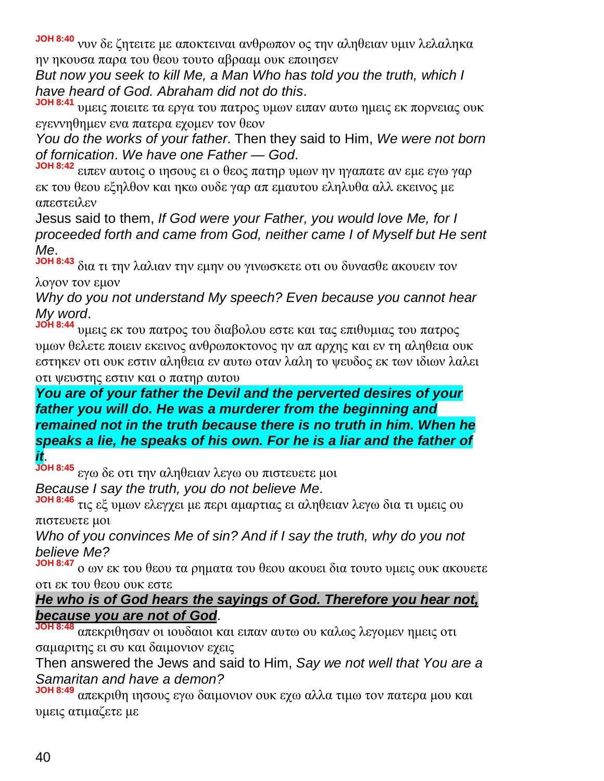**JOH 8:40** νυν δε ζητειτε με αποκτειναι ανθρωπον ος την αληθειαν υμιν λελαληκα ην ηκουσα παρα του θεου τουτο αβρααμ ουκ εποιησεν

*But now you seek to kill Me, a Man Who has told you the truth, which I have heard of God. Abraham did not do this*.

**JOH 8:41** υμεις ποιειτε τα εργα του πατρος υμων ειπαν αυτω ημεις εκ πορνειας ουκ εγεννηθημεν ενα πατερα εχομεν τον θεον

*You do the works of your father*. Then they said to Him, *We were not born of fornication*. *We have one Father — God*.

**JOH 8:42** ειπεν αυτοις ο ιησους ει ο θεος πατηρ υμων ην ηγαπατε αν εμε εγω γαρ εκ του θεου εξηλθον και ηκω ουδε γαρ απ εμαυτου εληλυθα αλλ εκεινος με απεστειλεν

Jesus said to them, *If God were your Father, you would love Me, for I proceeded forth and came from God, neither came I of Myself but He sent Me*.

**JOH 8:43** δια τι την λαλιαν την εμην ου γινωσκετε οτι ου δυνασθε ακουειν τον λογον τον εμον

*Why do you not understand My speech? Even because you cannot hear My word*.

**JOH 8:44** υμεις εκ του πατρος του διαβολου εστε και τας επιθυμιας του πατρος υμων θελετε ποιειν εκεινος ανθρωποκτονος ην απ αρχης και εν τη αληθεια ουκ εστηκεν οτι ουκ εστιν αληθεια εν αυτω οταν λαλη το ψευδος εκ των ιδιων λαλει οτι ψευστης εστιν και ο πατηρ αυτου

*You are of your father the Devil and the perverted desires of your father you will do. He was a murderer from the beginning and remained not in the truth because there is no truth in him. When he speaks a lie, he speaks of his own. For he is a liar and the father of it*.

**JOH 8:45** εγω δε οτι την αληθειαν λεγω ου πιστευετε μοι

*Because I say the truth, you do not believe Me*.

**JOH 8:46** τις εξ υμων ελεγχει με περι αμαρτιας ει αληθειαν λεγω δια τι υμεις ου πιστευετε μοι

*Who of you convinces Me of sin? And if I say the truth, why do you not believe Me?*

**JOH 8:47** ο ων εκ του θεου τα ρηματα του θεου ακουει δια τουτο υμεις ουκ ακουετε οτι εκ του θεου ουκ εστε

*He who is of God hears the sayings of God. Therefore you hear not, because you are not of God*.

**JOH 8:48** απεκριθησαν οι ιουδαιοι και ειπαν αυτω ου καλως λεγομεν ημεις οτι σαμαριτης ει συ και δαιμονιον εχεις

Then answered the Jews and said to Him, *Say we not well that You are a Samaritan and have a demon?*

**JOH 8:49** απεκριθη ιησους εγω δαιμονιον ουκ εχω αλλα τιμω τον πατερα μου και υμεις ατιμαζετε με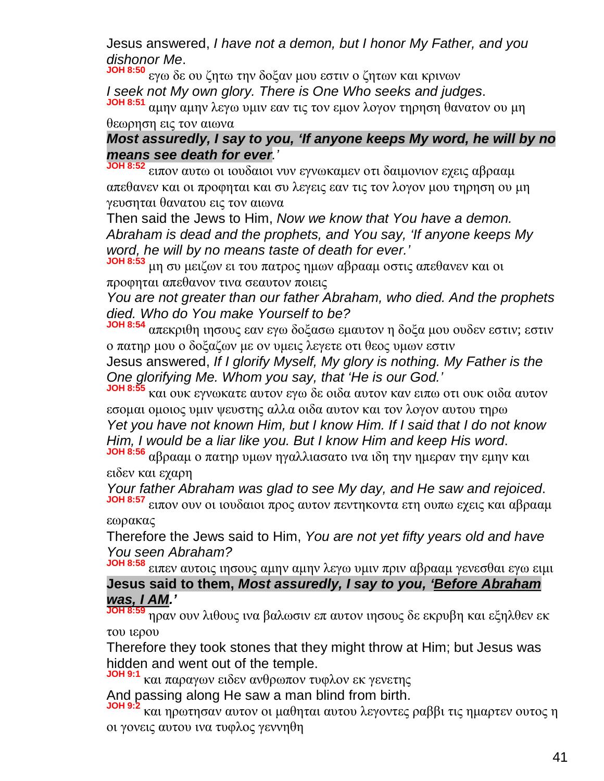Jesus answered, *I have not a demon, but I honor My Father, and you dishonor Me*.

**JOH 8:50** εγω δε ου ζητω την δοξαν μου εστιν ο ζητων και κρινων *I seek not My own glory. There is One Who seeks and judges*. **JOH 8:51** αμην αμην λεγω υμιν εαν τις τον εμον λογον τηρηση θανατον ου μη θεωρηση εις τον αιωνα

## *Most assuredly, I say to you, 'If anyone keeps My word, he will by no means see death for ever.'*

**JOH 8:52** ειπον αυτω οι ιουδαιοι νυν εγνωκαμεν οτι δαιμονιον εχεις αβρααμ απεθανεν και οι προφηται και συ λεγεις εαν τις τον λογον μου τηρηση ου μη γευσηται θανατου εις τον αιωνα

Then said the Jews to Him, *Now we know that You have a demon. Abraham is dead and the prophets, and You say, 'If anyone keeps My word, he will by no means taste of death for ever.'*

**JOH 8:53** μη συ μειζων ει του πατρος ημων αβρααμ οστις απεθανεν και οι προφηται απεθανον τινα σεαυτον ποιεις

*You are not greater than our father Abraham, who died. And the prophets died. Who do You make Yourself to be?*

**JOH 8:54** απεκριθη ιησους εαν εγω δοξασω εμαυτον η δοξα μου ουδεν εστιν; εστιν ο πατηρ μου ο δοξαζων με ον υμεις λεγετε οτι θεος υμων εστιν

Jesus answered, *If I glorify Myself, My glory is nothing. My Father is the One glorifying Me. Whom you say, that 'He is our God.'*

**JOH 8:55** και ουκ εγνωκατε αυτον εγω δε οιδα αυτον καν ειπω οτι ουκ οιδα αυτον εσομαι ομοιος υμιν ψευστης αλλα οιδα αυτον και τον λογον αυτου τηρω *Yet you have not known Him, but I know Him. If I said that I do not know Him, I would be a liar like you. But I know Him and keep His word*.

**JOH 8:56** αβρααμ ο πατηρ υμων ηγαλλιασατο ινα ιδη την ημεραν την εμην και ειδεν και εχαρη

*Your father Abraham was glad to see My day, and He saw and rejoiced*.

**JOH 8:57** ειπον ουν οι ιουδαιοι προς αυτον πεντηκοντα ετη ουπω εχεις και αβρααμ εωρακας

Therefore the Jews said to Him, *You are not yet fifty years old and have You seen Abraham?*

**JOH 8:58** ειπεν αυτοις ιησους αμην αμην λεγω υμιν πριν αβρααμ γενεσθαι εγω ειμι **Jesus said to them,** *Most assuredly, I say to you, 'Before Abraham*

#### *was, I AM.'*

**JOH 8:59** ηραν ουν λιθους ινα βαλωσιν επ αυτον ιησους δε εκρυβη και εξηλθεν εκ του ιερου

Therefore they took stones that they might throw at Him; but Jesus was hidden and went out of the temple.

**JOH 9:1** και παραγων ειδεν ανθρωπον τυφλον εκ γενετης

And passing along He saw a man blind from birth.

**JOH 9:2** και ηρωτησαν αυτον οι μαθηται αυτου λεγοντες ραββι τις ημαρτεν ουτος η οι γονεις αυτου ινα τυφλος γεννηθη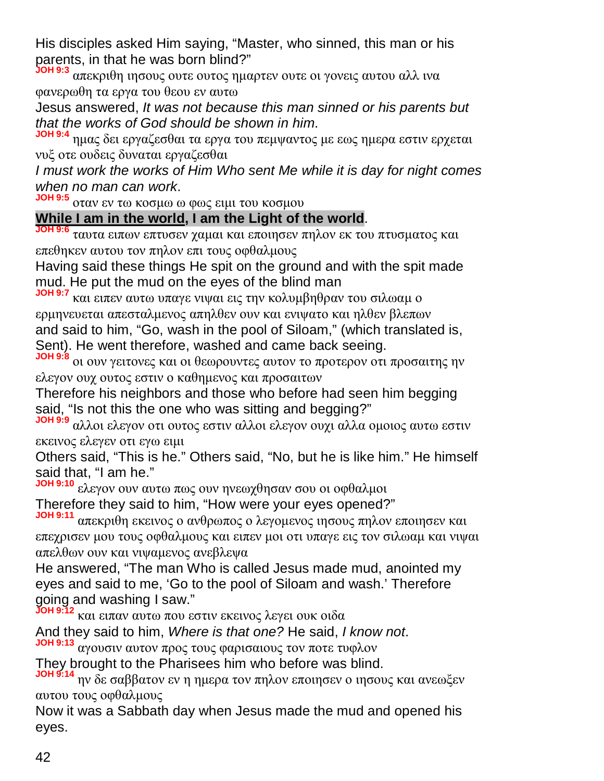His disciples asked Him saying, "Master, who sinned, this man or his parents, in that he was born blind?"

**JOH 9:3** απεκριθη ιησους ουτε ουτος ημαρτεν ουτε οι γονεις αυτου αλλ ινα φανερωθη τα εργα του θεου εν αυτω

Jesus answered, *It was not because this man sinned or his parents but that the works of God should be shown in him*.

**JOH 9:4** ημας δει εργαζεσθαι τα εργα του πεμψαντος με εως ημερα εστιν ερχεται νυξ οτε ουδεις δυναται εργαζεσθαι

*I must work the works of Him Who sent Me while it is day for night comes when no man can work*.

**JOH 9:5** οταν εν τω κοσμω ω φως ειμι του κοσμου

## **While I am in the world, I am the Light of the world**.

**JOH 9:6** ταυτα ειπων επτυσεν χαμαι και εποιησεν πηλον εκ του πτυσματος και επεθηκεν αυτου τον πηλον επι τους οφθαλμους

Having said these things He spit on the ground and with the spit made mud. He put the mud on the eyes of the blind man

**JOH 9:7** και ειπεν αυτω υπαγε νιψαι εις την κολυμβηθραν του σιλωαμ ο ερμηνευεται απεσταλμενος απηλθεν ουν και ενιψατο και ηλθεν βλεπων and said to him, "Go, wash in the pool of Siloam," (which translated is, Sent). He went therefore, washed and came back seeing.

**JOH 9:8** οι ουν γειτονες και οι θεωρουντες αυτον το προτερον οτι προσαιτης ην ελεγον ουχ ουτος εστιν ο καθημενος και προσαιτων

Therefore his neighbors and those who before had seen him begging said, "Is not this the one who was sitting and begging?"

**JOH 9:9** αλλοι ελεγον οτι ουτος εστιν αλλοι ελεγον ουχι αλλα ομοιος αυτω εστιν εκεινος ελεγεν οτι εγω ειμι

Others said, "This is he." Others said, "No, but he is like him." He himself said that, "I am he."

**JOH 9:10** ελεγον ουν αυτω πως ουν ηνεωχθησαν σου οι οφθαλμοι Therefore they said to him, "How were your eyes opened?"

**JOH 9:11** απεκριθη εκεινος ο ανθρωπος ο λεγομενος ιησους πηλον εποιησεν και επεχρισεν μου τους οφθαλμους και ειπεν μοι οτι υπαγε εις τον σιλωαμ και νιψαι απελθων ουν και νιψαμενος ανεβλεψα

He answered, "The man Who is called Jesus made mud, anointed my eyes and said to me, 'Go to the pool of Siloam and wash.' Therefore going and washing I saw."

**JOH 9:12** και ειπαν αυτω που εστιν εκεινος λεγει ουκ οιδα

And they said to him, *Where is that one?* He said, *I know not*.

**JOH 9:13** αγουσιν αυτον προς τους φαρισαιους τον ποτε τυφλον

They brought to the Pharisees him who before was blind.

**JOH 9:14** ην δε σαββατον εν η ημερα τον πηλον εποιησεν ο ιησους και ανεωξεν αυτου τους οφθαλμους

Now it was a Sabbath day when Jesus made the mud and opened his eyes.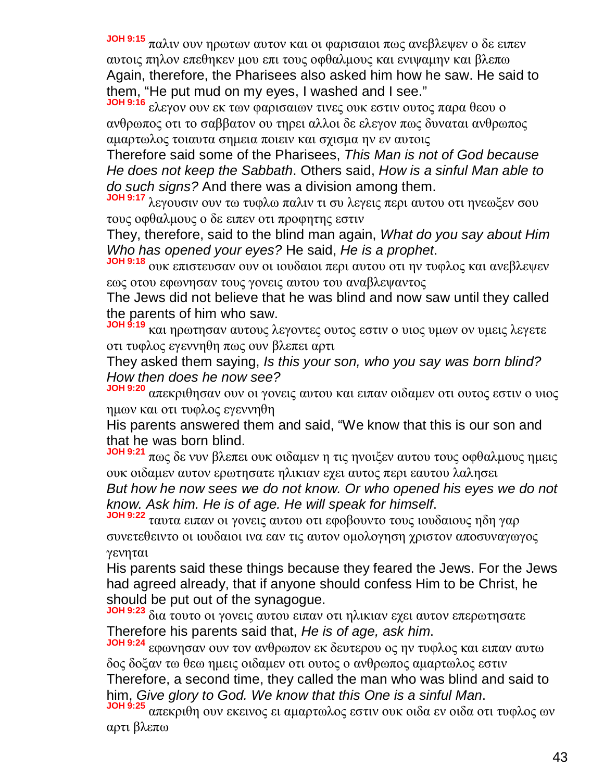**JOH 9:15** παλιν ουν ηρωτων αυτον και οι φαρισαιοι πως ανεβλεψεν ο δε ειπεν αυτοις πηλον επεθηκεν μου επι τους οφθαλμους και ενιψαμην και βλεπω Again, therefore, the Pharisees also asked him how he saw. He said to them, "He put mud on my eyes, I washed and I see."

**JOH 9:16** ελεγον ουν εκ των φαρισαιων τινες ουκ εστιν ουτος παρα θεου ο ανθρωπος οτι το σαββατον ου τηρει αλλοι δε ελεγον πως δυναται ανθρωπος αμαρτωλος τοιαυτα σημεια ποιειν και σχισμα ην εν αυτοις

Therefore said some of the Pharisees, *This Man is not of God because He does not keep the Sabbath*. Others said, *How is a sinful Man able to do such signs?* And there was a division among them.

**JOH 9:17** λεγουσιν ουν τω τυφλω παλιν τι συ λεγεις περι αυτου οτι ηνεωξεν σου τους οφθαλμους ο δε ειπεν οτι προφητης εστιν

They, therefore, said to the blind man again, *What do you say about Him Who has opened your eyes?* He said, *He is a prophet*.

**JOH 9:18** ουκ επιστευσαν ουν οι ιουδαιοι περι αυτου οτι ην τυφλος και ανεβλεψεν εως οτου εφωνησαν τους γονεις αυτου του αναβλεψαντος

The Jews did not believe that he was blind and now saw until they called the parents of him who saw.

**JOH 9:19** και ηρωτησαν αυτους λεγοντες ουτος εστιν ο υιος υμων ον υμεις λεγετε οτι τυφλος εγεννηθη πως ουν βλεπει αρτι

They asked them saying, *Is this your son, who you say was born blind? How then does he now see?*

**JOH 9:20** απεκριθησαν ουν οι γονεις αυτου και ειπαν οιδαμεν οτι ουτος εστιν ο υιος ημων και οτι τυφλος εγεννηθη

His parents answered them and said, "We know that this is our son and that he was born blind.

**JOH 9:21** πως δε νυν βλεπει ουκ οιδαμεν η τις ηνοιξεν αυτου τους οφθαλμους ημεις ουκ οιδαμεν αυτον ερωτησατε ηλικιαν εχει αυτος περι εαυτου λαλησει

*But how he now sees we do not know. Or who opened his eyes we do not know. Ask him. He is of age. He will speak for himself*.

**JOH 9:22** ταυτα ειπαν οι γονεις αυτου οτι εφοβουντο τους ιουδαιους ηδη γαρ συνετεθειντο οι ιουδαιοι ινα εαν τις αυτον ομολογηση χριστον αποσυναγωγος γενηται

His parents said these things because they feared the Jews. For the Jews had agreed already, that if anyone should confess Him to be Christ, he should be put out of the synagogue.

**JOH 9:23** δια τουτο οι γονεις αυτου ειπαν οτι ηλικιαν εχει αυτον επερωτησατε Therefore his parents said that, *He is of age, ask him*.

**JOH 9:24** εφωνησαν ουν τον ανθρωπον εκ δευτερου ος ην τυφλος και ειπαν αυτω δος δοξαν τω θεω ημεις οιδαμεν οτι ουτος ο ανθρωπος αμαρτωλος εστιν

Therefore, a second time, they called the man who was blind and said to him, *Give glory to God. We know that this One is a sinful Man*.

**JOH 9:25** απεκριθη ουν εκεινος ει αμαρτωλος εστιν ουκ οιδα εν οιδα οτι τυφλος ων αρτι βλεπω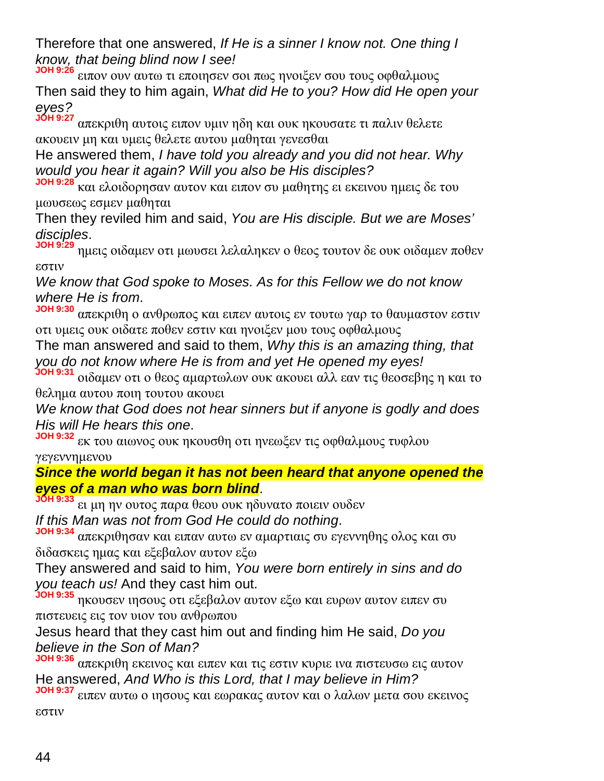Therefore that one answered, *If He is a sinner I know not. One thing I know, that being blind now I see!*

**JOH 9:26** ειπον ουν αυτω τι εποιησεν σοι πως ηνοιξεν σου τους οφθαλμους Then said they to him again, *What did He to you? How did He open your eyes?*

**JOH 9:27** απεκριθη αυτοις ειπον υμιν ηδη και ουκ ηκουσατε τι παλιν θελετε ακουειν μη και υμεις θελετε αυτου μαθηται γενεσθαι

He answered them, *I have told you already and you did not hear. Why would you hear it again? Will you also be His disciples?*

**JOH 9:28** και ελοιδορησαν αυτον και ειπον συ μαθητης ει εκεινου ημεις δε του μωυσεως εσμεν μαθηται

Then they reviled him and said, *You are His disciple. But we are Moses' disciples*.

**JOH 9:29** ημεις οιδαμεν οτι μωυσει λελαληκεν ο θεος τουτον δε ουκ οιδαμεν ποθεν εστιν

*We know that God spoke to Moses. As for this Fellow we do not know where He is from*.

**JOH 9:30** απεκριθη ο ανθρωπος και ειπεν αυτοις εν τουτω γαρ το θαυμαστον εστιν οτι υμεις ουκ οιδατε ποθεν εστιν και ηνοιξεν μου τους οφθαλμους

The man answered and said to them, *Why this is an amazing thing, that you do not know where He is from and yet He opened my eyes!*

**JOH 9:31** οιδαμεν οτι ο θεος αμαρτωλων ουκ ακουει αλλ εαν τις θεοσεβης η και το θελημα αυτου ποιη τουτου ακουει

*We know that God does not hear sinners but if anyone is godly and does His will He hears this one*.

**JOH 9:32** εκ του αιωνος ουκ ηκουσθη οτι ηνεωξεν τις οφθαλμους τυφλου γεγεννημενου

*Since the world began it has not been heard that anyone opened the eyes of a man who was born blind*.

**JOH 9:33** ει μη ην ουτος παρα θεου ουκ ηδυνατο ποιειν ουδεν *If this Man was not from God He could do nothing*.

**JOH 9:34** απεκριθησαν και ειπαν αυτω εν αμαρτιαις συ εγεννηθης ολος και συ διδασκεις ημας και εξεβαλον αυτον εξω

They answered and said to him, *You were born entirely in sins and do you teach us!* And they cast him out.

**JOH 9:35** ηκουσεν ιησους οτι εξεβαλον αυτον εξω και ευρων αυτον ειπεν συ πιστευεις εις τον υιον του ανθρωπου

Jesus heard that they cast him out and finding him He said, *Do you believe in the Son of Man?*

**JOH 9:36** απεκριθη εκεινος και ειπεν και τις εστιν κυριε ινα πιστευσω εις αυτον He answered, *And Who is this Lord, that I may believe in Him?*

**JOH 9:37** ειπεν αυτω ο ιησους και εωρακας αυτον και ο λαλων μετα σου εκεινος εστιν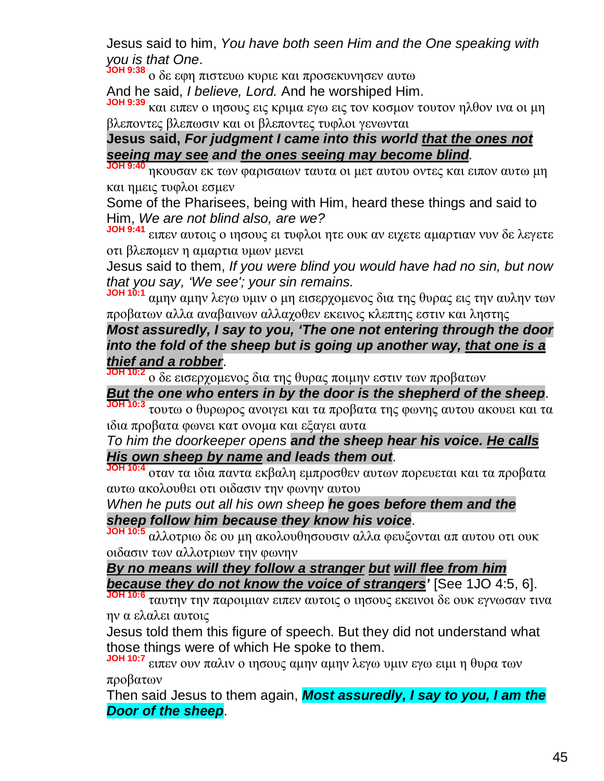Jesus said to him, *You have both seen Him and the One speaking with you is that One*.

**JOH 9:38** ο δε εφη πιστευω κυριε και προσεκυνησεν αυτω

And he said, *I believe, Lord.* And he worshiped Him.

**JOH 9:39** και ειπεν ο ιησους εις κριμα εγω εις τον κοσμον τουτον ηλθον ινα οι μη βλεποντες βλεπωσιν και οι βλεποντες τυφλοι γενωνται

## **Jesus said,** *For judgment I came into this world that the ones not seeing may see and the ones seeing may become blind.*

**JOH 9:40** ηκουσαν εκ των φαρισαιων ταυτα οι μετ αυτου οντες και ειπον αυτω μη και ημεις τυφλοι εσμεν

Some of the Pharisees, being with Him, heard these things and said to Him, *We are not blind also, are we?*

**JOH 9:41** ειπεν αυτοις ο ιησους ει τυφλοι ητε ουκ αν ειχετε αμαρτιαν νυν δε λεγετε οτι βλεπομεν η αμαρτια υμων μενει

Jesus said to them, *If you were blind you would have had no sin, but now that you say, 'We see'; your sin remains.*

**JOH 10:1** αμην αμην λεγω υμιν ο μη εισερχομενος δια της θυρας εις την αυλην των προβατων αλλα αναβαινων αλλαχοθεν εκεινος κλεπτης εστιν και ληστης

## *Most assuredly, I say to you, 'The one not entering through the door into the fold of the sheep but is going up another way, that one is a thief and a robber*.

**JOH 10:2** ο δε εισερχομενος δια της θυρας ποιμην εστιν των προβατων

# *But the one who enters in by the door is the shepherd of the sheep*.

**JOH 10:3** τουτω ο θυρωρος ανοιγει και τα προβατα της φωνης αυτου ακουει και τα ιδια προβατα φωνει κατ ονομα και εξαγει αυτα

#### *To him the doorkeeper opens and the sheep hear his voice. He calls His own sheep by name and leads them out*.

**JOH 10:4** οταν τα ιδια παντα εκβαλη εμπροσθεν αυτων πορευεται και τα προβατα αυτω ακολουθει οτι οιδασιν την φωνην αυτου

#### *When he puts out all his own sheep he goes before them and the sheep follow him because they know his voice*.

**JOH 10:5** αλλοτριω δε ου μη ακολουθησουσιν αλλα φευξονται απ αυτου οτι ουκ οιδασιν των αλλοτριων την φωνην

*By no means will they follow a stranger but will flee from him because they do not know the voice of strangers'* [See 1JO 4:5, 6].

**JOH 10:6** ταυτην την παροιμιαν ειπεν αυτοις ο ιησους εκεινοι δε ουκ εγνωσαν τινα ην α ελαλει αυτοις

Jesus told them this figure of speech. But they did not understand what those things were of which He spoke to them.

**JOH 10:7** ειπεν ουν παλιν ο ιησους αμην αμην λεγω υμιν εγω ειμι η θυρα των προβατων

Then said Jesus to them again, *Most assuredly, I say to you, I am the Door of the sheep*.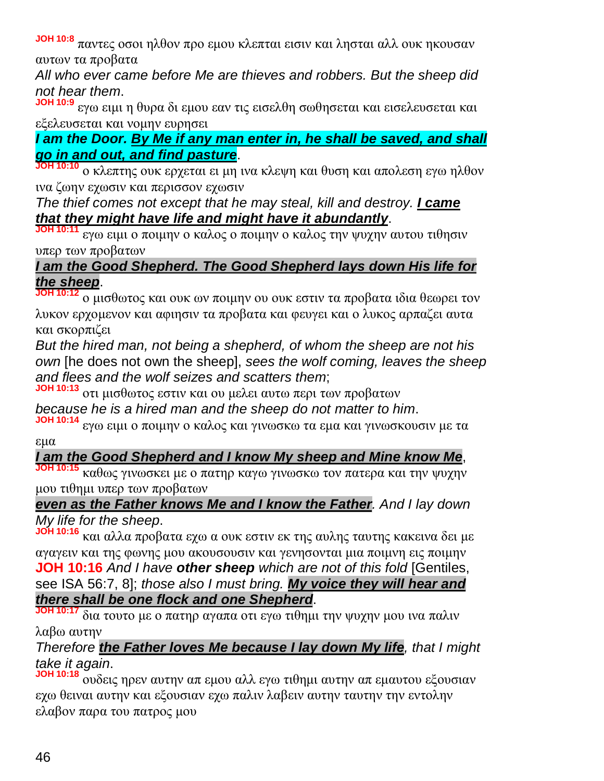**JOH 10:8** παντες οσοι ηλθον προ εμου κλεπται εισιν και λησται αλλ ουκ ηκουσαν αυτων τα προβατα

*All who ever came before Me are thieves and robbers. But the sheep did not hear them*.

**JOH 10:9** εγω ειμι η θυρα δι εμου εαν τις εισελθη σωθησεται και εισελευσεται και εξελευσεται και νομην ευρησει

# *I am the Door. By Me if any man enter in, he shall be saved, and shall go in and out, and find pasture*.

**JOH 10:10** ο κλεπτης ουκ ερχεται ει μη ινα κλεψη και θυση και απολεση εγω ηλθον ινα ζωην εχωσιν και περισσον εχωσιν

*The thief comes not except that he may steal, kill and destroy. I came that they might have life and might have it abundantly*.

**JOH 10:11** εγω ειμι ο ποιμην ο καλος ο ποιμην ο καλος την ψυχην αυτου τιθησιν υπερ των προβατων

# *I am the Good Shepherd. The Good Shepherd lays down His life for the sheep*.

**JOH 10:12** ο μισθωτος και ουκ ων ποιμην ου ουκ εστιν τα προβατα ιδια θεωρει τον λυκον ερχομενον και αφιησιν τα προβατα και φευγει και ο λυκος αρπαζει αυτα και σκορπιζει

*But the hired man, not being a shepherd, of whom the sheep are not his own* [he does not own the sheep], *sees the wolf coming, leaves the sheep and flees and the wolf seizes and scatters them*;

**JOH 10:13** οτι μισθωτος εστιν και ου μελει αυτω περι των προβατων

*because he is a hired man and the sheep do not matter to him*.

**JOH 10:14** εγω ειμι ο ποιμην ο καλος και γινωσκω τα εμα και γινωσκουσιν με τα εμα

# *I am the Good Shepherd and I know My sheep and Mine know Me*,

**JOH 10:15** καθως γινωσκει με ο πατηρ καγω γινωσκω τον πατερα και την ψυχην μου τιθημι υπερ των προβατων

## *even as the Father knows Me and I know the Father. And I lay down My life for the sheep*.

**JOH 10:16** και αλλα προβατα εχω α ουκ εστιν εκ της αυλης ταυτης κακεινα δει με αγαγειν και της φωνης μου ακουσουσιν και γενησονται μια ποιμνη εις ποιμην **JOH 10:16** *And I have other sheep which are not of this fold* [Gentiles, see ISA 56:7, 8]; *those also I must bring. My voice they will hear and there shall be one flock and one Shepherd*.

**JOH 10:17** δια τουτο με ο πατηρ αγαπα οτι εγω τιθημι την ψυχην μου ινα παλιν λαβω αυτην

# *Therefore the Father loves Me because I lay down My life, that I might take it again*.

**JOH 10:18** ουδεις ηρεν αυτην απ εμου αλλ εγω τιθημι αυτην απ εμαυτου εξουσιαν εχω θειναι αυτην και εξουσιαν εχω παλιν λαβειν αυτην ταυτην την εντολην ελαβον παρα του πατρος μου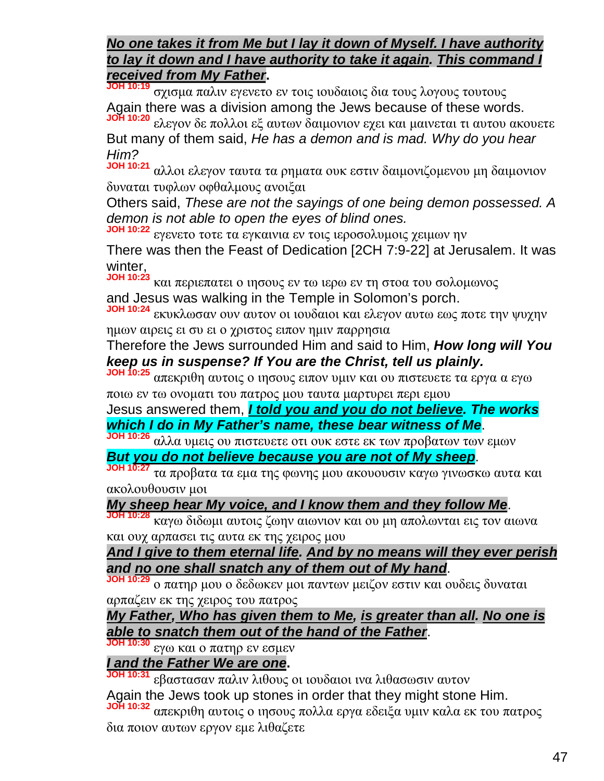#### *No one takes it from Me but I lay it down of Myself. I have authority to lay it down and I have authority to take it again. This command I received from My Father***.**

**JOH 10:19** σχισμα παλιν εγενετο εν τοις ιουδαιοις δια τους λογους τουτους Again there was a division among the Jews because of these words. **JOH 10:20** ελεγον δε πολλοι εξ αυτων δαιμονιον εχει και μαινεται τι αυτου ακουετε

But many of them said, *He has a demon and is mad. Why do you hear Him?*

**JOH 10:21** αλλοι ελεγον ταυτα τα ρηματα ουκ εστιν δαιμονιζομενου μη δαιμονιον δυναται τυφλων οφθαλμους ανοιξαι

Others said, *These are not the sayings of one being demon possessed. A demon is not able to open the eyes of blind ones.*

**JOH 10:22** εγενετο τοτε τα εγκαινια εν τοις ιεροσολυμοις χειμων ην There was then the Feast of Dedication [2CH 7:9-22] at Jerusalem. It was winter,

**JOH 10:23** και περιεπατει ο ιησους εν τω ιερω εν τη στοα του σολομωνος and Jesus was walking in the Temple in Solomon's porch.

**JOH 10:24** εκυκλωσαν ουν αυτον οι ιουδαιοι και ελεγον αυτω εως ποτε την ψυχην ημων αιρεις ει συ ει ο χριστος ειπον ημιν παρρησια

Therefore the Jews surrounded Him and said to Him, *How long will You keep us in suspense? If You are the Christ, tell us plainly.*

**JOH 10:25** απεκριθη αυτοις ο ιησους ειπον υμιν και ου πιστευετε τα εργα α εγω ποιω εν τω ονοματι του πατρος μου ταυτα μαρτυρει περι εμου

Jesus answered them, *I told you and you do not believe. The works which I do in My Father's name, these bear witness of Me*.

**JOH 10:26** αλλα υμεις ου πιστευετε οτι ουκ εστε εκ των προβατων των εμων *But you do not believe because you are not of My sheep*.

**JOH 10:27** τα προβατα τα εμα της φωνης μου ακουουσιν καγω γινωσκω αυτα και ακολουθουσιν μοι

# *My sheep hear My voice, and I know them and they follow Me*.

**JOH 10:28** καγω διδωμι αυτοις ζωην αιωνιον και ου μη απολωνται εις τον αιωνα και ουχ αρπασει τις αυτα εκ της χειρος μου

#### *And I give to them eternal life. And by no means will they ever perish and no one shall snatch any of them out of My hand*.

**JOH 10:29** ο πατηρ μου ο δεδωκεν μοι παντων μειζον εστιν και ουδεις δυναται αρπαζειν εκ της χειρος του πατρος

#### *My Father, Who has given them to Me, is greater than all. No one is able to snatch them out of the hand of the Father*.

**JOH 10:30** εγω και ο πατηρ εν εσμεν

# *I and the Father We are one***.**

**JOH 10:31** εβαστασαν παλιν λιθους οι ιουδαιοι ινα λιθασωσιν αυτον Again the Jews took up stones in order that they might stone Him. **JOH 10:32** απεκριθη αυτοις ο ιησους πολλα εργα εδειξα υμιν καλα εκ του πατρος δια ποιον αυτων εργον εμε λιθαζετε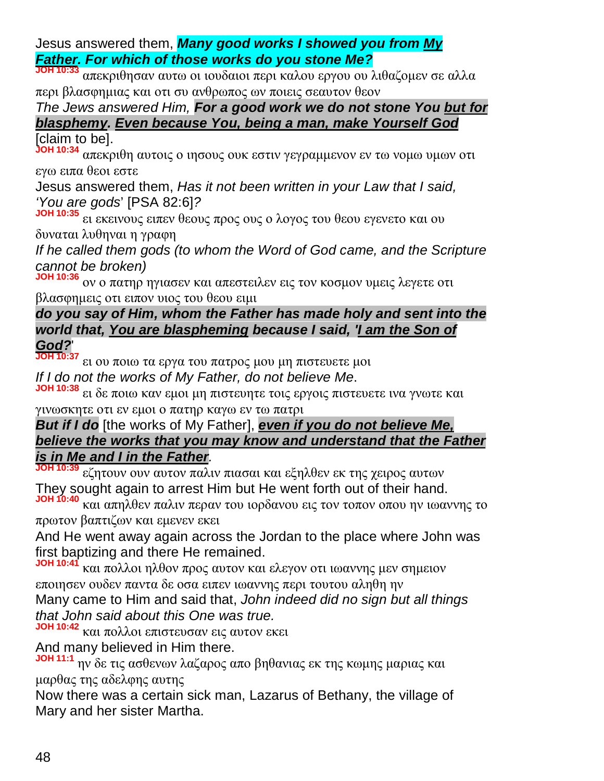Jesus answered them, *Many good works I showed you from My Father. For which of those works do you stone Me?*

**JOH 10:33** απεκριθησαν αυτω οι ιουδαιοι περι καλου εργου ου λιθαζομεν σε αλλα περι βλασφημιας και οτι συ ανθρωπος ων ποιεις σεαυτον θεον

*The Jews answered Him, For a good work we do not stone You but for blasphemy. Even because You, being a man, make Yourself God*

[claim to be].

**JOH 10:34** απεκριθη αυτοις ο ιησους ουκ εστιν γεγραμμενον εν τω νομω υμων οτι εγω ειπα θεοι εστε

Jesus answered them, *Has it not been written in your Law that I said, 'You are gods*' [PSA 82:6]*?*

**JOH 10:35** ει εκεινους ειπεν θεους προς ους ο λογος του θεου εγενετο και ου δυναται λυθηναι η γραφη

*If he called them gods (to whom the Word of God came, and the Scripture cannot be broken)*

**JOH 10:36** ον ο πατηρ ηγιασεν και απεστειλεν εις τον κοσμον υμεις λεγετε οτι βλασφημεις οτι ειπον υιος του θεου ειμι

# *do you say of Him, whom the Father has made holy and sent into the world that, You are blaspheming because I said, 'I am the Son of God?*'

**JOH 10:37** ει ου ποιω τα εργα του πατρος μου μη πιστευετε μοι *If I do not the works of My Father, do not believe Me*.

**JOH 10:38** ει δε ποιω καν εμοι μη πιστευητε τοις εργοις πιστευετε ινα γνωτε και γινωσκητε οτι εν εμοι ο πατηρ καγω εν τω πατρι

*But if I do* [the works of My Father], *even if you do not believe Me, believe the works that you may know and understand that the Father is in Me and I in the Father.*

**JOH 10:39** εζητουν ουν αυτον παλιν πιασαι και εξηλθεν εκ της χειρος αυτων They sought again to arrest Him but He went forth out of their hand.

**JOH 10:40** και απηλθεν παλιν περαν του ιορδανου εις τον τοπον οπου ην ιωαννης το πρωτον βαπτιζων και εμενεν εκει

And He went away again across the Jordan to the place where John was first baptizing and there He remained.

**JOH 10:41** και πολλοι ηλθον προς αυτον και ελεγον οτι ιωαννης μεν σημειον εποιησεν ουδεν παντα δε οσα ειπεν ιωαννης περι τουτου αληθη ην Many came to Him and said that, *John indeed did no sign but all things*

*that John said about this One was true.*

**JOH 10:42** και πολλοι επιστευσαν εις αυτον εκει

And many believed in Him there.

**JOH 11:1** ην δε τις ασθενων λαζαρος απο βηθανιας εκ της κωμης μαριας και μαρθας της αδελφης αυτης

Now there was a certain sick man, Lazarus of Bethany, the village of Mary and her sister Martha.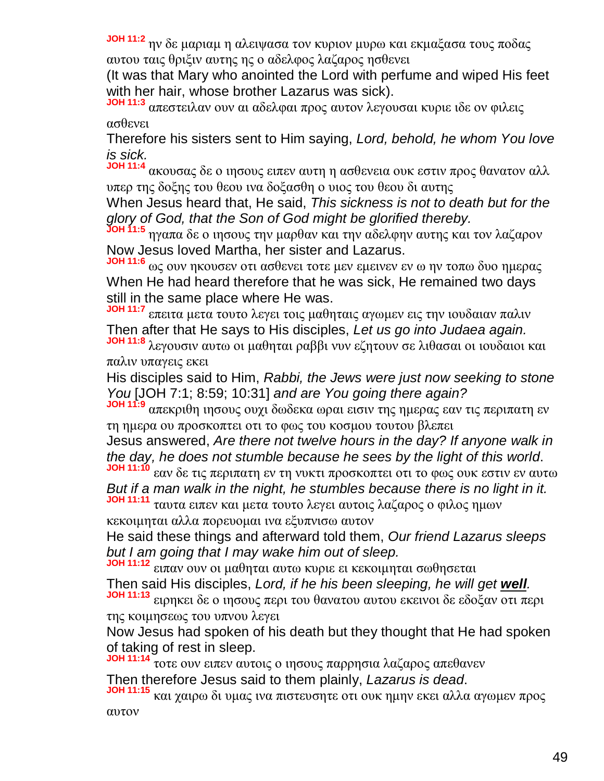**JOH 11:2** ην δε μαριαμ η αλειψασα τον κυριον μυρω και εκμαξασα τους ποδας αυτου ταις θριξιν αυτης ης ο αδελφος λαζαρος ησθενει

(It was that Mary who anointed the Lord with perfume and wiped His feet with her hair, whose brother Lazarus was sick).

**JOH 11:3** απεστειλαν ουν αι αδελφαι προς αυτον λεγουσαι κυριε ιδε ον φιλεις ασθενει

Therefore his sisters sent to Him saying, *Lord, behold, he whom You love is sick.*

**JOH 11:4** ακουσας δε ο ιησους ειπεν αυτη η ασθενεια ουκ εστιν προς θανατον αλλ υπερ της δοξης του θεου ινα δοξασθη ο υιος του θεου δι αυτης

When Jesus heard that, He said, *This sickness is not to death but for the glory of God, that the Son of God might be glorified thereby.*

**JOH 11:5** ηγαπα δε ο ιησους την μαρθαν και την αδελφην αυτης και τον λαζαρον Now Jesus loved Martha, her sister and Lazarus.

**JOH 11:6** ως ουν ηκουσεν οτι ασθενει τοτε μεν εμεινεν εν ω ην τοπω δυο ημερας When He had heard therefore that he was sick, He remained two days still in the same place where He was.

**JOH 11:7** επειτα μετα τουτο λεγει τοις μαθηταις αγωμεν εις την ιουδαιαν παλιν Then after that He says to His disciples, *Let us go into Judaea again.*

**JOH 11:8** λεγουσιν αυτω οι μαθηται ραββι νυν εζητουν σε λιθασαι οι ιουδαιοι και παλιν υπαγεις εκει

His disciples said to Him, *Rabbi, the Jews were just now seeking to stone You* [JOH 7:1; 8:59; 10:31] *and are You going there again?*

**JOH 11:9** απεκριθη ιησους ουχι δωδεκα ωραι εισιν της ημερας εαν τις περιπατη εν τη ημερα ου προσκοπτει οτι το φως του κοσμου τουτου βλεπει

Jesus answered, *Are there not twelve hours in the day? If anyone walk in the day, he does not stumble because he sees by the light of this world*.

**JOH 11:10** εαν δε τις περιπατη εν τη νυκτι προσκοπτει οτι το φως ουκ εστιν εν αυτω *But if a man walk in the night, he stumbles because there is no light in it.*

**JOH 11:11** ταυτα ειπεν και μετα τουτο λεγει αυτοις λαζαρος ο φιλος ημων κεκοιμηται αλλα πορευομαι ινα εξυπνισω αυτον

He said these things and afterward told them, *Our friend Lazarus sleeps but I am going that I may wake him out of sleep.*

**JOH 11:12** ειπαν ουν οι μαθηται αυτω κυριε ει κεκοιμηται σωθησεται Then said His disciples, *Lord, if he his been sleeping, he will get well.* **JOH 11:13** ειρηκει δε ο ιησους περι του θανατου αυτου εκεινοι δε εδοξαν οτι περι

της κοιμησεως του υπνου λεγει

Now Jesus had spoken of his death but they thought that He had spoken of taking of rest in sleep.

**JOH 11:14** τοτε ουν ειπεν αυτοις ο ιησους παρρησια λαζαρος απεθανεν Then therefore Jesus said to them plainly, *Lazarus is dead*.

**JOH 11:15** και χαιρω δι υμας ινα πιστευσητε οτι ουκ ημην εκει αλλα αγωμεν προς αυτον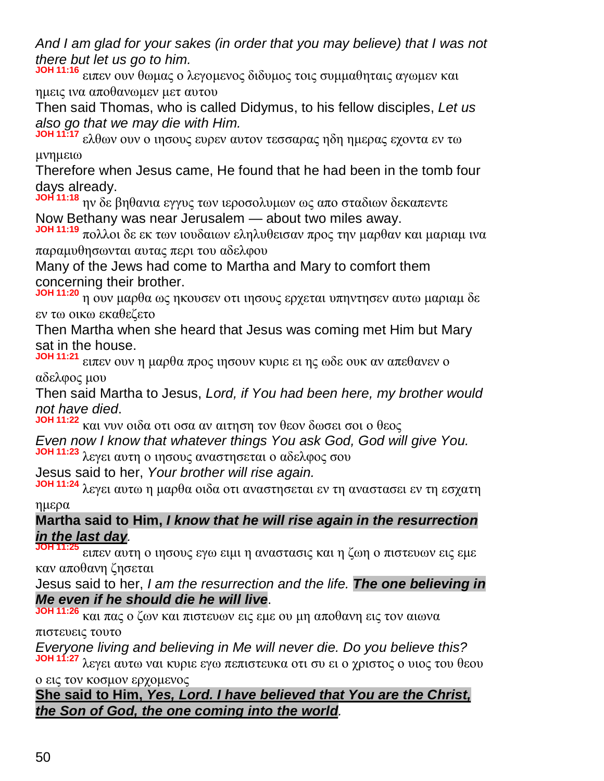*And I am glad for your sakes (in order that you may believe) that I was not there but let us go to him.*

**JOH 11:16** ειπεν ουν θωμας ο λεγομενος διδυμος τοις συμμαθηταις αγωμεν και ημεις ινα αποθανωμεν μετ αυτου

Then said Thomas, who is called Didymus, to his fellow disciples, *Let us also go that we may die with Him.*

**JOH 11:17** ελθων ουν ο ιησους ευρεν αυτον τεσσαρας ηδη ημερας εχοντα εν τω μνημειω

Therefore when Jesus came, He found that he had been in the tomb four days already.

**JOH 11:18** ην δε βηθανια εγγυς των ιεροσολυμων ως απο σταδιων δεκαπεντε Now Bethany was near Jerusalem — about two miles away.

**JOH 11:19** πολλοι δε εκ των ιουδαιων εληλυθεισαν προς την μαρθαν και μαριαμ ινα παραμυθησωνται αυτας περι του αδελφου

Many of the Jews had come to Martha and Mary to comfort them concerning their brother.

**JOH 11:20** η ουν μαρθα ως ηκουσεν οτι ιησους ερχεται υπηντησεν αυτω μαριαμ δε εν τω οικω εκαθεζετο

Then Martha when she heard that Jesus was coming met Him but Mary sat in the house.

**JOH 11:21** ειπεν ουν η μαρθα προς ιησουν κυριε ει ης ωδε ουκ αν απεθανεν ο αδελφος μου

Then said Martha to Jesus, *Lord, if You had been here, my brother would not have died*.

**JOH 11:22** και νυν οιδα οτι οσα αν αιτηση τον θεον δωσει σοι ο θεος

*Even now I know that whatever things You ask God, God will give You.* **JOH 11:23** λεγει αυτη ο ιησους αναστησεται ο αδελφος σου

Jesus said to her, *Your brother will rise again.*

**JOH 11:24** λεγει αυτω η μαρθα οιδα οτι αναστησεται εν τη αναστασει εν τη εσχατη ημερα

## **Martha said to Him,** *I know that he will rise again in the resurrection in the last day.*

**JOH 11:25** ειπεν αυτη ο ιησους εγω ειμι η αναστασις και η ζωη ο πιστευων εις εμε καν αποθανη ζησεται

Jesus said to her, *I am the resurrection and the life. The one believing in Me even if he should die he will live*.

**JOH 11:26** και πας ο ζων και πιστευων εις εμε ου μη αποθανη εις τον αιωνα πιστευεις τουτο

*Everyone living and believing in Me will never die. Do you believe this?*

**JOH 11:27** λεγει αυτω ναι κυριε εγω πεπιστευκα οτι συ ει ο χριστος ο υιος του θεου ο εις τον κοσμον ερχομενος

**She said to Him,** *Yes, Lord. I have believed that You are the Christ, the Son of God, the one coming into the world.*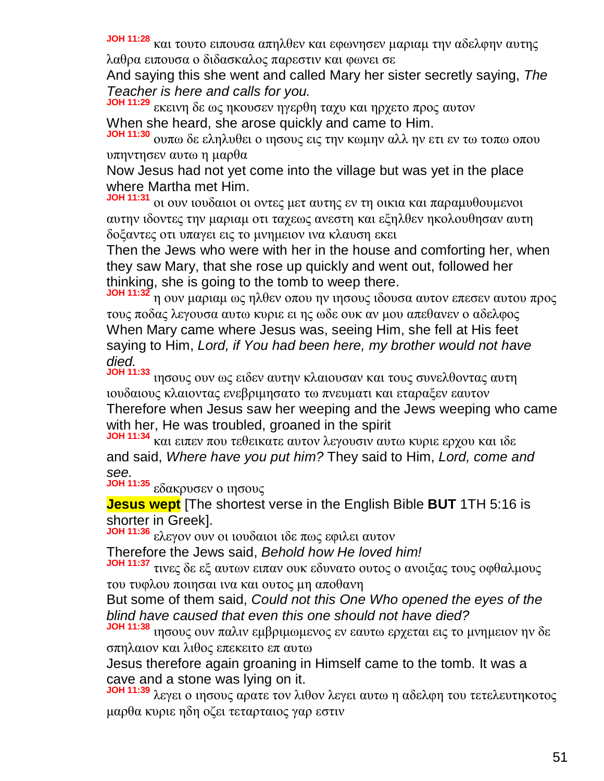**JOH 11:28** και τουτο ειπουσα απηλθεν και εφωνησεν μαριαμ την αδελφην αυτης λαθρα ειπουσα ο διδασκαλος παρεστιν και φωνει σε

And saying this she went and called Mary her sister secretly saying, *The Teacher is here and calls for you.*

**JOH 11:29** εκεινη δε ως ηκουσεν ηγερθη ταχυ και ηρχετο προς αυτον When she heard, she arose quickly and came to Him.

**JOH 11:30** ουπω δε εληλυθει ο ιησους εις την κωμην αλλ ην ετι εν τω τοπω οπου υπηντησεν αυτω η μαρθα

Now Jesus had not yet come into the village but was yet in the place where Martha met Him.

**JOH 11:31** οι ουν ιουδαιοι οι οντες μετ αυτης εν τη οικια και παραμυθουμενοι αυτην ιδοντες την μαριαμ οτι ταχεως ανεστη και εξηλθεν ηκολουθησαν αυτη δοξαντες οτι υπαγει εις το μνημειον ινα κλαυση εκει

Then the Jews who were with her in the house and comforting her, when they saw Mary, that she rose up quickly and went out, followed her thinking, she is going to the tomb to weep there.

**JOH 11:32** η ουν μαριαμ ως ηλθεν οπου ην ιησους ιδουσα αυτον επεσεν αυτου προς τους ποδας λεγουσα αυτω κυριε ει ης ωδε ουκ αν μου απεθανεν ο αδελφος When Mary came where Jesus was, seeing Him, she fell at His feet saying to Him, *Lord, if You had been here, my brother would not have died.*

**JOH 11:33** ιησους ουν ως ειδεν αυτην κλαιουσαν και τους συνελθοντας αυτη ιουδαιους κλαιοντας ενεβριμησατο τω πνευματι και εταραξεν εαυτον Therefore when Jesus saw her weeping and the Jews weeping who came with her, He was troubled, groaned in the spirit

**JOH 11:34** και ειπεν που τεθεικατε αυτον λεγουσιν αυτω κυριε ερχου και ιδε and said, *Where have you put him?* They said to Him, *Lord, come and see.*

**JOH 11:35** εδακρυσεν ο ιησους

**Jesus wept** [The shortest verse in the English Bible **BUT** 1TH 5:16 is shorter in Greek].

**JOH 11:36** ελεγον ουν οι ιουδαιοι ιδε πως εφιλει αυτον

Therefore the Jews said, *Behold how He loved him!*

**JOH 11:37** τινες δε εξ αυτων ειπαν ουκ εδυνατο ουτος ο ανοιξας τους οφθαλμους του τυφλου ποιησαι ινα και ουτος μη αποθανη

But some of them said, *Could not this One Who opened the eyes of the blind have caused that even this one should not have died?*

**JOH 11:38** ιησους ουν παλιν εμβριμωμενος εν εαυτω ερχεται εις το μνημειον ην δε σπηλαιον και λιθος επεκειτο επ αυτω

Jesus therefore again groaning in Himself came to the tomb. It was a cave and a stone was lying on it.

**JOH 11:39** λεγει ο ιησους αρατε τον λιθον λεγει αυτω η αδελφη του τετελευτηκοτος μαρθα κυριε ηδη οζει τεταρταιος γαρ εστιν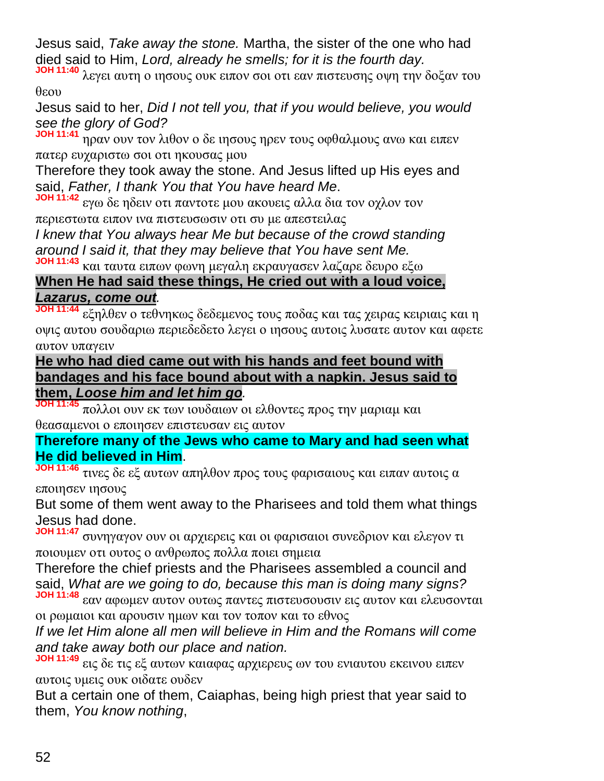Jesus said, *Take away the stone.* Martha, the sister of the one who had died said to Him, *Lord, already he smells; for it is the fourth day.*

**JOH 11:40** λεγει αυτη ο ιησους ουκ ειπον σοι οτι εαν πιστευσης οψη την δοξαν του θεου

Jesus said to her, *Did I not tell you, that if you would believe, you would see the glory of God?*

**JOH 11:41** ηραν ουν τον λιθον ο δε ιησους ηρεν τους οφθαλμους ανω και ειπεν πατερ ευχαριστω σοι οτι ηκουσας μου

Therefore they took away the stone. And Jesus lifted up His eyes and said, *Father, I thank You that You have heard Me*.

**JOH 11:42** εγω δε ηδειν οτι παντοτε μου ακουεις αλλα δια τον οχλον τον περιεστωτα ειπον ινα πιστευσωσιν οτι συ με απεστειλας

*I knew that You always hear Me but because of the crowd standing around I said it, that they may believe that You have sent Me.*

**JOH 11:43** και ταυτα ειπων φωνη μεγαλη εκραυγασεν λαζαρε δευρο εξω

**When He had said these things, He cried out with a loud voice,** *Lazarus, come out.*

**JOH 11:44** εξηλθεν ο τεθνηκως δεδεμενος τους ποδας και τας χειρας κειριαις και η οψις αυτου σουδαριω περιεδεδετο λεγει ο ιησους αυτοις λυσατε αυτον και αφετε αυτον υπαγειν

**He who had died came out with his hands and feet bound with bandages and his face bound about with a napkin. Jesus said to them,** *Loose him and let him go.*

**JOH 11:45** πολλοι ουν εκ των ιουδαιων οι ελθοντες προς την μαριαμ και θεασαμενοι ο εποιησεν επιστευσαν εις αυτον

**Therefore many of the Jews who came to Mary and had seen what He did believed in Him**.

**JOH 11:46** τινες δε εξ αυτων απηλθον προς τους φαρισαιους και ειπαν αυτοις α εποιησεν ιησους

But some of them went away to the Pharisees and told them what things Jesus had done.

**JOH 11:47** συνηγαγον ουν οι αρχιερεις και οι φαρισαιοι συνεδριον και ελεγον τι ποιουμεν οτι ουτος ο ανθρωπος πολλα ποιει σημεια

Therefore the chief priests and the Pharisees assembled a council and said, *What are we going to do, because this man is doing many signs?* **JOH 11:48** εαν αφωμεν αυτον ουτως παντες πιστευσουσιν εις αυτον και ελευσονται

οι ρωμαιοι και αρουσιν ημων και τον τοπον και το εθνος

*If we let Him alone all men will believe in Him and the Romans will come and take away both our place and nation.*

**JOH 11:49** εις δε τις εξ αυτων καιαφας αρχιερευς ων του ενιαυτου εκεινου ειπεν αυτοις υμεις ουκ οιδατε ουδεν

But a certain one of them, Caiaphas, being high priest that year said to them, *You know nothing*,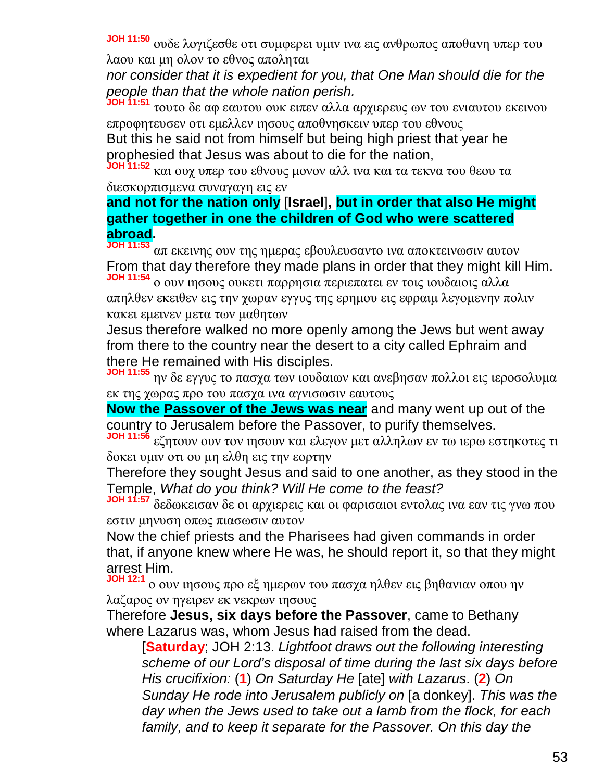**JOH 11:50** ουδε λογιζεσθε οτι συμφερει υμιν ινα εις ανθρωπος αποθανη υπερ του λαου και μη ολον το εθνος αποληται

*nor consider that it is expedient for you, that One Man should die for the people than that the whole nation perish.*

**JOH 11:51** τουτο δε αφ εαυτου ουκ ειπεν αλλα αρχιερευς ων του ενιαυτου εκεινου επροφητευσεν οτι εμελλεν ιησους αποθνησκειν υπερ του εθνους

But this he said not from himself but being high priest that year he prophesied that Jesus was about to die for the nation,

**JOH 11:52** και ουχ υπερ του εθνους μονον αλλ ινα και τα τεκνα του θεου τα διεσκορπισμενα συναγαγη εις εν

**and not for the nation only** [**Israel**]**, but in order that also He might gather together in one the children of God who were scattered abroad.**

**JOH 11:53** απ εκεινης ουν της ημερας εβουλευσαντο ινα αποκτεινωσιν αυτον From that day therefore they made plans in order that they might kill Him.

**JOH 11:54** ο ουν ιησους ουκετι παρρησια περιεπατει εν τοις ιουδαιοις αλλα απηλθεν εκειθεν εις την χωραν εγγυς της ερημου εις εφραιμ λεγομενην πολιν κακει εμεινεν μετα των μαθητων

Jesus therefore walked no more openly among the Jews but went away from there to the country near the desert to a city called Ephraim and there He remained with His disciples.

**JOH 11:55** ην δε εγγυς το πασχα των ιουδαιων και ανεβησαν πολλοι εις ιεροσολυμα εκ της χωρας προ του πασχα ινα αγνισωσιν εαυτους

**Now the Passover of the Jews was near** and many went up out of the country to Jerusalem before the Passover, to purify themselves.

**JOH 11:56** εζητουν ουν τον ιησουν και ελεγον μετ αλληλων εν τω ιερω εστηκοτες τι δοκει υμιν οτι ου μη ελθη εις την εορτην

Therefore they sought Jesus and said to one another, as they stood in the Temple, *What do you think? Will He come to the feast?*

**JOH 11:57** δεδωκεισαν δε οι αρχιερεις και οι φαρισαιοι εντολας ινα εαν τις γνω που εστιν μηνυση οπως πιασωσιν αυτον

Now the chief priests and the Pharisees had given commands in order that, if anyone knew where He was, he should report it, so that they might arrest Him.

**JOH 12:1** ο ουν ιησους προ εξ ημερων του πασχα ηλθεν εις βηθανιαν οπου ην λαζαρος ον ηγειρεν εκ νεκρων ιησους

Therefore **Jesus, six days before the Passover**, came to Bethany where Lazarus was, whom Jesus had raised from the dead.

[**Saturday**; JOH 2:13. *Lightfoot draws out the following interesting scheme of our Lord's disposal of time during the last six days before His crucifixion:* (**1**) *On Saturday He* [ate] *with Lazarus*. (**2**) *On Sunday He rode into Jerusalem publicly on* [a donkey]. *This was the day when the Jews used to take out a lamb from the flock, for each family, and to keep it separate for the Passover. On this day the*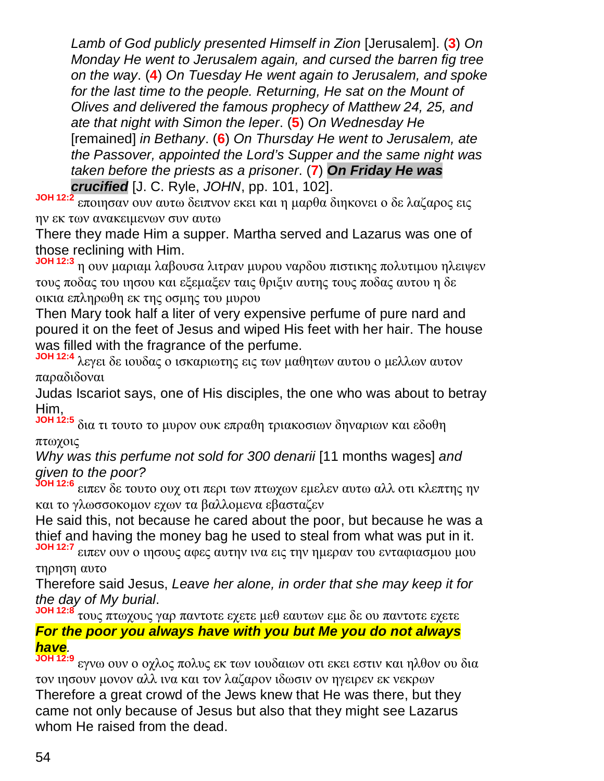*Lamb of God publicly presented Himself in Zion* [Jerusalem]. (**3**) *On Monday He went to Jerusalem again, and cursed the barren fig tree on the way*. (**4**) *On Tuesday He went again to Jerusalem, and spoke for the last time to the people. Returning, He sat on the Mount of Olives and delivered the famous prophecy of Matthew 24, 25, and ate that night with Simon the leper*. (**5**) *On Wednesday He* [remained] *in Bethany*. (**6**) *On Thursday He went to Jerusalem, ate the Passover, appointed the Lord's Supper and the same night was taken before the priests as a prisoner*. (**7**) *On Friday He was crucified* [J. C. Ryle, *JOHN*, pp. 101, 102].

**JOH 12:2** εποιησαν ουν αυτω δειπνον εκει και η μαρθα διηκονει ο δε λαζαρος εις ην εκ των ανακειμενων συν αυτω

There they made Him a supper. Martha served and Lazarus was one of those reclining with Him.

**JOH 12:3** η ουν μαριαμ λαβουσα λιτραν μυρου ναρδου πιστικης πολυτιμου ηλειψεν τους ποδας του ιησου και εξεμαξεν ταις θριξιν αυτης τους ποδας αυτου η δε οικια επληρωθη εκ της οσμης του μυρου

Then Mary took half a liter of very expensive perfume of pure nard and poured it on the feet of Jesus and wiped His feet with her hair. The house was filled with the fragrance of the perfume.

**JOH 12:4** λεγει δε ιουδας ο ισκαριωτης εις των μαθητων αυτου ο μελλων αυτον παραδιδοναι

Judas Iscariot says, one of His disciples, the one who was about to betray Him,

**JOH 12:5** δια τι τουτο το μυρον ουκ επραθη τριακοσιων δηναριων και εδοθη πτωχοις

*Why was this perfume not sold for 300 denarii* [11 months wages] *and given to the poor?*

**JOH 12:6** ειπεν δε τουτο ουχ οτι περι των πτωχων εμελεν αυτω αλλ οτι κλεπτης ην και το γλωσσοκομον εχων τα βαλλομενα εβασταζεν

He said this, not because he cared about the poor, but because he was a thief and having the money bag he used to steal from what was put in it.

**JOH 12:7** ειπεν ουν ο ιησους αφες αυτην ινα εις την ημεραν του ενταφιασμου μου τηρηση αυτο

Therefore said Jesus, *Leave her alone, in order that she may keep it for the day of My burial*.

**JOH 12:8** τους πτωχους γαρ παντοτε εχετε μεθ εαυτων εμε δε ου παντοτε εχετε *For the poor you always have with you but Me you do not always have.*

**JOH 12:9** εγνω ουν ο οχλος πολυς εκ των ιουδαιων οτι εκει εστιν και ηλθον ου δια τον ιησουν μονον αλλ ινα και τον λαζαρον ιδωσιν ον ηγειρεν εκ νεκρων Therefore a great crowd of the Jews knew that He was there, but they came not only because of Jesus but also that they might see Lazarus whom He raised from the dead.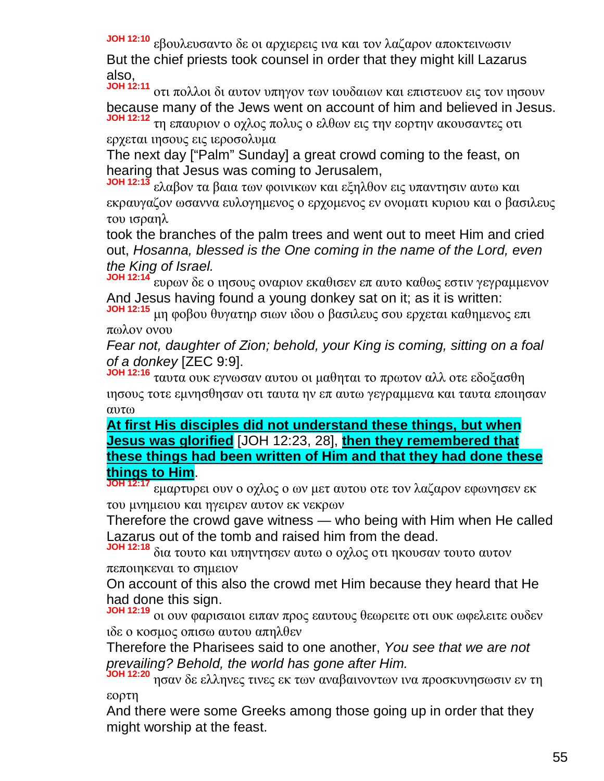**JOH 12:10** εβουλευσαντο δε οι αρχιερεις ινα και τον λαζαρον αποκτεινωσιν But the chief priests took counsel in order that they might kill Lazarus also,

**JOH 12:11** οτι πολλοι δι αυτον υπηγον των ιουδαιων και επιστευον εις τον ιησουν because many of the Jews went on account of him and believed in Jesus. **JOH 12:12** τη επαυριον ο οχλος πολυς ο ελθων εις την εορτην ακουσαντες οτι

ερχεται ιησους εις ιεροσολυμα

The next day ["Palm" Sunday] a great crowd coming to the feast, on hearing that Jesus was coming to Jerusalem,

**JOH 12:13** ελαβον τα βαια των φοινικων και εξηλθον εις υπαντησιν αυτω και εκραυγαζον ωσαννα ευλογημενος ο ερχομενος εν ονοματι κυριου και ο βασιλευς του ισραηλ

took the branches of the palm trees and went out to meet Him and cried out, *Hosanna, blessed is the One coming in the name of the Lord, even the King of Israel.*

**JOH 12:14** ευρων δε ο ιησους οναριον εκαθισεν επ αυτο καθως εστιν γεγραμμενον And Jesus having found a young donkey sat on it; as it is written:

**JOH 12:15** μη φοβου θυγατηρ σιων ιδου ο βασιλευς σου ερχεται καθημενος επι πωλον ονου

*Fear not, daughter of Zion; behold, your King is coming, sitting on a foal of a donkey* [ZEC 9:9].

**JOH 12:16** ταυτα ουκ εγνωσαν αυτου οι μαθηται το πρωτον αλλ οτε εδοξασθη ιησους τοτε εμνησθησαν οτι ταυτα ην επ αυτω γεγραμμενα και ταυτα εποιησαν αυτω

**At first His disciples did not understand these things, but when Jesus was glorified** [JOH 12:23, 28], **then they remembered that these things had been written of Him and that they had done these things to Him**.

**JOH 12:17** εμαρτυρει ουν ο οχλος ο ων μετ αυτου οτε τον λαζαρον εφωνησεν εκ του μνημειου και ηγειρεν αυτον εκ νεκρων

Therefore the crowd gave witness — who being with Him when He called Lazarus out of the tomb and raised him from the dead.

**JOH 12:18** δια τουτο και υπηντησεν αυτω ο οχλος οτι ηκουσαν τουτο αυτον πεποιηκεναι το σημειον

On account of this also the crowd met Him because they heard that He had done this sign.

**JOH 12:19** οι ουν φαρισαιοι ειπαν προς εαυτους θεωρειτε οτι ουκ ωφελειτε ουδεν ιδε ο κοσμος οπισω αυτου απηλθεν

Therefore the Pharisees said to one another, *You see that we are not prevailing? Behold, the world has gone after Him.*

**JOH 12:20** ησαν δε ελληνες τινες εκ των αναβαινοντων ινα προσκυνησωσιν εν τη εορτη

And there were some Greeks among those going up in order that they might worship at the feast.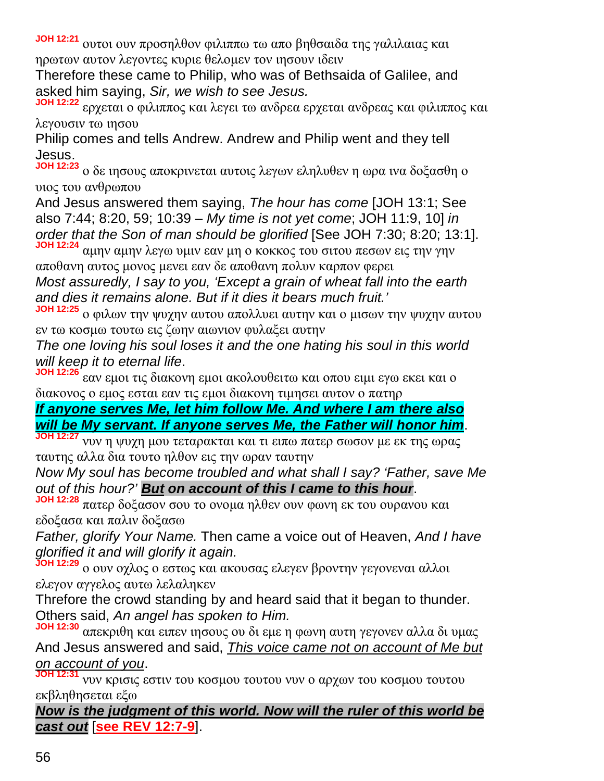**JOH 12:21** ουτοι ουν προσηλθον φιλιππω τω απο βηθσαιδα της γαλιλαιας και ηρωτων αυτον λεγοντες κυριε θελομεν τον ιησουν ιδειν

Therefore these came to Philip, who was of Bethsaida of Galilee, and asked him saying, *Sir, we wish to see Jesus.*

**JOH 12:22** ερχεται ο φιλιππος και λεγει τω ανδρεα ερχεται ανδρεας και φιλιππος και λεγουσιν τω ιησου

Philip comes and tells Andrew. Andrew and Philip went and they tell Jesus.

**JOH 12:23** ο δε ιησους αποκρινεται αυτοις λεγων εληλυθεν η ωρα ινα δοξασθη ο υιος του ανθρωπου

And Jesus answered them saying, *The hour has come* [JOH 13:1; See also 7:44; 8:20, 59; 10:39 – *My time is not yet come*; JOH 11:9, 10] *in order that the Son of man should be glorified* [See JOH 7:30; 8:20; 13:1].

**JOH 12:24** αμην αμην λεγω υμιν εαν μη ο κοκκος του σιτου πεσων εις την γην αποθανη αυτος μονος μενει εαν δε αποθανη πολυν καρπον φερει *Most assuredly, I say to you, 'Except a grain of wheat fall into the earth and dies it remains alone. But if it dies it bears much fruit.'*

**JOH 12:25** ο φιλων την ψυχην αυτου απολλυει αυτην και ο μισων την ψυχην αυτου εν τω κοσμω τουτω εις ζωην αιωνιον φυλαξει αυτην

*The one loving his soul loses it and the one hating his soul in this world will keep it to eternal life*.

**JOH 12:26** εαν εμοι τις διακονη εμοι ακολουθειτω και οπου ειμι εγω εκει και ο διακονος ο εμος εσται εαν τις εμοι διακονη τιμησει αυτον ο πατηρ

*If anyone serves Me, let him follow Me. And where I am there also will be My servant. If anyone serves Me, the Father will honor him*.

**JOH 12:27** νυν η ψυχη μου τεταρακται και τι ειπω πατερ σωσον με εκ της ωρας ταυτης αλλα δια τουτο ηλθον εις την ωραν ταυτην

*Now My soul has become troubled and what shall I say? 'Father, save Me out of this hour?' But on account of this I came to this hour*.

**JOH 12:28** πατερ δοξασον σου το ονομα ηλθεν ουν φωνη εκ του ουρανου και εδοξασα και παλιν δοξασω

*Father, glorify Your Name.* Then came a voice out of Heaven, *And I have glorified it and will glorify it again.*

**JOH 12:29** ο ουν οχλος ο εστως και ακουσας ελεγεν βροντην γεγονεναι αλλοι ελεγον αγγελος αυτω λελαληκεν

Threfore the crowd standing by and heard said that it began to thunder. Others said, *An angel has spoken to Him.*

**JOH 12:30** απεκριθη και ειπεν ιησους ου δι εμε η φωνη αυτη γεγονεν αλλα δι υμας And Jesus answered and said, *This voice came not on account of Me but on account of you*.

**JOH 12:31** νυν κρισις εστιν του κοσμου τουτου νυν ο αρχων του κοσμου τουτου εκβληθησεται εξω

*Now is the judgment of this world. Now will the ruler of this world be cast out* [**see REV 12:7-9**].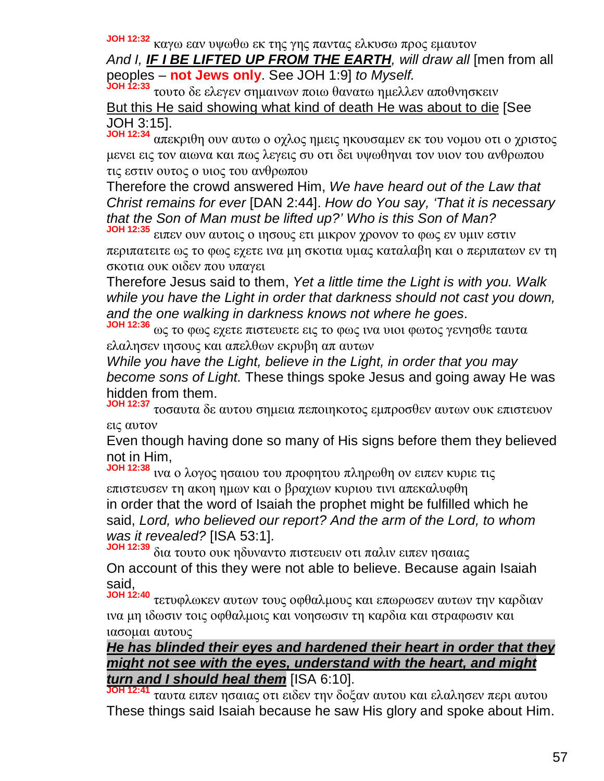**JOH 12:32** καγω εαν υψωθω εκ της γης παντας ελκυσω προς εμαυτον

*And I, IF I BE LIFTED UP FROM THE EARTH, will draw all* [men from all peoples – **not Jews only**. See JOH 1:9] *to Myself.*

**JOH 12:33** τουτο δε ελεγεν σημαινων ποιω θανατω ημελλεν αποθνησκειν But this He said showing what kind of death He was about to die [See JOH 3:15].

**JOH 12:34** απεκριθη ουν αυτω ο οχλος ημεις ηκουσαμεν εκ του νομου οτι ο χριστος μενει εις τον αιωνα και πως λεγεις συ οτι δει υψωθηναι τον υιον του ανθρωπου τις εστιν ουτος ο υιος του ανθρωπου

Therefore the crowd answered Him, *We have heard out of the Law that Christ remains for ever* [DAN 2:44]. *How do You say, 'That it is necessary that the Son of Man must be lifted up?' Who is this Son of Man?*

**JOH 12:35** ειπεν ουν αυτοις ο ιησους ετι μικρον χρονον το φως εν υμιν εστιν περιπατειτε ως το φως εχετε ινα μη σκοτια υμας καταλαβη και ο περιπατων εν τη σκοτια ουκ οιδεν που υπαγει

Therefore Jesus said to them, *Yet a little time the Light is with you. Walk while you have the Light in order that darkness should not cast you down, and the one walking in darkness knows not where he goes*.

**JOH 12:36** ως το φως εχετε πιστευετε εις το φως ινα υιοι φωτος γενησθε ταυτα ελαλησεν ιησους και απελθων εκρυβη απ αυτων

*While you have the Light, believe in the Light, in order that you may become sons of Light.* These things spoke Jesus and going away He was hidden from them.

**JOH 12:37** τοσαυτα δε αυτου σημεια πεποιηκοτος εμπροσθεν αυτων ουκ επιστευον εις αυτον

Even though having done so many of His signs before them they believed not in Him,

**JOH 12:38** ινα ο λογος ησαιου του προφητου πληρωθη ον ειπεν κυριε τις επιστευσεν τη ακοη ημων και ο βραχιων κυριου τινι απεκαλυφθη in order that the word of Isaiah the prophet might be fulfilled which he said, *Lord, who believed our report? And the arm of the Lord, to whom was it revealed?* [ISA 53:1].

**JOH 12:39** δια τουτο ουκ ηδυναντο πιστευειν οτι παλιν ειπεν ησαιας On account of this they were not able to believe. Because again Isaiah said,

**JOH 12:40** τετυφλωκεν αυτων τους οφθαλμους και επωρωσεν αυτων την καρδιαν ινα μη ιδωσιν τοις οφθαλμοις και νοησωσιν τη καρδια και στραφωσιν και ιασομαι αυτους

## *He has blinded their eyes and hardened their heart in order that they might not see with the eyes, understand with the heart, and might turn and I should heal them* [ISA 6:10].

**JOH 12:41** ταυτα ειπεν ησαιας οτι ειδεν την δοξαν αυτου και ελαλησεν περι αυτου These things said Isaiah because he saw His glory and spoke about Him.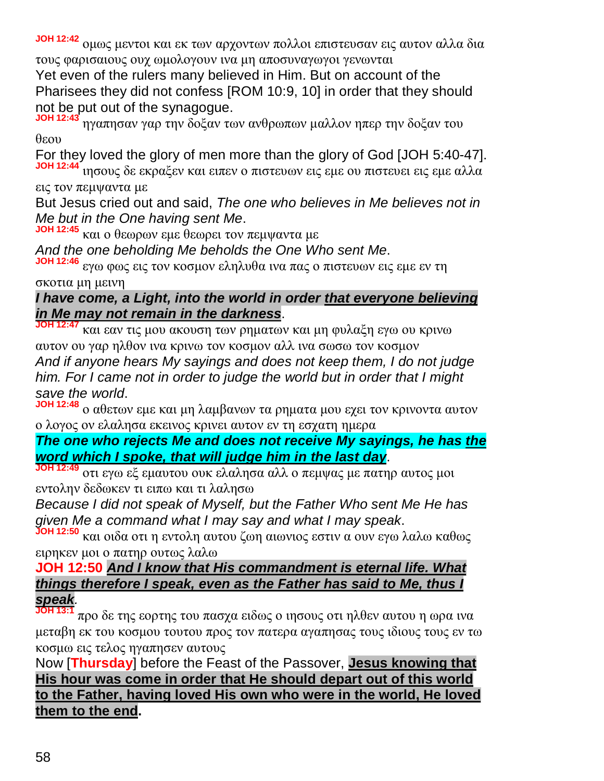**JOH 12:42** ομως μεντοι και εκ των αρχοντων πολλοι επιστευσαν εις αυτον αλλα δια τους φαρισαιους ουχ ωμολογουν ινα μη αποσυναγωγοι γενωνται

Yet even of the rulers many believed in Him. But on account of the Pharisees they did not confess [ROM 10:9, 10] in order that they should not be put out of the synagogue.

**JOH 12:43** ηγαπησαν γαρ την δοξαν των ανθρωπων μαλλον ηπερ την δοξαν του θεου

For they loved the glory of men more than the glory of God [JOH 5:40-47]. **JOH 12:44** ιησους δε εκραξεν και ειπεν ο πιστευων εις εμε ου πιστευει εις εμε αλλα εις τον πεμψαντα με

But Jesus cried out and said, *The one who believes in Me believes not in Me but in the One having sent Me*.

**JOH 12:45** και ο θεωρων εμε θεωρει τον πεμψαντα με

*And the one beholding Me beholds the One Who sent Me*.

**JOH 12:46** εγω φως εις τον κοσμον εληλυθα ινα πας ο πιστευων εις εμε εν τη σκοτια μη μεινη

## *I have come, a Light, into the world in order that everyone believing in Me may not remain in the darkness*.

**JOH 12:47** και εαν τις μου ακουση των ρηματων και μη φυλαξη εγω ου κρινω αυτον ου γαρ ηλθον ινα κρινω τον κοσμον αλλ ινα σωσω τον κοσμον *And if anyone hears My sayings and does not keep them, I do not judge him. For I came not in order to judge the world but in order that I might save the world*.

**JOH 12:48** ο αθετων εμε και μη λαμβανων τα ρηματα μου εχει τον κρινοντα αυτον ο λογος ον ελαλησα εκεινος κρινει αυτον εν τη εσχατη ημερα

# *The one who rejects Me and does not receive My sayings, he has the word which I spoke, that will judge him in the last day*.

**JOH 12:49** οτι εγω εξ εμαυτου ουκ ελαλησα αλλ ο πεμψας με πατηρ αυτος μοι εντολην δεδωκεν τι ειπω και τι λαλησω

*Because I did not speak of Myself, but the Father Who sent Me He has given Me a command what I may say and what I may speak*.

**JOH 12:50** και οιδα οτι η εντολη αυτου ζωη αιωνιος εστιν α ουν εγω λαλω καθως ειρηκεν μοι ο πατηρ ουτως λαλω

#### **JOH 12:50** *And I know that His commandment is eternal life. What things therefore I speak, even as the Father has said to Me, thus I speak.*

**JOH 13:1** προ δε της εορτης του πασχα ειδως ο ιησους οτι ηλθεν αυτου η ωρα ινα μεταβη εκ του κοσμου τουτου προς τον πατερα αγαπησας τους ιδιους τους εν τω κοσμω εις τελος ηγαπησεν αυτους

Now [**Thursday**] before the Feast of the Passover, **Jesus knowing that His hour was come in order that He should depart out of this world to the Father, having loved His own who were in the world, He loved them to the end.**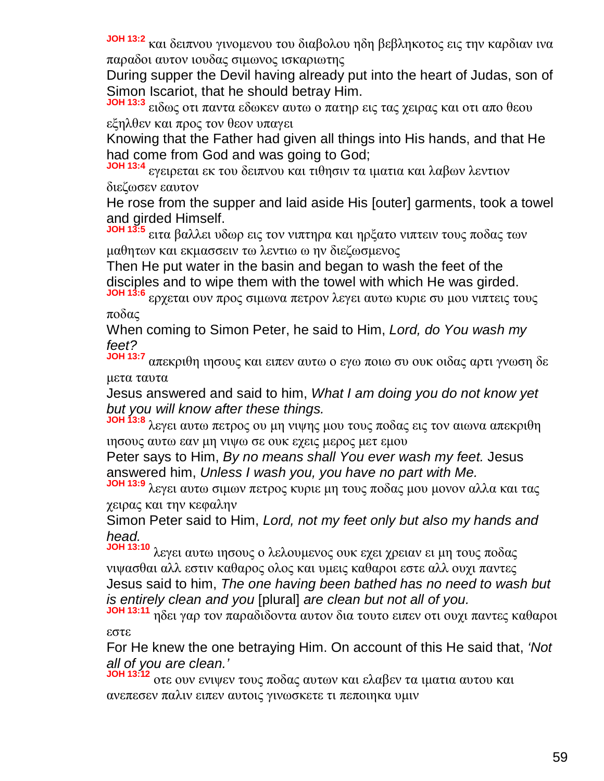**JOH 13:2** και δειπνου γινομενου του διαβολου ηδη βεβληκοτος εις την καρδιαν ινα παραδοι αυτον ιουδας σιμωνος ισκαριωτης

During supper the Devil having already put into the heart of Judas, son of Simon Iscariot, that he should betray Him.

**JOH 13:3** ειδως οτι παντα εδωκεν αυτω ο πατηρ εις τας χειρας και οτι απο θεου εξηλθεν και προς τον θεον υπαγει

Knowing that the Father had given all things into His hands, and that He had come from God and was going to God;

**JOH 13:4** εγειρεται εκ του δειπνου και τιθησιν τα ιματια και λαβων λεντιον διεζωσεν εαυτον

He rose from the supper and laid aside His [outer] garments, took a towel and girded Himself.

**JOH 13:5** ειτα βαλλει υδωρ εις τον νιπτηρα και ηρξατο νιπτειν τους ποδας των μαθητων και εκμασσειν τω λεντιω ω ην διεζωσμενος

Then He put water in the basin and began to wash the feet of the disciples and to wipe them with the towel with which He was girded.

**JOH 13:6** ερχεται ουν προς σιμωνα πετρον λεγει αυτω κυριε συ μου νιπτεις τους ποδας

When coming to Simon Peter, he said to Him, *Lord, do You wash my feet?*

**JOH 13:7** απεκριθη ιησους και ειπεν αυτω ο εγω ποιω συ ουκ οιδας αρτι γνωση δε μετα ταυτα

Jesus answered and said to him, *What I am doing you do not know yet but you will know after these things.*

**JOH 13:8** λεγει αυτω πετρος ου μη νιψης μου τους ποδας εις τον αιωνα απεκριθη ιησους αυτω εαν μη νιψω σε ουκ εχεις μερος μετ εμου

Peter says to Him, *By no means shall You ever wash my feet.* Jesus answered him, *Unless I wash you, you have no part with Me.*

**JOH 13:9** λεγει αυτω σιμων πετρος κυριε μη τους ποδας μου μονον αλλα και τας χειρας και την κεφαλην

Simon Peter said to Him, *Lord, not my feet only but also my hands and head.*

**JOH 13:10** λεγει αυτω ιησους ο λελουμενος ουκ εχει χρειαν ει μη τους ποδας νιψασθαι αλλ εστιν καθαρος ολος και υμεις καθαροι εστε αλλ ουχι παντες Jesus said to him, *The one having been bathed has no need to wash but is entirely clean and you* [plural] *are clean but not all of you.*

**JOH 13:11** ηδει γαρ τον παραδιδοντα αυτον δια τουτο ειπεν οτι ουχι παντες καθαροι εστε

For He knew the one betraying Him. On account of this He said that, *'Not all of you are clean.'*

**JOH 13:12** οτε ουν ενιψεν τους ποδας αυτων και ελαβεν τα ιματια αυτου και ανεπεσεν παλιν ειπεν αυτοις γινωσκετε τι πεποιηκα υμιν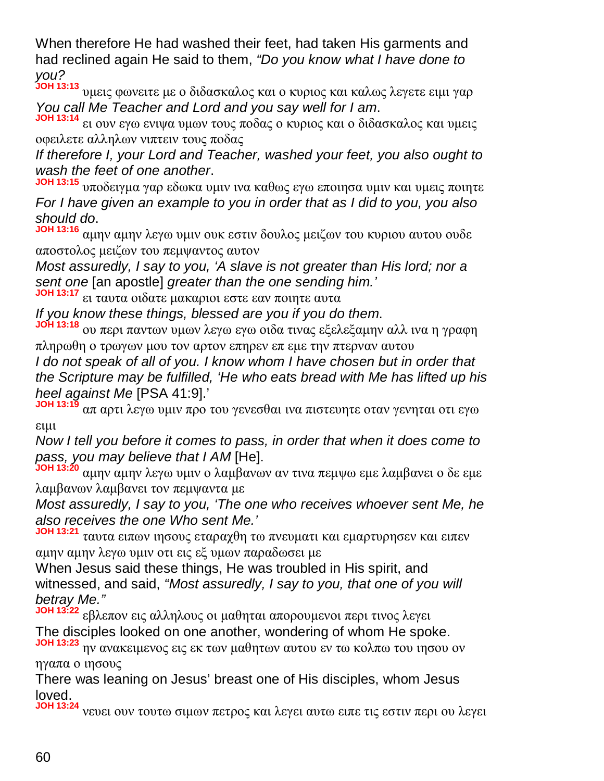When therefore He had washed their feet, had taken His garments and had reclined again He said to them, *"Do you know what I have done to you?*

**JOH 13:13** υμεις φωνειτε με ο διδασκαλος και ο κυριος και καλως λεγετε ειμι γαρ *You call Me Teacher and Lord and you say well for I am*.

**JOH 13:14** ει ουν εγω ενιψα υμων τους ποδας ο κυριος και ο διδασκαλος και υμεις οφειλετε αλληλων νιπτειν τους ποδας

*If therefore I, your Lord and Teacher, washed your feet, you also ought to wash the feet of one another*.

**JOH 13:15** υποδειγμα γαρ εδωκα υμιν ινα καθως εγω εποιησα υμιν και υμεις ποιητε *For I have given an example to you in order that as I did to you, you also should do*.

**JOH 13:16** αμην αμην λεγω υμιν ουκ εστιν δουλος μειζων του κυριου αυτου ουδε αποστολος μειζων του πεμψαντος αυτον

*Most assuredly, I say to you, 'A slave is not greater than His lord; nor a sent one* [an apostle] *greater than the one sending him.'*

**JOH 13:17** ει ταυτα οιδατε μακαριοι εστε εαν ποιητε αυτα

*If you know these things, blessed are you if you do them*.

**JOH 13:18** ου περι παντων υμων λεγω εγω οιδα τινας εξελεξαμην αλλ ινα η γραφη πληρωθη ο τρωγων μου τον αρτον επηρεν επ εμε την πτερναν αυτου

*I do not speak of all of you. I know whom I have chosen but in order that the Scripture may be fulfilled, 'He who eats bread with Me has lifted up his heel against Me* [PSA 41:9].'

**JOH 13:19** απ αρτι λεγω υμιν προ του γενεσθαι ινα πιστευητε οταν γενηται οτι εγω ειμι

*Now I tell you before it comes to pass, in order that when it does come to pass, you may believe that I AM* [He].

**JOH 13:20** αμην αμην λεγω υμιν ο λαμβανων αν τινα πεμψω εμε λαμβανει ο δε εμε λαμβανων λαμβανει τον πεμψαντα με

*Most assuredly, I say to you, 'The one who receives whoever sent Me, he also receives the one Who sent Me.'*

**JOH 13:21** ταυτα ειπων ιησους εταραχθη τω πνευματι και εμαρτυρησεν και ειπεν αμην αμην λεγω υμιν οτι εις εξ υμων παραδωσει με

When Jesus said these things, He was troubled in His spirit, and witnessed, and said, *"Most assuredly, I say to you, that one of you will betray Me."*

**JOH 13:22** εβλεπον εις αλληλους οι μαθηται απορουμενοι περι τινος λεγει The disciples looked on one another, wondering of whom He spoke. **JOH 13:23** ην ανακειμενος εις εκ των μαθητων αυτου εν τω κολπω του ιησου ον

ηγαπα ο ιησους

There was leaning on Jesus' breast one of His disciples, whom Jesus loved.

**JOH 13:24** νευει ουν τουτω σιμων πετρος και λεγει αυτω ειπε τις εστιν περι ου λεγει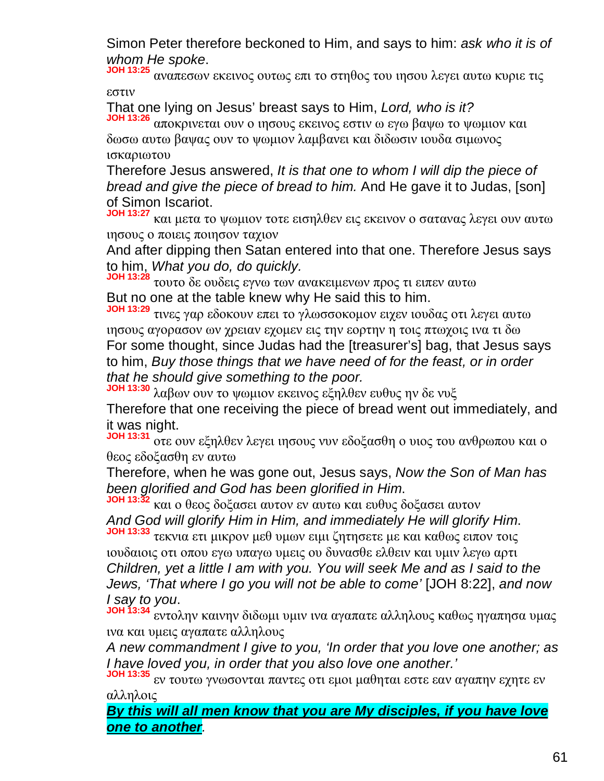Simon Peter therefore beckoned to Him, and says to him: *ask who it is of whom He spoke*.

**JOH 13:25** αναπεσων εκεινος ουτως επι το στηθος του ιησου λεγει αυτω κυριε τις εστιν

That one lying on Jesus' breast says to Him, *Lord, who is it?*

**JOH 13:26** αποκρινεται ουν ο ιησους εκεινος εστιν ω εγω βαψω το ψωμιον και δωσω αυτω βαψας ουν το ψωμιον λαμβανει και διδωσιν ιουδα σιμωνος ισκαριωτου

Therefore Jesus answered, *It is that one to whom I will dip the piece of bread and give the piece of bread to him.* And He gave it to Judas, [son] of Simon Iscariot.

**JOH 13:27** και μετα το ψωμιον τοτε εισηλθεν εις εκεινον ο σατανας λεγει ουν αυτω ιησους ο ποιεις ποιησον ταχιον

And after dipping then Satan entered into that one. Therefore Jesus says to him, *What you do, do quickly.*

**JOH 13:28** τουτο δε ουδεις εγνω των ανακειμενων προς τι ειπεν αυτω But no one at the table knew why He said this to him.

**JOH 13:29** τινες γαρ εδοκουν επει το γλωσσοκομον ειχεν ιουδας οτι λεγει αυτω ιησους αγορασον ων χρειαν εχομεν εις την εορτην η τοις πτωχοις ινα τι δω For some thought, since Judas had the [treasurer's] bag, that Jesus says to him, *Buy those things that we have need of for the feast, or in order that he should give something to the poor.*

**JOH 13:30** λαβων ουν το ψωμιον εκεινος εξηλθεν ευθυς ην δε νυξ

Therefore that one receiving the piece of bread went out immediately, and it was night.

**JOH 13:31** οτε ουν εξηλθεν λεγει ιησους νυν εδοξασθη ο υιος του ανθρωπου και ο θεος εδοξασθη εν αυτω

Therefore, when he was gone out, Jesus says, *Now the Son of Man has been glorified and God has been glorified in Him*.

**JOH 13:32** και ο θεος δοξασει αυτον εν αυτω και ευθυς δοξασει αυτον *And God will glorify Him in Him, and immediately He will glorify Him*.

**JOH 13:33** τεκνια ετι μικρον μεθ υμων ειμι ζητησετε με και καθως ειπον τοις ιουδαιοις οτι οπου εγω υπαγω υμεις ου δυνασθε ελθειν και υμιν λεγω αρτι *Children, yet a little I am with you. You will seek Me and as I said to the Jews, 'That where I go you will not be able to come'* [JOH 8:22], *and now I say to you*.

**JOH 13:34** εντολην καινην διδωμι υμιν ινα αγαπατε αλληλους καθως ηγαπησα υμας ινα και υμεις αγαπατε αλληλους

*A new commandment I give to you, 'In order that you love one another; as I have loved you, in order that you also love one another.'*

**JOH 13:35** εν τουτω γνωσονται παντες οτι εμοι μαθηται εστε εαν αγαπην εχητε εν αλληλοις

*By this will all men know that you are My disciples, if you have love one to another.*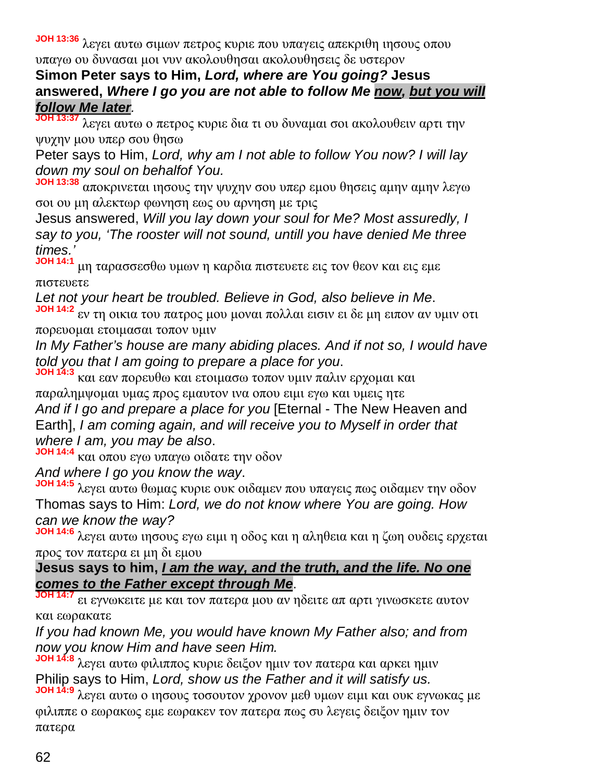**JOH 13:36** λεγει αυτω σιμων πετρος κυριε που υπαγεις απεκριθη ιησους οπου υπαγω ου δυνασαι μοι νυν ακολουθησαι ακολουθησεις δε υστερον

# **Simon Peter says to Him,** *Lord, where are You going?* **Jesus answered,** *Where I go you are not able to follow Me now, but you will follow Me later.*

**JOH 13:37** λεγει αυτω ο πετρος κυριε δια τι ου δυναμαι σοι ακολουθειν αρτι την ψυχην μου υπερ σου θησω

Peter says to Him, *Lord, why am I not able to follow You now? I will lay down my soul on behalfof You.*

**JOH 13:38** αποκρινεται ιησους την ψυχην σου υπερ εμου θησεις αμην αμην λεγω σοι ου μη αλεκτωρ φωνηση εως ου αρνηση με τρις

Jesus answered, *Will you lay down your soul for Me? Most assuredly, I say to you, 'The rooster will not sound, untill you have denied Me three times.'*

**JOH 14:1** μη ταρασσεσθω υμων η καρδια πιστευετε εις τον θεον και εις εμε πιστευετε

*Let not your heart be troubled. Believe in God, also believe in Me*.

**JOH 14:2** εν τη οικια του πατρος μου μοναι πολλαι εισιν ει δε μη ειπον αν υμιν οτι πορευομαι ετοιμασαι τοπον υμιν

*In My Father's house are many abiding places. And if not so, I would have told you that I am going to prepare a place for you*.

**JOH 14:3** και εαν πορευθω και ετοιμασω τοπον υμιν παλιν ερχομαι και

παραλημψομαι υμας προς εμαυτον ινα οπου ειμι εγω και υμεις ητε *And if I go and prepare a place for you* [Eternal - The New Heaven and Earth], *I am coming again, and will receive you to Myself in order that where I am, you may be also*.

**JOH 14:4** και οπου εγω υπαγω οιδατε την οδον

*And where I go you know the way*.

**JOH 14:5** λεγει αυτω θωμας κυριε ουκ οιδαμεν που υπαγεις πως οιδαμεν την οδον Thomas says to Him: *Lord, we do not know where You are going. How can we know the way?*

**JOH 14:6** λεγει αυτω ιησους εγω ειμι η οδος και η αληθεια και η ζωη ουδεις ερχεται προς τον πατερα ει μη δι εμου

**Jesus says to him,** *I am the way, and the truth, and the life. No one comes to the Father except through Me*.

**JOH 14:7** ει εγνωκειτε με και τον πατερα μου αν ηδειτε απ αρτι γινωσκετε αυτον και εωρακατε

*If you had known Me, you would have known My Father also; and from now you know Him and have seen Him.*

14:8 λεγει αυτω φιλιππος κυριε δειξον ημιν τον πατερα και αρκει ημιν Philip says to Him, *Lord, show us the Father and it will satisfy us.*

**JOH 14:9** λεγει αυτω ο ιησους τοσουτον χρονον μεθ υμων ειμι και ουκ εγνωκας με φιλιππε ο εωρακως εμε εωρακεν τον πατερα πως συ λεγεις δειξον ημιν τον πατερα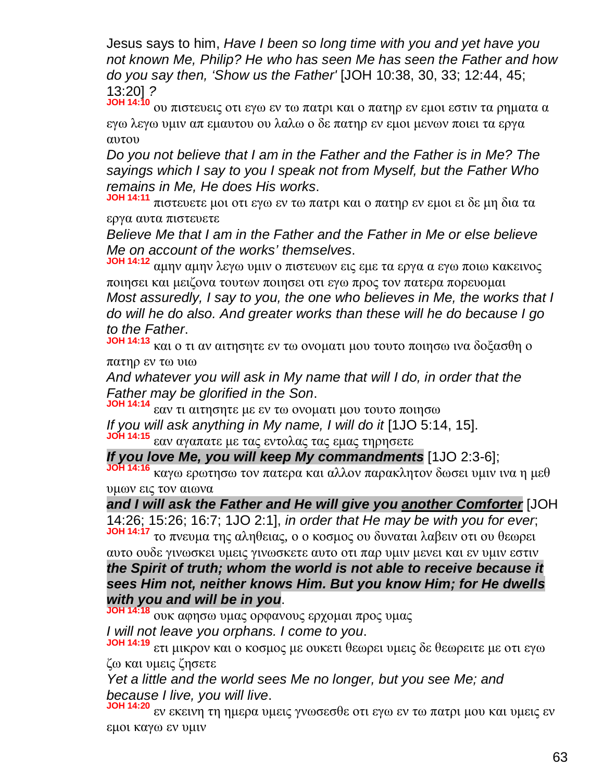Jesus says to him, *Have I been so long time with you and yet have you not known Me, Philip? He who has seen Me has seen the Father and how do you say then, 'Show us the Father'* [JOH 10:38, 30, 33; 12:44, 45; 13:20] *?*

**JOH 14:10** ου πιστευεις οτι εγω εν τω πατρι και ο πατηρ εν εμοι εστιν τα ρηματα α εγω λεγω υμιν απ εμαυτου ου λαλω ο δε πατηρ εν εμοι μενων ποιει τα εργα αυτου

*Do you not believe that I am in the Father and the Father is in Me? The sayings which I say to you I speak not from Myself, but the Father Who remains in Me, He does His works*.

**JOH 14:11** πιστευετε μοι οτι εγω εν τω πατρι και ο πατηρ εν εμοι ει δε μη δια τα εργα αυτα πιστευετε

*Believe Me that I am in the Father and the Father in Me or else believe Me on account of the works' themselves*.

**JOH 14:12** αμην αμην λεγω υμιν ο πιστευων εις εμε τα εργα α εγω ποιω κακεινος ποιησει και μειζονα τουτων ποιησει οτι εγω προς τον πατερα πορευομαι *Most assuredly, I say to you, the one who believes in Me, the works that I do will he do also. And greater works than these will he do because I go to the Father*.

**JOH 14:13** και ο τι αν αιτησητε εν τω ονοματι μου τουτο ποιησω ινα δοξασθη ο πατηρ εν τω υιω

*And whatever you will ask in My name that will I do, in order that the Father may be glorified in the Son*.

**JOH 14:14** εαν τι αιτησητε με εν τω ονοματι μου τουτο ποιησω *If you will ask anything in My name, I will do it* [1JO 5:14, 15]. **JOH 14:15** εαν αγαπατε με τας εντολας τας εμας τηρησετε

*If you love Me, you will keep My commandments* [1JO 2:3-6];

**JOH 14:16** καγω ερωτησω τον πατερα και αλλον παρακλητον δωσει υμιν ινα η μεθ υμων εις τον αιωνα

*and I will ask the Father and He will give you another Comforter* [JOH 14:26; 15:26; 16:7; 1JO 2:1], *in order that He may be with you for ever*;

**JOH 14:17** το πνευμα της αληθειας, ο ο κοσμος ου δυναται λαβειν οτι ου θεωρει αυτο ουδε γινωσκει υμεις γινωσκετε αυτο οτι παρ υμιν μενει και εν υμιν εστιν *the Spirit of truth; whom the world is not able to receive because it sees Him not, neither knows Him. But you know Him; for He dwells*

*with you and will be in you*.

**JOH 14:18** ουκ αφησω υμας ορφανους ερχομαι προς υμας

*I will not leave you orphans. I come to you*.

**JOH 14:19** ετι μικρον και ο κοσμος με ουκετι θεωρει υμεις δε θεωρειτε με οτι εγω ζω και υμεις ζησετε

*Yet a little and the world sees Me no longer, but you see Me; and because I live, you will live*.

**JOH 14:20** εν εκεινη τη ημερα υμεις γνωσεσθε οτι εγω εν τω πατρι μου και υμεις εν εμοι καγω εν υμιν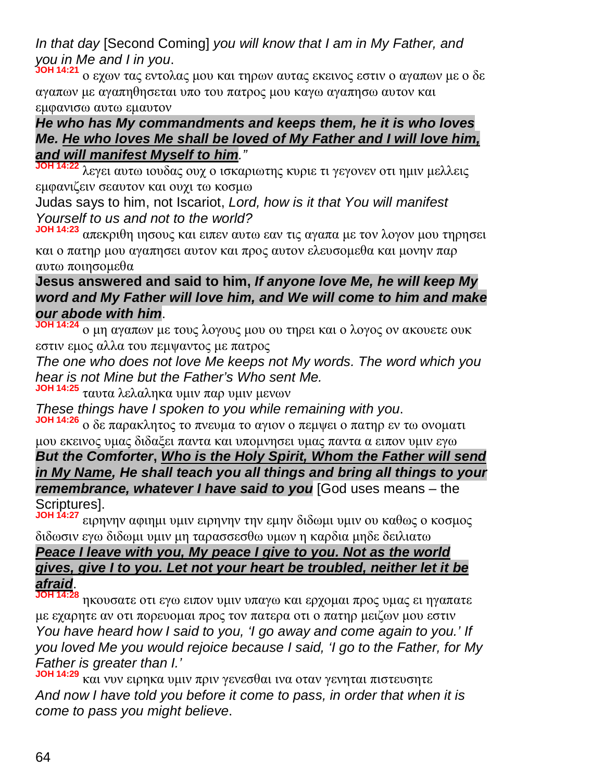# *In that day* [Second Coming] *you will know that I am in My Father, and you in Me and I in you*.

**JOH 14:21** ο εχων τας εντολας μου και τηρων αυτας εκεινος εστιν ο αγαπων με ο δε αγαπων με αγαπηθησεται υπο του πατρος μου καγω αγαπησω αυτον και εμφανισω αυτω εμαυτον

#### *He who has My commandments and keeps them, he it is who loves Me. He who loves Me shall be loved of My Father and I will love him, and will manifest Myself to him."*

**JOH 14:22** λεγει αυτω ιουδας ουχ ο ισκαριωτης κυριε τι γεγονεν οτι ημιν μελλεις εμφανιζειν σεαυτον και ουχι τω κοσμω

Judas says to him, not Iscariot, *Lord, how is it that You will manifest Yourself to us and not to the world?*

**JOH 14:23** απεκριθη ιησους και ειπεν αυτω εαν τις αγαπα με τον λογον μου τηρησει και ο πατηρ μου αγαπησει αυτον και προς αυτον ελευσομεθα και μονην παρ αυτω ποιησομεθα

## **Jesus answered and said to him,** *If anyone love Me, he will keep My word and My Father will love him, and We will come to him and make our abode with him*.

**JOH 14:24** ο μη αγαπων με τους λογους μου ου τηρει και ο λογος ον ακουετε ουκ εστιν εμος αλλα του πεμψαντος με πατρος

*The one who does not love Me keeps not My words. The word which you hear is not Mine but the Father's Who sent Me.*

**JOH 14:25** ταυτα λελαληκα υμιν παρ υμιν μενων

*These things have I spoken to you while remaining with you*.

**JOH 14:26** ο δε παρακλητος το πνευμα το αγιον ο πεμψει ο πατηρ εν τω ονοματι μου εκεινος υμας διδαξει παντα και υπομνησει υμας παντα α ειπον υμιν εγω

*But the Comforter***,** *Who is the Holy Spirit, Whom the Father will send in My Name, He shall teach you all things and bring all things to your remembrance, whatever I have said to you* [God uses means – the Scriptures].

**JOH 14:27** ειρηνην αφιημι υμιν ειρηνην την εμην διδωμι υμιν ου καθως ο κοσμος διδωσιν εγω διδωμι υμιν μη ταρασσεσθω υμων η καρδια μηδε δειλιατω

## *Peace I leave with you, My peace I give to you. Not as the world gives, give I to you. Let not your heart be troubled, neither let it be afraid*.

**JOH 14:28** ηκουσατε οτι εγω ειπον υμιν υπαγω και ερχομαι προς υμας ει ηγαπατε με εχαρητε αν οτι πορευομαι προς τον πατερα οτι ο πατηρ μειζων μου εστιν *You have heard how I said to you, 'I go away and come again to you.' If you loved Me you would rejoice because I said, 'I go to the Father, for My Father is greater than I.'*

**JOH 14:29** και νυν ειρηκα υμιν πριν γενεσθαι ινα οταν γενηται πιστευσητε *And now I have told you before it come to pass, in order that when it is come to pass you might believe*.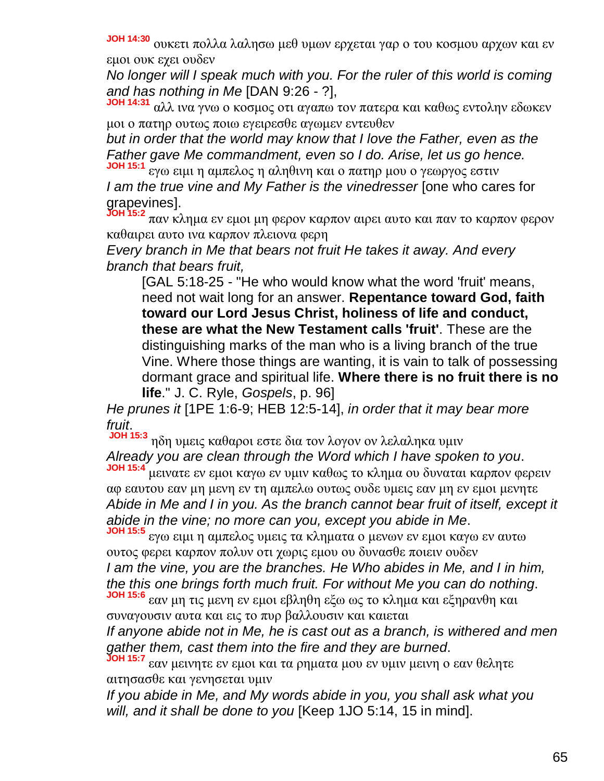**JOH 14:30** ουκετι πολλα λαλησω μεθ υμων ερχεται γαρ ο του κοσμου αρχων και εν εμοι ουκ εχει ουδεν

*No longer will I speak much with you. For the ruler of this world is coming and has nothing in Me* [DAN 9:26 - ?],

**JOH 14:31** αλλ ινα γνω ο κοσμος οτι αγαπω τον πατερα και καθως εντολην εδωκεν μοι ο πατηρ ουτως ποιω εγειρεσθε αγωμεν εντευθεν

*but in order that the world may know that I love the Father, even as the Father gave Me commandment, even so I do. Arise, let us go hence.* **JOH 15:1**

εγω ειμι η αμπελος η αληθινη και ο πατηρ μου ο γεωργος εστιν *I am the true vine and My Father is the vinedresser* [one who cares for grapevines].

**JOH 15:2** παν κλημα εν εμοι μη φερον καρπον αιρει αυτο και παν το καρπον φερον καθαιρει αυτο ινα καρπον πλειονα φερη

*Every branch in Me that bears not fruit He takes it away. And every branch that bears fruit,*

[GAL 5:18-25 - "He who would know what the word 'fruit' means, need not wait long for an answer. **Repentance toward God, faith toward our Lord Jesus Christ, holiness of life and conduct, these are what the New Testament calls 'fruit'**. These are the distinguishing marks of the man who is a living branch of the true Vine. Where those things are wanting, it is vain to talk of possessing dormant grace and spiritual life. **Where there is no fruit there is no life**." J. C. Ryle, *Gospels*, p. 96]

*He prunes it* [1PE 1:6-9; HEB 12:5-14], *in order that it may bear more fruit*.

**JOH 15:3** ηδη υμεις καθαροι εστε δια τον λογον ον λελαληκα υμιν *Already you are clean through the Word which I have spoken to you*. **JOH 15:4**

μεινατε εν εμοι καγω εν υμιν καθως το κλημα ου δυναται καρπον φερειν αφ εαυτου εαν μη μενη εν τη αμπελω ουτως ουδε υμεις εαν μη εν εμοι μενητε *Abide in Me and I in you. As the branch cannot bear fruit of itself, except it abide in the vine; no more can you, except you abide in Me*. **JOH 15:5**

εγω ειμι η αμπελος υμεις τα κληματα ο μενων εν εμοι καγω εν αυτω ουτος φερει καρπον πολυν οτι χωρις εμου ου δυνασθε ποιειν ουδεν *I am the vine, you are the branches. He Who abides in Me, and I in him, the this one brings forth much fruit. For without Me you can do nothing*.

**JOH 15:6** εαν μη τις μενη εν εμοι εβληθη εξω ως το κλημα και εξηρανθη και συναγουσιν αυτα και εις το πυρ βαλλουσιν και καιεται

*If anyone abide not in Me, he is cast out as a branch, is withered and men gather them, cast them into the fire and they are burned*.

**JOH 15:7** εαν μεινητε εν εμοι και τα ρηματα μου εν υμιν μεινη ο εαν θελητε αιτησασθε και γενησεται υμιν

*If you abide in Me, and My words abide in you, you shall ask what you will, and it shall be done to you* [Keep 1JO 5:14, 15 in mind].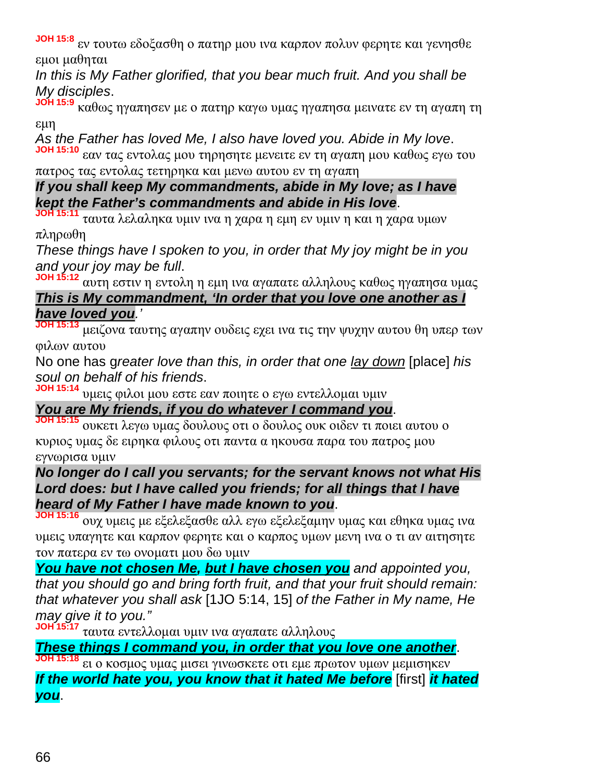**JOH 15:8** εν τουτω εδοξασθη ο πατηρ μου ινα καρπον πολυν φερητε και γενησθε εμοι μαθηται

*In this is My Father glorified, that you bear much fruit. And you shall be My disciples*.

**JOH 15:9** καθως ηγαπησεν με ο πατηρ καγω υμας ηγαπησα μεινατε εν τη αγαπη τη εμη

*As the Father has loved Me, I also have loved you. Abide in My love*. **JOH 15:10** εαν τας εντολας μου τηρησητε μενειτε εν τη αγαπη μου καθως εγω του

#### πατρος τας εντολας τετηρηκα και μενω αυτου εν τη αγαπη *If you shall keep My commandments, abide in My love; as I have kept the Father's commandments and abide in His love*.

**JOH 15:11** ταυτα λελαληκα υμιν ινα η χαρα η εμη εν υμιν η και η χαρα υμων πληρωθη

*These things have I spoken to you, in order that My joy might be in you and your joy may be full*.

**JOH 15:12** αυτη εστιν η εντολη η εμη ινα αγαπατε αλληλους καθως ηγαπησα υμας *This is My commandment, 'In order that you love one another as I have loved you.'*

**JOH 15:13** μειζονα ταυτης αγαπην ουδεις εχει ινα τις την ψυχην αυτου θη υπερ των φιλων αυτου

No one has g*reater love than this, in order that one lay down* [place] *his soul on behalf of his friends*.

**JOH 15:14** υμεις φιλοι μου εστε εαν ποιητε ο εγω εντελλομαι υμιν

# *You are My friends, if you do whatever I command you*.

**JOH 15:15** ουκετι λεγω υμας δουλους οτι ο δουλος ουκ οιδεν τι ποιει αυτου ο κυριος υμας δε ειρηκα φιλους οτι παντα α ηκουσα παρα του πατρος μου εγνωρισα υμιν

#### *No longer do I call you servants; for the servant knows not what His Lord does: but I have called you friends; for all things that I have heard of My Father I have made known to you*.

**JOH 15:16** ουχ υμεις με εξελεξασθε αλλ εγω εξελεξαμην υμας και εθηκα υμας ινα υμεις υπαγητε και καρπον φερητε και ο καρπος υμων μενη ινα ο τι αν αιτησητε τον πατερα εν τω ονοματι μου δω υμιν

*You have not chosen Me, but I have chosen you and appointed you, that you should go and bring forth fruit, and that your fruit should remain: that whatever you shall ask* [1JO 5:14, 15] *of the Father in My name, He may give it to you."*

**JOH 15:17** ταυτα εντελλομαι υμιν ινα αγαπατε αλληλους

*These things I command you, in order that you love one another*.

**JOH 15:18** ει ο κοσμος υμας μισει γινωσκετε οτι εμε πρωτον υμων μεμισηκεν

*If the world hate you, you know that it hated Me before* [first] *it hated you*.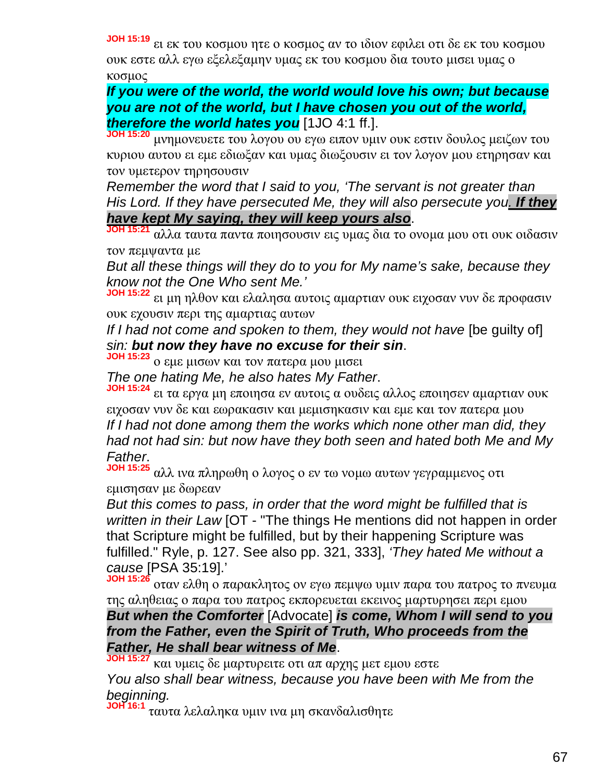**JOH 15:19** ει εκ του κοσμου ητε ο κοσμος αν το ιδιον εφιλει οτι δε εκ του κοσμου

ουκ εστε αλλ εγω εξελεξαμην υμας εκ του κοσμου δια τουτο μισει υμας ο κοσμος

*If you were of the world, the world would love his own; but because you are not of the world, but I have chosen you out of the world, therefore the world hates you* [1JO 4:1 ff.].

**JOH 15:20** μνημονευετε του λογου ου εγω ειπον υμιν ουκ εστιν δουλος μειζων του κυριου αυτου ει εμε εδιωξαν και υμας διωξουσιν ει τον λογον μου ετηρησαν και τον υμετερον τηρησουσιν

*Remember the word that I said to you, 'The servant is not greater than His Lord. If they have persecuted Me, they will also persecute you. If they have kept My saying, they will keep yours also*.

**JOH 15:21** αλλα ταυτα παντα ποιησουσιν εις υμας δια το ονομα μου οτι ουκ οιδασιν τον πεμψαντα με

*But all these things will they do to you for My name's sake, because they know not the One Who sent Me.'*

**JOH 15:22** ει μη ηλθον και ελαλησα αυτοις αμαρτιαν ουκ ειχοσαν νυν δε προφασιν ουκ εχουσιν περι της αμαρτιας αυτων

*If I had not come and spoken to them, they would not have* [be guilty of] *sin: but now they have no excuse for their sin*.

**JOH 15:23** ο εμε μισων και τον πατερα μου μισει

*The one hating Me, he also hates My Father*.

**JOH 15:24** ει τα εργα μη εποιησα εν αυτοις α ουδεις αλλος εποιησεν αμαρτιαν ουκ ειχοσαν νυν δε και εωρακασιν και μεμισηκασιν και εμε και τον πατερα μου *If I had not done among them the works which none other man did, they had not had sin: but now have they both seen and hated both Me and My Father*.

**JOH 15:25** αλλ ινα πληρωθη ο λογος ο εν τω νομω αυτων γεγραμμενος οτι εμισησαν με δωρεαν

*But this comes to pass, in order that the word might be fulfilled that is written in their Law* [OT - "The things He mentions did not happen in order that Scripture might be fulfilled, but by their happening Scripture was fulfilled." Ryle, p. 127. See also pp. 321, 333], *'They hated Me without a cause* [PSA 35:19].'

**JOH 15:26** οταν ελθη ο παρακλητος ον εγω πεμψω υμιν παρα του πατρος το πνευμα της αληθειας ο παρα του πατρος εκπορευεται εκεινος μαρτυρησει περι εμου *But when the Comforter* [Advocate] *is come, Whom I will send to you from the Father, even the Spirit of Truth, Who proceeds from the Father, He shall bear witness of Me*.

**JOH 15:27** και υμεις δε μαρτυρειτε οτι απ αρχης μετ εμου εστε

*You also shall bear witness, because you have been with Me from the beginning.*

**JOH 16:1** ταυτα λελαληκα υμιν ινα μη σκανδαλισθητε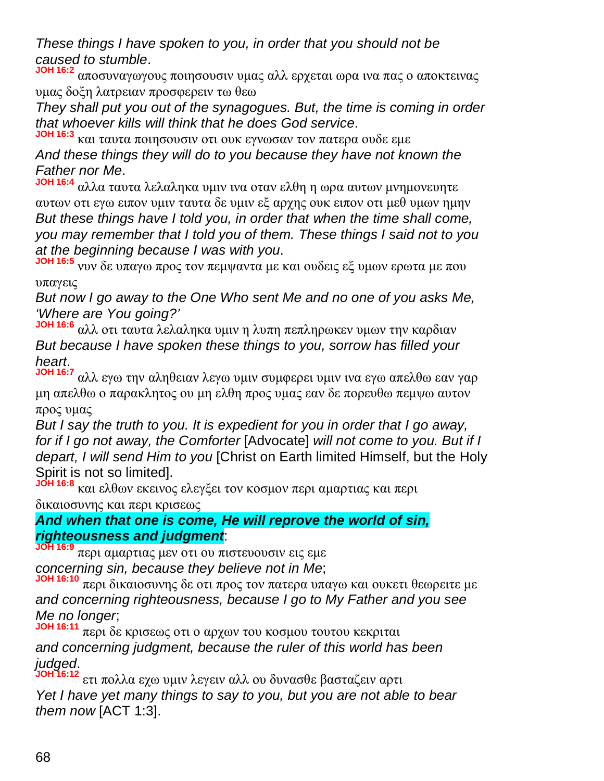*These things I have spoken to you, in order that you should not be caused to stumble*.

**JOH 16:2** αποσυναγωγους ποιησουσιν υμας αλλ ερχεται ωρα ινα πας ο αποκτεινας υμας δοξη λατρειαν προσφερειν τω θεω

*They shall put you out of the synagogues. But, the time is coming in order that whoever kills will think that he does God service*.

**JOH 16:3** και ταυτα ποιησουσιν οτι ουκ εγνωσαν τον πατερα ουδε εμε *And these things they will do to you because they have not known the Father nor Me*.

**JOH 16:4** αλλα ταυτα λελαληκα υμιν ινα οταν ελθη η ωρα αυτων μνημονευητε αυτων οτι εγω ειπον υμιν ταυτα δε υμιν εξ αρχης ουκ ειπον οτι μεθ υμων ημην *But these things have I told you, in order that when the time shall come, you may remember that I told you of them. These things I said not to you at the beginning because I was with you*.

**JOH 16:5** νυν δε υπαγω προς τον πεμψαντα με και ουδεις εξ υμων ερωτα με που υπαγεις

*But now I go away to the One Who sent Me and no one of you asks Me, 'Where are You going?'*

**JOH 16:6** αλλ οτι ταυτα λελαληκα υμιν η λυπη πεπληρωκεν υμων την καρδιαν *But because I have spoken these things to you, sorrow has filled your heart*.

**JOH 16:7** αλλ εγω την αληθειαν λεγω υμιν συμφερει υμιν ινα εγω απελθω εαν γαρ μη απελθω ο παρακλητος ου μη ελθη προς υμας εαν δε πορευθω πεμψω αυτον προς υμας

*But I say the truth to you. It is expedient for you in order that I go away, for if I go not away, the Comforter* [Advocate] *will not come to you. But if I depart, I will send Him to you* [Christ on Earth limited Himself, but the Holy Spirit is not so limited].

**JOH 16:8** και ελθων εκεινος ελεγξει τον κοσμον περι αμαρτιας και περι δικαιοσυνης και περι κρισεως

#### *And when that one is come, He will reprove the world of sin, righteousness and judgment*:

**JOH 16:9** περι αμαρτιας μεν οτι ου πιστευουσιν εις εμε *concerning sin, because they believe not in Me*;

**JOH 16:10** περι δικαιοσυνης δε οτι προς τον πατερα υπαγω και ουκετι θεωρειτε με *and concerning righteousness, because I go to My Father and you see Me no longer*;

**JOH 16:11** περι δε κρισεως οτι ο αρχων του κοσμου τουτου κεκριται *and concerning judgment, because the ruler of this world has been judged*.

**JOH 16:12** ετι πολλα εχω υμιν λεγειν αλλ ου δυνασθε βασταζειν αρτι *Yet I have yet many things to say to you, but you are not able to bear them now* [ACT 1:3].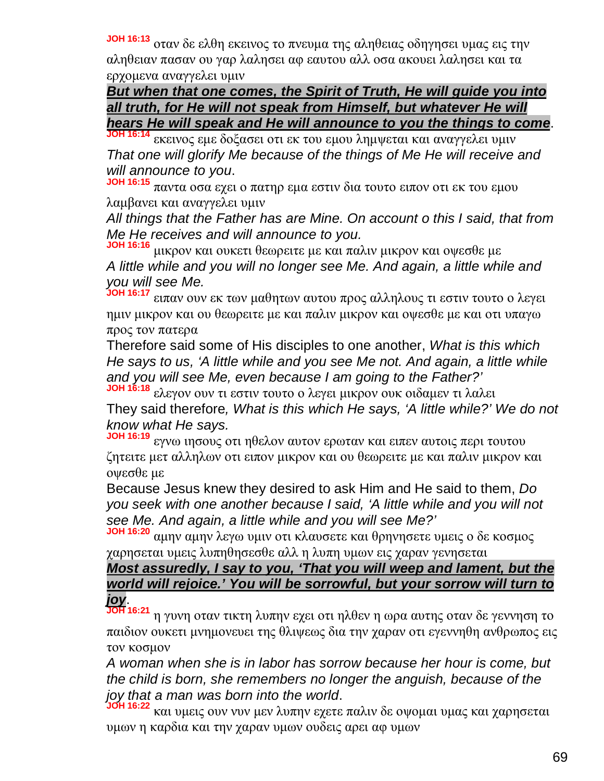**JOH 16:13** οταν δε ελθη εκεινος το πνευμα της αληθειας οδηγησει υμας εις την αληθειαν πασαν ου γαρ λαλησει αφ εαυτου αλλ οσα ακουει λαλησει και τα ερχομενα αναγγελει υμιν

*But when that one comes, the Spirit of Truth, He will guide you into all truth, for He will not speak from Himself, but whatever He will hears He will speak and He will announce to you the things to come*.

**JOH 16:14** εκεινος εμε δοξασει οτι εκ του εμου λημψεται και αναγγελει υμιν *That one will glorify Me because of the things of Me He will receive and will announce to you*.

**JOH 16:15** παντα οσα εχει ο πατηρ εμα εστιν δια τουτο ειπον οτι εκ του εμου λαμβανει και αναγγελει υμιν

*All things that the Father has are Mine. On account o this I said, that from Me He receives and will announce to you.*

**JOH 16:16** μικρον και ουκετι θεωρειτε με και παλιν μικρον και οψεσθε με *A little while and you will no longer see Me. And again, a little while and you will see Me.*

**JOH 16:17** ειπαν ουν εκ των μαθητων αυτου προς αλληλους τι εστιν τουτο ο λεγει ημιν μικρον και ου θεωρειτε με και παλιν μικρον και οψεσθε με και οτι υπαγω προς τον πατερα

Therefore said some of His disciples to one another, *What is this which He says to us, 'A little while and you see Me not. And again, a little while and you will see Me, even because I am going to the Father?'*

**JOH 16:18** ελεγον ουν τι εστιν τουτο ο λεγει μικρον ουκ οιδαμεν τι λαλει They said therefore*, What is this which He says, 'A little while?' We do not know what He says.*

**JOH 16:19** εγνω ιησους οτι ηθελον αυτον ερωταν και ειπεν αυτοις περι τουτου ζητειτε μετ αλληλων οτι ειπον μικρον και ου θεωρειτε με και παλιν μικρον και οψεσθε με

Because Jesus knew they desired to ask Him and He said to them, *Do you seek with one another because I said, 'A little while and you will not see Me. And again, a little while and you will see Me?'*

**JOH 16:20** αμην αμην λεγω υμιν οτι κλαυσετε και θρηνησετε υμεις ο δε κοσμος χαρησεται υμεις λυπηθησεσθε αλλ η λυπη υμων εις χαραν γενησεται

# *Most assuredly, I say to you, 'That you will weep and lament, but the world will rejoice.' You will be sorrowful, but your sorrow will turn to joy*.

**JOH 16:21** η γυνη οταν τικτη λυπην εχει οτι ηλθεν η ωρα αυτης οταν δε γεννηση το παιδιον ουκετι μνημονευει της θλιψεως δια την χαραν οτι εγεννηθη ανθρωπος εις τον κοσμον

*A woman when she is in labor has sorrow because her hour is come, but the child is born, she remembers no longer the anguish, because of the joy that a man was born into the world*.

**JOH 16:22** και υμεις ουν νυν μεν λυπην εχετε παλιν δε οψομαι υμας και χαρησεται υμων η καρδια και την χαραν υμων ουδεις αρει αφ υμων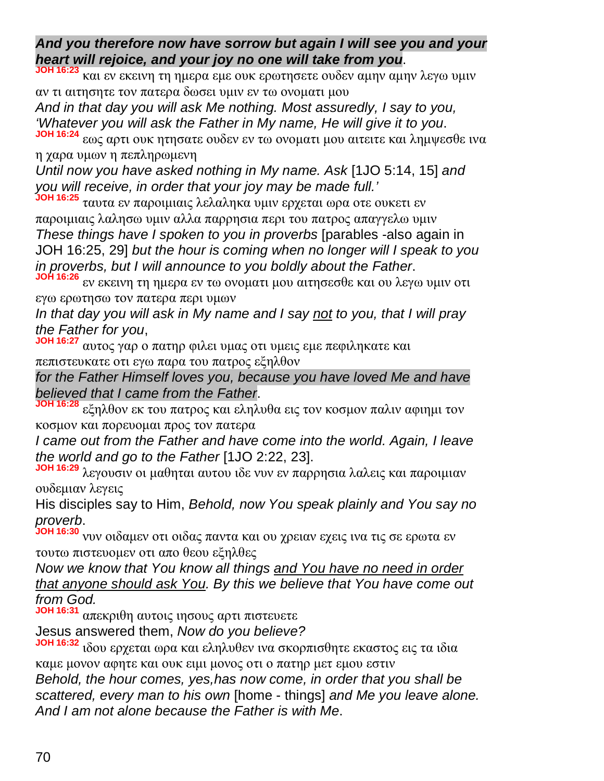*And you therefore now have sorrow but again I will see you and your heart will rejoice, and your joy no one will take from you*.

**JOH 16:23** και εν εκεινη τη ημερα εμε ουκ ερωτησετε ουδεν αμην αμην λεγω υμιν αν τι αιτησητε τον πατερα δωσει υμιν εν τω ονοματι μου

*And in that day you will ask Me nothing. Most assuredly, I say to you, 'Whatever you will ask the Father in My name, He will give it to you*.

**JOH 16:24** εως αρτι ουκ ητησατε ουδεν εν τω ονοματι μου αιτειτε και λημψεσθε ινα η χαρα υμων η πεπληρωμενη

*Until now you have asked nothing in My name. Ask* [1JO 5:14, 15] *and you will receive, in order that your joy may be made full.'*

**JOH 16:25** ταυτα εν παροιμιαις λελαληκα υμιν ερχεται ωρα οτε ουκετι εν παροιμιαις λαλησω υμιν αλλα παρρησια περι του πατρος απαγγελω υμιν *These things have I spoken to you in proverbs* [parables -also again in JOH 16:25, 29] *but the hour is coming when no longer will I speak to you in proverbs, but I will announce to you boldly about the Father*.

**JOH 16:26** εν εκεινη τη ημερα εν τω ονοματι μου αιτησεσθε και ου λεγω υμιν οτι εγω ερωτησω τον πατερα περι υμων

*In that day you will ask in My name and I say not to you, that I will pray the Father for you*,

**JOH 16:27** αυτος γαρ ο πατηρ φιλει υμας οτι υμεις εμε πεφιληκατε και πεπιστευκατε οτι εγω παρα του πατρος εξηλθον

*for the Father Himself loves you, because you have loved Me and have believed that I came from the Father*.

**JOH 16:28** εξηλθον εκ του πατρος και εληλυθα εις τον κοσμον παλιν αφιημι τον κοσμον και πορευομαι προς τον πατερα

*I came out from the Father and have come into the world. Again, I leave the world and go to the Father* [1JO 2:22, 23].

**JOH 16:29** λεγουσιν οι μαθηται αυτου ιδε νυν εν παρρησια λαλεις και παροιμιαν ουδεμιαν λεγεις

His disciples say to Him, *Behold, now You speak plainly and You say no proverb*.

**JOH 16:30** νυν οιδαμεν οτι οιδας παντα και ου χρειαν εχεις ινα τις σε ερωτα εν τουτω πιστευομεν οτι απο θεου εξηλθες

*Now we know that You know all things and You have no need in order that anyone should ask You. By this we believe that You have come out from God.*

**JOH 16:31** απεκριθη αυτοις ιησους αρτι πιστευετε

Jesus answered them, *Now do you believe?*

**JOH 16:32** ιδου ερχεται ωρα και εληλυθεν ινα σκορπισθητε εκαστος εις τα ιδια καμε μονον αφητε και ουκ ειμι μονος οτι ο πατηρ μετ εμου εστιν

*Behold, the hour comes, yes,has now come, in order that you shall be scattered, every man to his own* [home - things] *and Me you leave alone. And I am not alone because the Father is with Me*.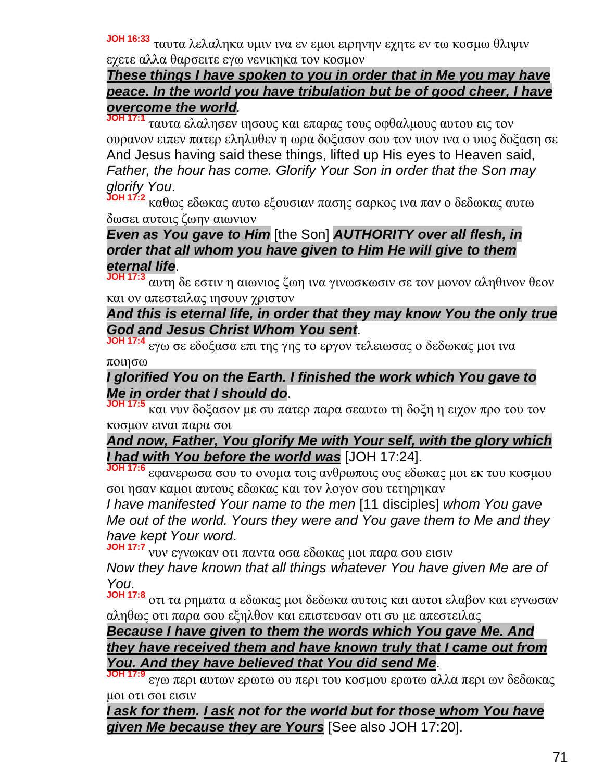**JOH 16:33** ταυτα λελαληκα υμιν ινα εν εμοι ειρηνην εχητε εν τω κοσμω θλιψιν εχετε αλλα θαρσειτε εγω νενικηκα τον κοσμον

## *These things I have spoken to you in order that in Me you may have peace. In the world you have tribulation but be of good cheer, I have overcome the world.*

**JOH 17:1** ταυτα ελαλησεν ιησους και επαρας τους οφθαλμους αυτου εις τον ουρανον ειπεν πατερ εληλυθεν η ωρα δοξασον σου τον υιον ινα ο υιος δοξαση σε And Jesus having said these things, lifted up His eyes to Heaven said, *Father, the hour has come. Glorify Your Son in order that the Son may glorify You*.

**JOH 17:2** καθως εδωκας αυτω εξουσιαν πασης σαρκος ινα παν ο δεδωκας αυτω δωσει αυτοις ζωην αιωνιον

## *Even as You gave to Him* [the Son] *AUTHORITY over all flesh, in order that all whom you have given to Him He will give to them eternal life*.

**JOH 17:3** αυτη δε εστιν η αιωνιος ζωη ινα γινωσκωσιν σε τον μονον αληθινον θεον και ον απεστειλας ιησουν χριστον

## *And this is eternal life, in order that they may know You the only true God and Jesus Christ Whom You sent*.

**JOH 17:4** εγω σε εδοξασα επι της γης το εργον τελειωσας ο δεδωκας μοι ινα ποιησω

# *I glorified You on the Earth. I finished the work which You gave to Me in order that I should do*.

**JOH 17:5** και νυν δοξασον με συ πατερ παρα σεαυτω τη δοξη η ειχον προ του τον κοσμον ειναι παρα σοι

*And now, Father, You glorify Me with Your self, with the glory which I had with You before the world was* [JOH 17:24].

**JOH 17:6** εφανερωσα σου το ονομα τοις ανθρωποις ους εδωκας μοι εκ του κοσμου σοι ησαν καμοι αυτους εδωκας και τον λογον σου τετηρηκαν

*I have manifested Your name to the men* [11 disciples] *whom You gave Me out of the world. Yours they were and You gave them to Me and they have kept Your word*.

**JOH 17:7** νυν εγνωκαν οτι παντα οσα εδωκας μοι παρα σου εισιν

*Now they have known that all things whatever You have given Me are of You*.

**JOH 17:8** οτι τα ρηματα α εδωκας μοι δεδωκα αυτοις και αυτοι ελαβον και εγνωσαν αληθως οτι παρα σου εξηλθον και επιστευσαν οτι συ με απεστειλας

#### *Because I have given to them the words which You gave Me. And they have received them and have known truly that I came out from You. And they have believed that You did send Me*.

**JOH 17:9** εγω περι αυτων ερωτω ου περι του κοσμου ερωτω αλλα περι ων δεδωκας μοι οτι σοι εισιν

*I ask for them. I ask not for the world but for those whom You have given Me because they are Yours* [See also JOH 17:20].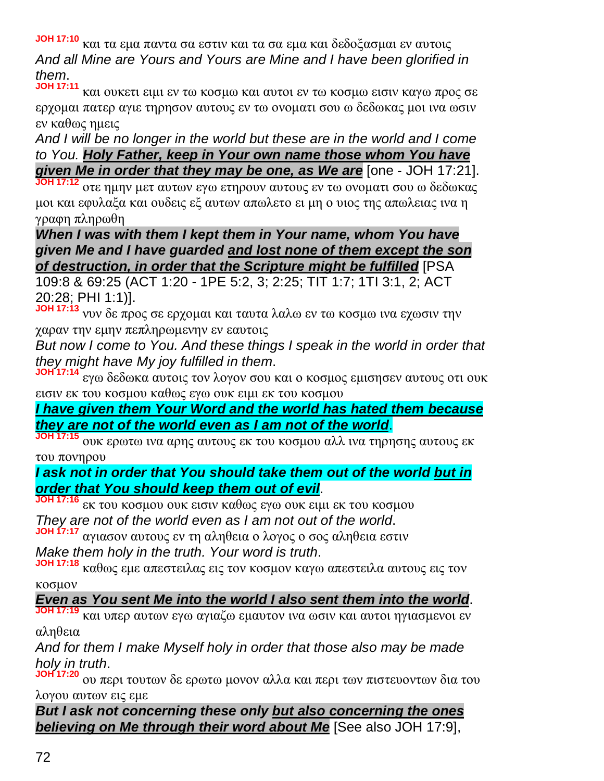**JOH 17:10** και τα εμα παντα σα εστιν και τα σα εμα και δεδοξασμαι εν αυτοις *And all Mine are Yours and Yours are Mine and I have been glorified in them*.

**JOH 17:11** και ουκετι ειμι εν τω κοσμω και αυτοι εν τω κοσμω εισιν καγω προς σε ερχομαι πατερ αγιε τηρησον αυτους εν τω ονοματι σου ω δεδωκας μοι ινα ωσιν εν καθως ημεις

*And I will be no longer in the world but these are in the world and I come to You. Holy Father, keep in Your own name those whom You have given Me in order that they may be one, as We are* [one - JOH 17:21].

**JOH 17:12** οτε ημην μετ αυτων εγω ετηρουν αυτους εν τω ονοματι σου ω δεδωκας μοι και εφυλαξα και ουδεις εξ αυτων απωλετο ει μη ο υιος της απωλειας ινα η γραφη πληρωθη

*When I was with them I kept them in Your name, whom You have given Me and I have guarded and lost none of them except the son of destruction, in order that the Scripture might be fulfilled* [PSA

109:8 & 69:25 (ACT 1:20 - 1PE 5:2, 3; 2:25; TIT 1:7; 1TI 3:1, 2; ACT 20:28; PHI 1:1)].

**JOH 17:13** νυν δε προς σε ερχομαι και ταυτα λαλω εν τω κοσμω ινα εχωσιν την χαραν την εμην πεπληρωμενην εν εαυτοις

*But now I come to You. And these things I speak in the world in order that they might have My joy fulfilled in them*.

**JOH 17:14** εγω δεδωκα αυτοις τον λογον σου και ο κοσμος εμισησεν αυτους οτι ουκ εισιν εκ του κοσμου καθως εγω ουκ ειμι εκ του κοσμου

*I have given them Your Word and the world has hated them because they are not of the world even as I am not of the world*.

**JOH 17:15** ουκ ερωτω ινα αρης αυτους εκ του κοσμου αλλ ινα τηρησης αυτους εκ του πονηρου

*I ask not in order that You should take them out of the world but in order that You should keep them out of evil*.

**JOH 17:16** εκ του κοσμου ουκ εισιν καθως εγω ουκ ειμι εκ του κοσμου *They are not of the world even as I am not out of the world*.

**JOH 17:17** αγιασον αυτους εν τη αληθεια ο λογος ο σος αληθεια εστιν

*Make them holy in the truth. Your word is truth*.

**JOH 17:18** καθως εμε απεστειλας εις τον κοσμον καγω απεστειλα αυτους εις τον κοσμον

*Even as You sent Me into the world I also sent them into the world*.

**JOH 17:19** και υπερ αυτων εγω αγιαζω εμαυτον ινα ωσιν και αυτοι ηγιασμενοι εν αληθεια

*And for them I make Myself holy in order that those also may be made holy in truth*.

**JOH 17:20** ου περι τουτων δε ερωτω μονον αλλα και περι των πιστευοντων δια του λογου αυτων εις εμε

*But I ask not concerning these only but also concerning the ones believing on Me through their word about Me* [See also JOH 17:9],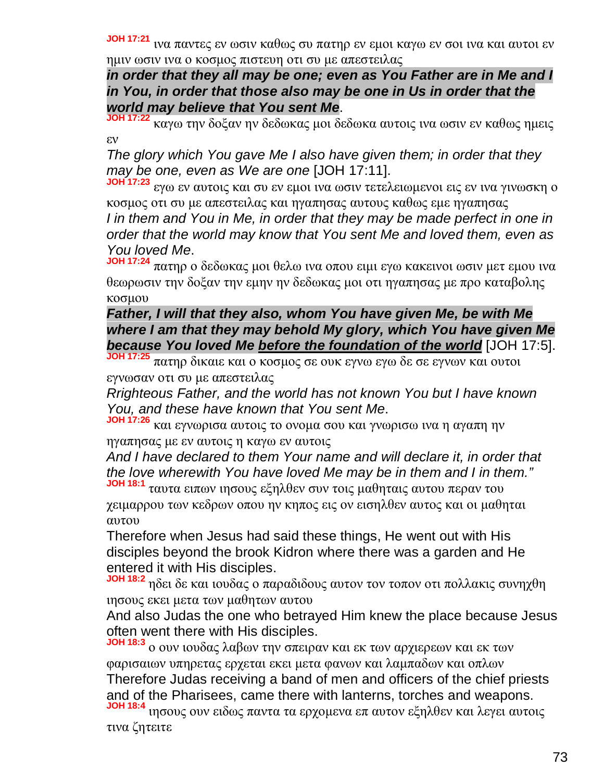**JOH 17:21** ινα παντες εν ωσιν καθως συ πατηρ εν εμοι καγω εν σοι ινα και αυτοι εν ημιν ωσιν ινα ο κοσμος πιστευη οτι συ με απεστειλας

*in order that they all may be one; even as You Father are in Me and I in You, in order that those also may be one in Us in order that the world may believe that You sent Me*.

**JOH 17:22** καγω την δοξαν ην δεδωκας μοι δεδωκα αυτοις ινα ωσιν εν καθως ημεις εν

*The glory which You gave Me I also have given them; in order that they may be one, even as We are one* [JOH 17:11].

**JOH 17:23** εγω εν αυτοις και συ εν εμοι ινα ωσιν τετελειωμενοι εις εν ινα γινωσκη ο κοσμος οτι συ με απεστειλας και ηγαπησας αυτους καθως εμε ηγαπησας *I in them and You in Me, in order that they may be made perfect in one in order that the world may know that You sent Me and loved them, even as You loved Me*.

**JOH 17:24** πατηρ ο δεδωκας μοι θελω ινα οπου ειμι εγω κακεινοι ωσιν μετ εμου ινα θεωρωσιν την δοξαν την εμην ην δεδωκας μοι οτι ηγαπησας με προ καταβολης κοσμου

*Father, I will that they also, whom You have given Me, be with Me where I am that they may behold My glory, which You have given Me because You loved Me before the foundation of the world* [JOH 17:5].

**JOH 17:25** πατηρ δικαιε και ο κοσμος σε ουκ εγνω εγω δε σε εγνων και ουτοι εγνωσαν οτι συ με απεστειλας

*Rrighteous Father, and the world has not known You but I have known You, and these have known that You sent Me*.

**JOH 17:26** και εγνωρισα αυτοις το ονομα σου και γνωρισω ινα η αγαπη ην ηγαπησας με εν αυτοις η καγω εν αυτοις

*And I have declared to them Your name and will declare it, in order that the love wherewith You have loved Me may be in them and I in them."*

**JOH 18:1** ταυτα ειπων ιησους εξηλθεν συν τοις μαθηταις αυτου περαν του χειμαρρου των κεδρων οπου ην κηπος εις ον εισηλθεν αυτος και οι μαθηται αυτου

Therefore when Jesus had said these things, He went out with His disciples beyond the brook Kidron where there was a garden and He entered it with His disciples.

**JOH 18:2** ηδει δε και ιουδας ο παραδιδους αυτον τον τοπον οτι πολλακις συνηχθη ιησους εκει μετα των μαθητων αυτου

And also Judas the one who betrayed Him knew the place because Jesus often went there with His disciples.

**JOH 18:3** ο ουν ιουδας λαβων την σπειραν και εκ των αρχιερεων και εκ των φαρισαιων υπηρετας ερχεται εκει μετα φανων και λαμπαδων και οπλων Therefore Judas receiving a band of men and officers of the chief priests and of the Pharisees, came there with lanterns, torches and weapons. **JOH 18:4** ιησους ουν ειδως παντα τα ερχομενα επ αυτον εξηλθεν και λεγει αυτοις

τινα ζητειτε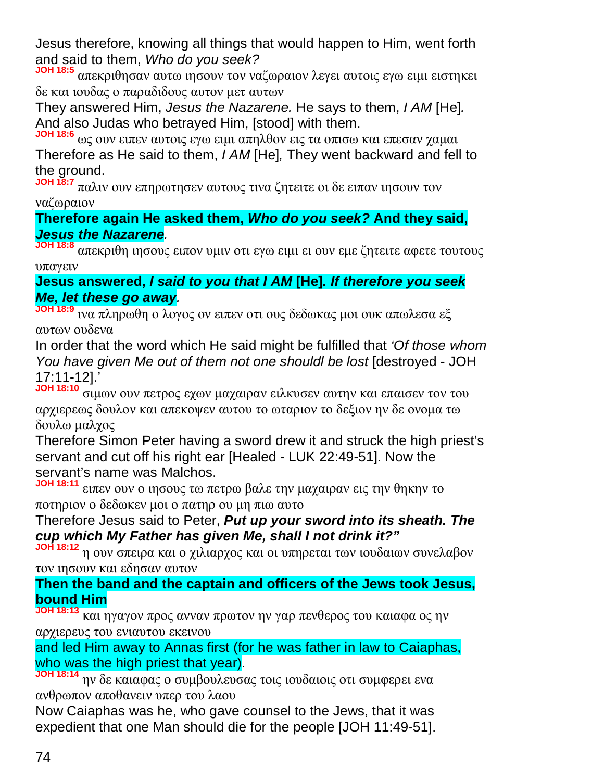Jesus therefore, knowing all things that would happen to Him, went forth and said to them, *Who do you seek?*

**JOH 18:5** απεκριθησαν αυτω ιησουν τον ναζωραιον λεγει αυτοις εγω ειμι ειστηκει δε και ιουδας ο παραδιδους αυτον μετ αυτων

They answered Him, *Jesus the Nazarene.* He says to them, *I AM* [He]*.* And also Judas who betrayed Him, [stood] with them.

**JOH 18:6** ως ουν ειπεν αυτοις εγω ειμι απηλθον εις τα οπισω και επεσαν χαμαι Therefore as He said to them, *I AM* [He]*,* They went backward and fell to the ground.

**JOH 18:7** παλιν ουν επηρωτησεν αυτους τινα ζητειτε οι δε ειπαν ιησουν τον ναζωραιον

### **Therefore again He asked them,** *Who do you seek?* **And they said,** *Jesus the Nazarene.*

**JOH 18:8** απεκριθη ιησους ειπον υμιν οτι εγω ειμι ει ουν εμε ζητειτε αφετε τουτους υπαγειν

## **Jesus answered,** *I said to you that I AM* **[He]***. If therefore you seek Me, let these go away.*

**JOH 18:9** ινα πληρωθη ο λογος ον ειπεν οτι ους δεδωκας μοι ουκ απωλεσα εξ αυτων ουδενα

In order that the word which He said might be fulfilled that *'Of those whom You have given Me out of them not one shouldl be lost* [destroyed - JOH 17:11-12].'

**JOH 18:10** σιμων ουν πετρος εχων μαχαιραν ειλκυσεν αυτην και επαισεν τον του αρχιερεως δουλον και απεκοψεν αυτου το ωταριον το δεξιον ην δε ονομα τω δουλω μαλχος

Therefore Simon Peter having a sword drew it and struck the high priest's servant and cut off his right ear [Healed - LUK 22:49-51]. Now the servant's name was Malchos.

**JOH 18:11** ειπεν ουν ο ιησους τω πετρω βαλε την μαχαιραν εις την θηκην το ποτηριον ο δεδωκεν μοι ο πατηρ ου μη πιω αυτο

### Therefore Jesus said to Peter, *Put up your sword into its sheath. The cup which My Father has given Me, shall I not drink it?"*

**JOH 18:12** η ουν σπειρα και ο χιλιαρχος και οι υπηρεται των ιουδαιων συνελαβον τον ιησουν και εδησαν αυτον

## **Then the band and the captain and officers of the Jews took Jesus, bound Him**

**JOH 18:13** και ηγαγον προς ανναν πρωτον ην γαρ πενθερος του καιαφα ος ην αρχιερευς του ενιαυτου εκεινου

and led Him away to Annas first (for he was father in law to Caiaphas, who was the high priest that year).

**JOH 18:14** ην δε καιαφας ο συμβουλευσας τοις ιουδαιοις οτι συμφερει ενα ανθρωπον αποθανειν υπερ του λαου

Now Caiaphas was he, who gave counsel to the Jews, that it was expedient that one Man should die for the people [JOH 11:49-51].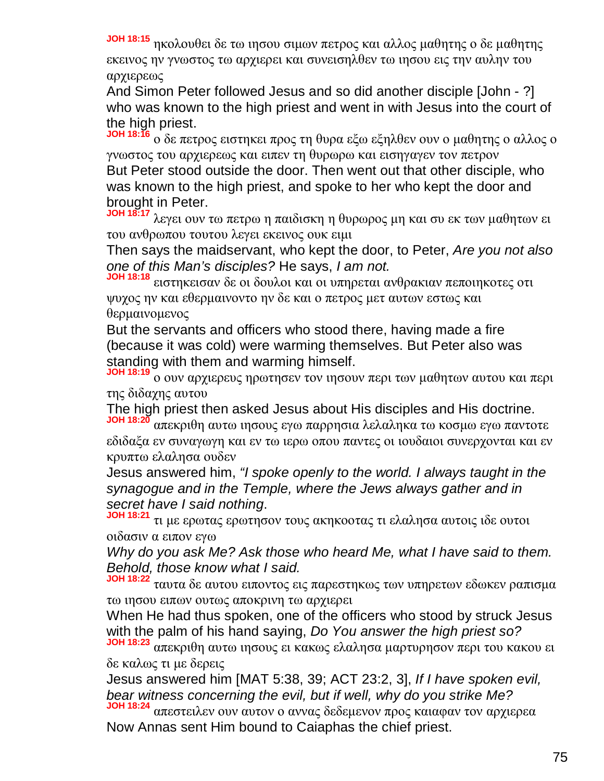**JOH 18:15** ηκολουθει δε τω ιησου σιμων πετρος και αλλος μαθητης ο δε μαθητης εκεινος ην γνωστος τω αρχιερει και συνεισηλθεν τω ιησου εις την αυλην του αρχιερεως

And Simon Peter followed Jesus and so did another disciple [John - ?] who was known to the high priest and went in with Jesus into the court of the high priest.

**JOH 18:16** ο δε πετρος ειστηκει προς τη θυρα εξω εξηλθεν ουν ο μαθητης ο αλλος ο γνωστος του αρχιερεως και ειπεν τη θυρωρω και εισηγαγεν τον πετρον But Peter stood outside the door. Then went out that other disciple, who was known to the high priest, and spoke to her who kept the door and brought in Peter.

**JOH 18:17** λεγει ουν τω πετρω η παιδισκη η θυρωρος μη και συ εκ των μαθητων ει του ανθρωπου τουτου λεγει εκεινος ουκ ειμι

Then says the maidservant, who kept the door, to Peter, *Are you not also one of this Man's disciples?* He says, *I am not.*

**JOH 18:18** ειστηκεισαν δε οι δουλοι και οι υπηρεται ανθρακιαν πεποιηκοτες οτι ψυχος ην και εθερμαινοντο ην δε και ο πετρος μετ αυτων εστως και θερμαινομενος

But the servants and officers who stood there, having made a fire (because it was cold) were warming themselves. But Peter also was standing with them and warming himself.

**JOH 18:19** ο ουν αρχιερευς ηρωτησεν τον ιησουν περι των μαθητων αυτου και περι της διδαχης αυτου

The high priest then asked Jesus about His disciples and His doctrine.

**JOH 18:20** απεκριθη αυτω ιησους εγω παρρησια λελαληκα τω κοσμω εγω παντοτε εδιδαξα εν συναγωγη και εν τω ιερω οπου παντες οι ιουδαιοι συνερχονται και εν κρυπτω ελαλησα ουδεν

Jesus answered him, *"I spoke openly to the world. I always taught in the synagogue and in the Temple, where the Jews always gather and in secret have I said nothing*.

**JOH 18:21** τι με ερωτας ερωτησον τους ακηκοοτας τι ελαλησα αυτοις ιδε ουτοι οιδασιν α ειπον εγω

*Why do you ask Me? Ask those who heard Me, what I have said to them. Behold, those know what I said.*

**JOH 18:22** ταυτα δε αυτου ειποντος εις παρεστηκως των υπηρετων εδωκεν ραπισμα τω ιησου ειπων ουτως αποκρινη τω αρχιερει

When He had thus spoken, one of the officers who stood by struck Jesus with the palm of his hand saying, *Do You answer the high priest so?*

**JOH 18:23** απεκριθη αυτω ιησους ει κακως ελαλησα μαρτυρησον περι του κακου ει δε καλως τι με δερεις

Jesus answered him [MAT 5:38, 39; ACT 23:2, 3], *If I have spoken evil, bear witness concerning the evil, but if well, why do you strike Me?* **JOH 18:24** απεστειλεν ουν αυτον ο αννας δεδεμενον προς καιαφαν τον αρχιερεα

Now Annas sent Him bound to Caiaphas the chief priest.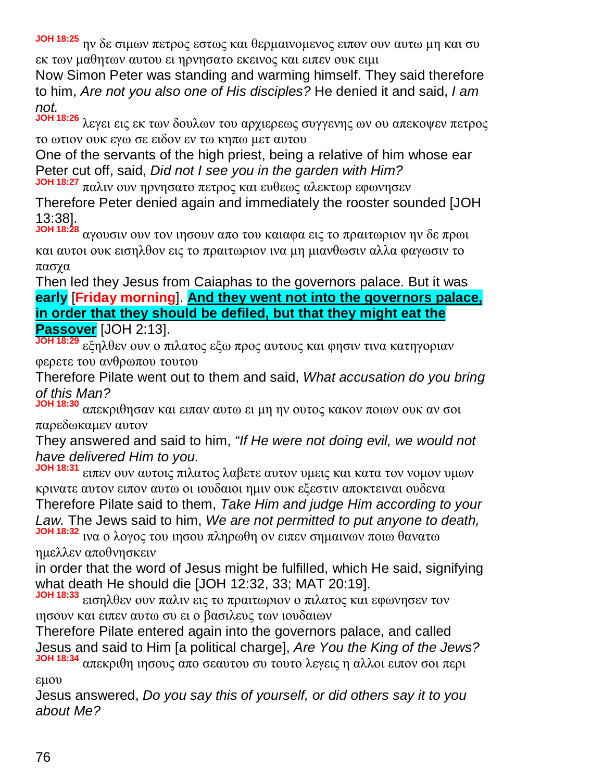**JOH 18:25** ην δε σιμων πετρος εστως και θερμαινομενος ειπον ουν αυτω μη και συ εκ των μαθητων αυτου ει ηρνησατο εκεινος και ειπεν ουκ ειμι

Now Simon Peter was standing and warming himself. They said therefore to him, *Are not you also one of His disciples?* He denied it and said, *I am not.*

**JOH 18:26** λεγει εις εκ των δουλων του αρχιερεως συγγενης ων ου απεκοψεν πετρος το ωτιον ουκ εγω σε ειδον εν τω κηπω μετ αυτου

One of the servants of the high priest, being a relative of him whose ear Peter cut off, said, *Did not I see you in the garden with Him?*

**JOH 18:27** παλιν ουν ηρνησατο πετρος και ευθεως αλεκτωρ εφωνησεν Therefore Peter denied again and immediately the rooster sounded [JOH 13:38].

**JOH 18:28** αγουσιν ουν τον ιησουν απο του καιαφα εις το πραιτωριον ην δε πρωι και αυτοι ουκ εισηλθον εις το πραιτωριον ινα μη μιανθωσιν αλλα φαγωσιν το πασχα

Then led they Jesus from Caiaphas to the governors palace. But it was **early** [**Friday morning**]. **And they went not into the governors palace, in order that they should be defiled, but that they might eat the Passover** [JOH 2:13].

**JOH 18:29** εξηλθεν ουν ο πιλατος εξω προς αυτους και φησιν τινα κατηγοριαν φερετε του ανθρωπου τουτου

Therefore Pilate went out to them and said, *What accusation do you bring of this Man?*

**JOH 18:30** απεκριθησαν και ειπαν αυτω ει μη ην ουτος κακον ποιων ουκ αν σοι παρεδωκαμεν αυτον

They answered and said to him, *"If He were not doing evil, we would not have delivered Him to you.*

**JOH 18:31** ειπεν ουν αυτοις πιλατος λαβετε αυτον υμεις και κατα τον νομον υμων κρινατε αυτον ειπον αυτω οι ιουδαιοι ημιν ουκ εξεστιν αποκτειναι ουδενα Therefore Pilate said to them, *Take Him and judge Him according to your Law.* The Jews said to him, *We are not permitted to put anyone to death,* **JOH 18:32** ινα ο λογος του ιησου πληρωθη ον ειπεν σημαινων ποιω θανατω

ημελλεν αποθνησκειν

in order that the word of Jesus might be fulfilled, which He said, signifying what death He should die [JOH 12:32, 33; MAT 20:19].

**JOH 18:33** εισηλθεν ουν παλιν εις το πραιτωριον ο πιλατος και εφωνησεν τον ιησουν και ειπεν αυτω συ ει ο βασιλευς των ιουδαιων

Therefore Pilate entered again into the governors palace, and called Jesus and said to Him [a political charge], *Are You the King of the Jews?* **JOH 18:34** απεκριθη ιησους απο σεαυτου συ τουτο λεγεις η αλλοι ειπον σοι περι

εμου

Jesus answered, *Do you say this of yourself, or did others say it to you about Me?*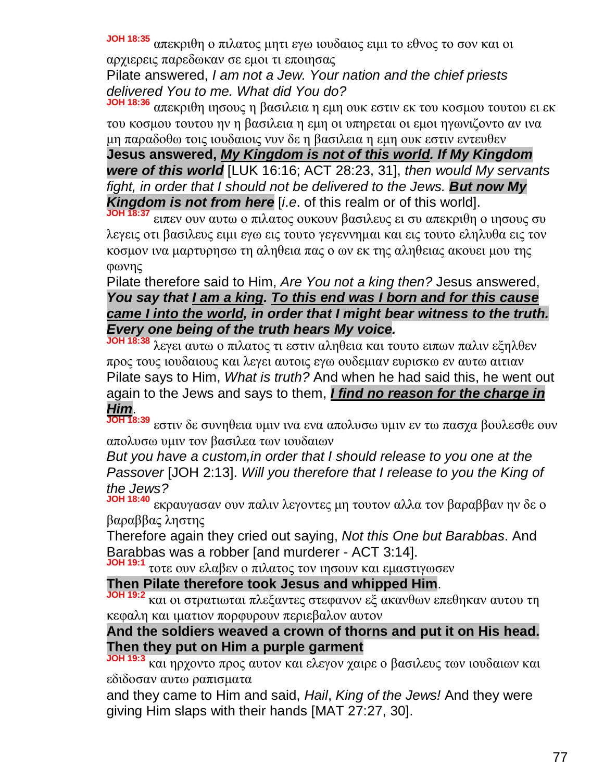**JOH 18:35** απεκριθη ο πιλατος μητι εγω ιουδαιος ειμι το εθνος το σον και οι αρχιερεις παρεδωκαν σε εμοι τι εποιησας

Pilate answered, *I am not a Jew. Your nation and the chief priests delivered You to me. What did You do?*

**JOH 18:36** απεκριθη ιησους η βασιλεια η εμη ουκ εστιν εκ του κοσμου τουτου ει εκ του κοσμου τουτου ην η βασιλεια η εμη οι υπηρεται οι εμοι ηγωνιζοντο αν ινα μη παραδοθω τοις ιουδαιοις νυν δε η βασιλεια η εμη ουκ εστιν εντευθεν

**Jesus answered,** *My Kingdom is not of this world. If My Kingdom were of this world* [LUK 16:16; ACT 28:23, 31], *then would My servants fight, in order that I should not be delivered to the Jews. But now My Kingdom is not from here* [*i*.*e*. of this realm or of this world].

**JOH 18:37** ειπεν ουν αυτω ο πιλατος ουκουν βασιλευς ει συ απεκριθη ο ιησους συ λεγεις οτι βασιλευς ειμι εγω εις τουτο γεγεννημαι και εις τουτο εληλυθα εις τον κοσμον ινα μαρτυρησω τη αληθεια πας ο ων εκ της αληθειας ακουει μου της φωνης

### Pilate therefore said to Him, *Are You not a king then?* Jesus answered, *You say that I am a king. To this end was I born and for this cause came I into the world, in order that I might bear witness to the truth. Every one being of the truth hears My voice.*

**JOH 18:38** λεγει αυτω ο πιλατος τι εστιν αληθεια και τουτο ειπων παλιν εξηλθεν προς τους ιουδαιους και λεγει αυτοις εγω ουδεμιαν ευρισκω εν αυτω αιτιαν Pilate says to Him, *What is truth?* And when he had said this, he went out again to the Jews and says to them, *I find no reason for the charge in Him*.

**JOH 18:39** εστιν δε συνηθεια υμιν ινα ενα απολυσω υμιν εν τω πασχα βουλεσθε ουν απολυσω υμιν τον βασιλεα των ιουδαιων

*But you have a custom,in order that I should release to you one at the Passover* [JOH 2:13]. *Will you therefore that I release to you the King of the Jews?*

**JOH 18:40** εκραυγασαν ουν παλιν λεγοντες μη τουτον αλλα τον βαραββαν ην δε ο βαραββας ληστης

Therefore again they cried out saying, *Not this One but Barabbas*. And Barabbas was a robber [and murderer - ACT 3:14].

**JOH 19:1** τοτε ουν ελαβεν ο πιλατος τον ιησουν και εμαστιγωσεν

**Then Pilate therefore took Jesus and whipped Him**.

**JOH 19:2** και οι στρατιωται πλεξαντες στεφανον εξ ακανθων επεθηκαν αυτου τη κεφαλη και ιματιον πορφυρουν περιεβαλον αυτον

## **And the soldiers weaved a crown of thorns and put it on His head. Then they put on Him a purple garment**

**JOH 19:3** και ηρχοντο προς αυτον και ελεγον χαιρε ο βασιλευς των ιουδαιων και εδιδοσαν αυτω ραπισματα

and they came to Him and said, *Hail*, *King of the Jews!* And they were giving Him slaps with their hands [MAT 27:27, 30].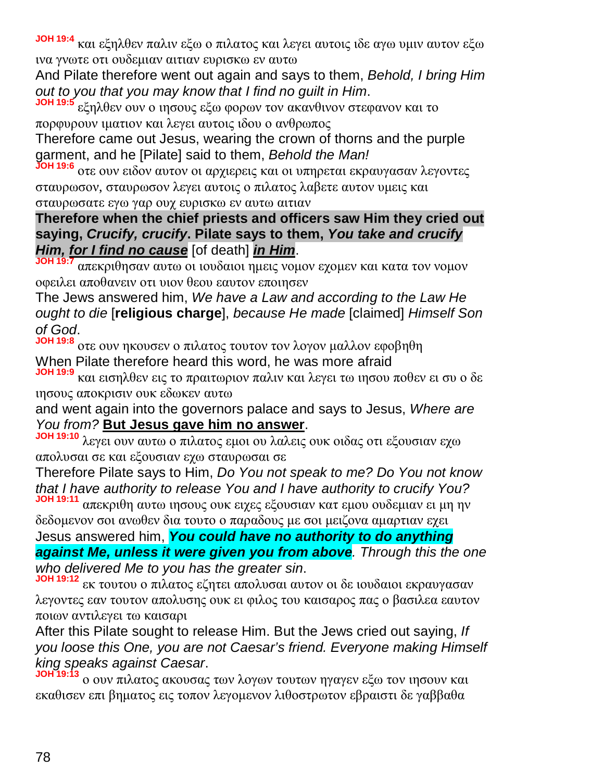**JOH 19:4** και εξηλθεν παλιν εξω ο πιλατος και λεγει αυτοις ιδε αγω υμιν αυτον εξω ινα γνωτε οτι ουδεμιαν αιτιαν ευρισκω εν αυτω

And Pilate therefore went out again and says to them, *Behold, I bring Him out to you that you may know that I find no guilt in Him*.

**JOH 19:5** εξηλθεν ουν ο ιησους εξω φορων τον ακανθινον στεφανον και το πορφυρουν ιματιον και λεγει αυτοις ιδου ο ανθρωπος

Therefore came out Jesus, wearing the crown of thorns and the purple garment, and he [Pilate] said to them, *Behold the Man!*

**JOH 19:6** οτε ουν ειδον αυτον οι αρχιερεις και οι υπηρεται εκραυγασαν λεγοντες σταυρωσον, σταυρωσον λεγει αυτοις ο πιλατος λαβετε αυτον υμεις και σταυρωσατε εγω γαρ ουχ ευρισκω εν αυτω αιτιαν

**Therefore when the chief priests and officers saw Him they cried out saying,** *Crucify, crucify***. Pilate says to them,** *You take and crucify Him, for I find no cause* [of death] *in Him*.

**JOH 19:7** απεκριθησαν αυτω οι ιουδαιοι ημεις νομον εχομεν και κατα τον νομον οφειλει αποθανειν οτι υιον θεου εαυτον εποιησεν

The Jews answered him, *We have a Law and according to the Law He ought to die* [**religious charge**], *because He made* [claimed] *Himself Son of God*.

**JOH 19:8** οτε ουν ηκουσεν ο πιλατος τουτον τον λογον μαλλον εφοβηθη When Pilate therefore heard this word, he was more afraid

**JOH 19:9** και εισηλθεν εις το πραιτωριον παλιν και λεγει τω ιησου ποθεν ει συ ο δε ιησους αποκρισιν ουκ εδωκεν αυτω

and went again into the governors palace and says to Jesus, *Where are You from?* **But Jesus gave him no answer**.

**JOH 19:10** λεγει ουν αυτω ο πιλατος εμοι ου λαλεις ουκ οιδας οτι εξουσιαν εχω απολυσαι σε και εξουσιαν εχω σταυρωσαι σε

Therefore Pilate says to Him, *Do You not speak to me? Do You not know that I have authority to release You and I have authority to crucify You?* **JOH 19:11**

απεκριθη αυτω ιησους ουκ ειχες εξουσιαν κατ εμου ουδεμιαν ει μη ην δεδομενον σοι ανωθεν δια τουτο ο παραδους με σοι μειζονα αμαρτιαν εχει Jesus answered him, *You could have no authority to do anything*

*against Me, unless it were given you from above. Through this the one who delivered Me to you has the greater sin*.

**JOH 19:12** εκ τουτου ο πιλατος εζητει απολυσαι αυτον οι δε ιουδαιοι εκραυγασαν λεγοντες εαν τουτον απολυσης ουκ ει φιλος του καισαρος πας ο βασιλεα εαυτον ποιων αντιλεγει τω καισαρι

After this Pilate sought to release Him. But the Jews cried out saying, *If you loose this One, you are not Caesar's friend. Everyone making Himself king speaks against Caesar*.

**JOH 19:13** ο ουν πιλατος ακουσας των λογων τουτων ηγαγεν εξω τον ιησουν και εκαθισεν επι βηματος εις τοπον λεγομενον λιθοστρωτον εβραιστι δε γαββαθα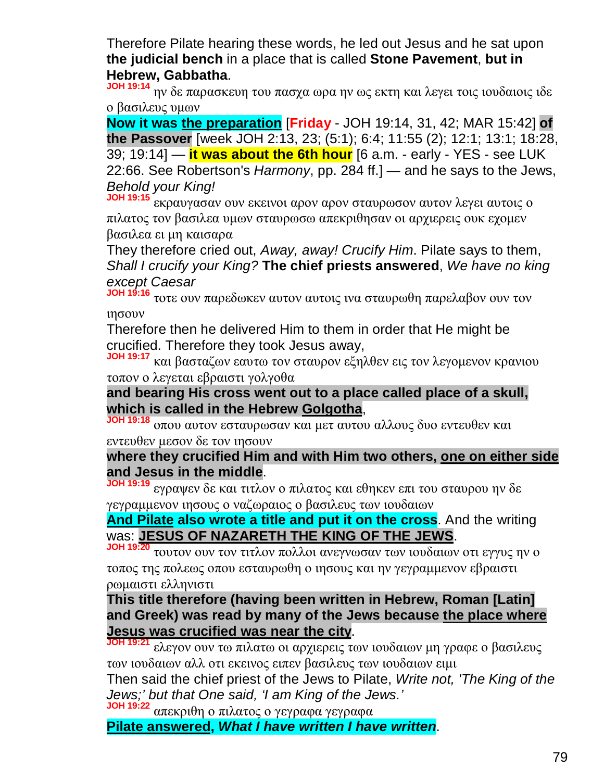Therefore Pilate hearing these words, he led out Jesus and he sat upon **the judicial bench** in a place that is called **Stone Pavement**, **but in Hebrew, Gabbatha**.

**JOH 19:14** ην δε παρασκευη του πασχα ωρα ην ως εκτη και λεγει τοις ιουδαιοις ιδε ο βασιλευς υμων

**Now it was the preparation** [**Friday** - JOH 19:14, 31, 42; MAR 15:42] **of the Passover** [week JOH 2:13, 23; (5:1); 6:4; 11:55 (2); 12:1; 13:1; 18:28, 39; 19:14] — **it was about the 6th hour** [6 a.m. - early - YES - see LUK 22:66. See Robertson's *Harmony*, pp. 284 ff.] — and he says to the Jews, *Behold your King!*

**JOH 19:15** εκραυγασαν ουν εκεινοι αρον αρον σταυρωσον αυτον λεγει αυτοις ο πιλατος τον βασιλεα υμων σταυρωσω απεκριθησαν οι αρχιερεις ουκ εχομεν βασιλεα ει μη καισαρα

They therefore cried out, *Away, away! Crucify Him*. Pilate says to them, *Shall I crucify your King?* **The chief priests answered**, *We have no king except Caesar*

**JOH 19:16** τοτε ουν παρεδωκεν αυτον αυτοις ινα σταυρωθη παρελαβον ουν τον ιησουν

Therefore then he delivered Him to them in order that He might be crucified. Therefore they took Jesus away,

**JOH 19:17** και βασταζων εαυτω τον σταυρον εξηλθεν εις τον λεγομενον κρανιου τοπον ο λεγεται εβραιστι γολγοθα

**and bearing His cross went out to a place called place of a skull, which is called in the Hebrew Golgotha**,

**JOH 19:18** οπου αυτον εσταυρωσαν και μετ αυτου αλλους δυο εντευθεν και εντευθεν μεσον δε τον ιησουν

## **where they crucified Him and with Him two others, one on either side and Jesus in the middle**.

**JOH 19:19** εγραψεν δε και τιτλον ο πιλατος και εθηκεν επι του σταυρου ην δε γεγραμμενον ιησους ο ναζωραιος ο βασιλευς των ιουδαιων

**And Pilate also wrote a title and put it on the cross**. And the writing was: **JESUS OF NAZARETH THE KING OF THE JEWS**.

**JOH 19:20** τουτον ουν τον τιτλον πολλοι ανεγνωσαν των ιουδαιων οτι εγγυς ην ο τοπος της πολεως οπου εσταυρωθη ο ιησους και ην γεγραμμενον εβραιστι ρωμαιστι ελληνιστι

### **This title therefore (having been written in Hebrew, Roman [Latin] and Greek) was read by many of the Jews because the place where Jesus was crucified was near the city**.

**JOH 19:21** ελεγον ουν τω πιλατω οι αρχιερεις των ιουδαιων μη γραφε ο βασιλευς των ιουδαιων αλλ οτι εκεινος ειπεν βασιλευς των ιουδαιων ειμι

Then said the chief priest of the Jews to Pilate, *Write not, 'The King of the Jews;' but that One said, 'I am King of the Jews.'*

**JOH 19:22** απεκριθη ο πιλατος ο γεγραφα γεγραφα

**Pilate answered,** *What I have written I have written*.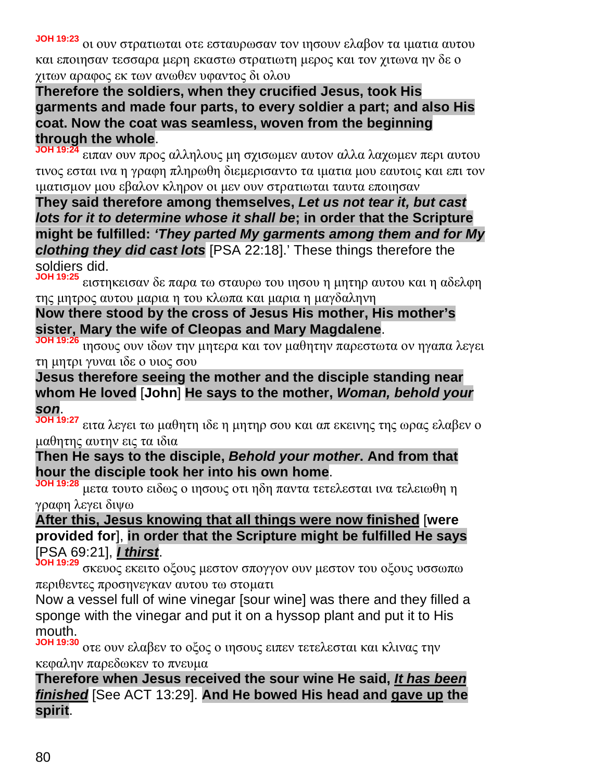**JOH 19:23** οι ουν στρατιωται οτε εσταυρωσαν τον ιησουν ελαβον τα ιματια αυτου και εποιησαν τεσσαρα μερη εκαστω στρατιωτη μερος και τον χιτωνα ην δε ο χιτων αραφος εκ των ανωθεν υφαντος δι ολου

### **Therefore the soldiers, when they crucified Jesus, took His garments and made four parts, to every soldier a part; and also His coat. Now the coat was seamless, woven from the beginning through the whole**.

**JOH 19:24** ειπαν ουν προς αλληλους μη σχισωμεν αυτον αλλα λαχωμεν περι αυτου τινος εσται ινα η γραφη πληρωθη διεμερισαντο τα ιματια μου εαυτοις και επι τον ιματισμον μου εβαλον κληρον οι μεν ουν στρατιωται ταυτα εποιησαν

**They said therefore among themselves,** *Let us not tear it, but cast lots for it to determine whose it shall be***; in order that the Scripture might be fulfilled:** *'They parted My garments among them and for My clothing they did cast lots* [PSA 22:18].' These things therefore the soldiers did.

**JOH 19:25** ειστηκεισαν δε παρα τω σταυρω του ιησου η μητηρ αυτου και η αδελφη της μητρος αυτου μαρια η του κλωπα και μαρια η μαγδαληνη

# **Now there stood by the cross of Jesus His mother, His mother's sister, Mary the wife of Cleopas and Mary Magdalene**.

**JOH 19:26** ιησους ουν ιδων την μητερα και τον μαθητην παρεστωτα ον ηγαπα λεγει τη μητρι γυναι ιδε ο υιος σου

**Jesus therefore seeing the mother and the disciple standing near whom He loved** [**John**] **He says to the mother,** *Woman, behold your son*.

**JOH 19:27** ειτα λεγει τω μαθητη ιδε η μητηρ σου και απ εκεινης της ωρας ελαβεν ο μαθητης αυτην εις τα ιδια

## **Then He says to the disciple,** *Behold your mother***. And from that hour the disciple took her into his own home**.

**JOH 19:28** μετα τουτο ειδως ο ιησους οτι ηδη παντα τετελεσται ινα τελειωθη η γραφη λεγει διψω

# **After this, Jesus knowing that all things were now finished** [**were provided for**], **in order that the Scripture might be fulfilled He says** [PSA 69:21], *I thirst*.

**JOH 19:29** σκευος εκειτο οξους μεστον σπογγον ουν μεστον του οξους υσσωπω περιθεντες προσηνεγκαν αυτου τω στοματι

Now a vessel full of wine vinegar [sour wine] was there and they filled a sponge with the vinegar and put it on a hyssop plant and put it to His mouth.

**JOH 19:30** οτε ουν ελαβεν το οξος ο ιησους ειπεν τετελεσται και κλινας την κεφαλην παρεδωκεν το πνευμα

**Therefore when Jesus received the sour wine He said,** *It has been finished* [See ACT 13:29]. **And He bowed His head and gave up the spirit**.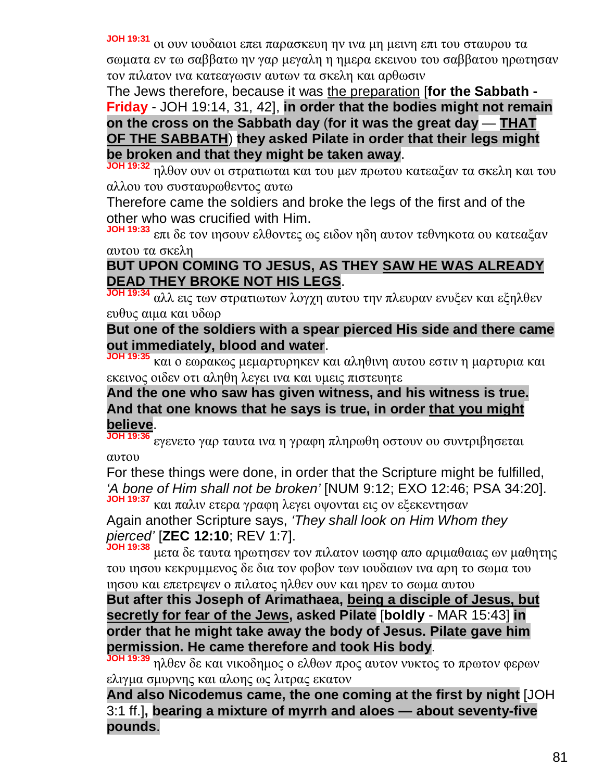**JOH 19:31** οι ουν ιουδαιοι επει παρασκευη ην ινα μη μεινη επι του σταυρου τα σωματα εν τω σαββατω ην γαρ μεγαλη η ημερα εκεινου του σαββατου ηρωτησαν τον πιλατον ινα κατεαγωσιν αυτων τα σκελη και αρθωσιν

The Jews therefore, because it was the preparation [**for the Sabbath - Friday** - JOH 19:14, 31, 42], **in order that the bodies might not remain on the cross on the Sabbath day** (**for it was the great day** — **THAT OF THE SABBATH**) **they asked Pilate in order that their legs might be broken and that they might be taken away**.

**JOH 19:32** ηλθον ουν οι στρατιωται και του μεν πρωτου κατεαξαν τα σκελη και του αλλου του συσταυρωθεντος αυτω

Therefore came the soldiers and broke the legs of the first and of the other who was crucified with Him.

**JOH 19:33** επι δε τον ιησουν ελθοντες ως ειδον ηδη αυτον τεθνηκοτα ου κατεαξαν αυτου τα σκελη

# **BUT UPON COMING TO JESUS, AS THEY SAW HE WAS ALREADY DEAD THEY BROKE NOT HIS LEGS**.

**JOH 19:34** αλλ εις των στρατιωτων λογχη αυτου την πλευραν ενυξεν και εξηλθεν ευθυς αιμα και υδωρ

**But one of the soldiers with a spear pierced His side and there came out immediately, blood and water**.

**JOH 19:35** και ο εωρακως μεμαρτυρηκεν και αληθινη αυτου εστιν η μαρτυρια και εκεινος οιδεν οτι αληθη λεγει ινα και υμεις πιστευητε

### **And the one who saw has given witness, and his witness is true. And that one knows that he says is true, in order that you might believe**.

**JOH 19:36** εγενετο γαρ ταυτα ινα η γραφη πληρωθη οστουν ου συντριβησεται αυτου

For these things were done, in order that the Scripture might be fulfilled, *'A bone of Him shall not be broken'* [NUM 9:12; EXO 12:46; PSA 34:20]. **JOH 19:37** και παλιν ετερα γραφη λεγει οψονται εις ον εξεκεντησαν

Again another Scripture says, *'They shall look on Him Whom they pierced'* [**ZEC 12:10**; REV 1:7].

**JOH 19:38** μετα δε ταυτα ηρωτησεν τον πιλατον ιωσηφ απο αριμαθαιας ων μαθητης του ιησου κεκρυμμενος δε δια τον φοβον των ιουδαιων ινα αρη το σωμα του ιησου και επετρεψεν ο πιλατος ηλθεν ουν και ηρεν το σωμα αυτου

**But after this Joseph of Arimathaea, being a disciple of Jesus, but secretly for fear of the Jews, asked Pilate** [**boldly** - MAR 15:43] **in order that he might take away the body of Jesus. Pilate gave him permission. He came therefore and took His body**.

**JOH 19:39** ηλθεν δε και νικοδημος ο ελθων προς αυτον νυκτος το πρωτον φερων ελιγμα σμυρνης και αλοης ως λιτρας εκατον

**And also Nicodemus came, the one coming at the first by night** [JOH 3:1 ff.]**, bearing a mixture of myrrh and aloes — about seventy-five pounds**.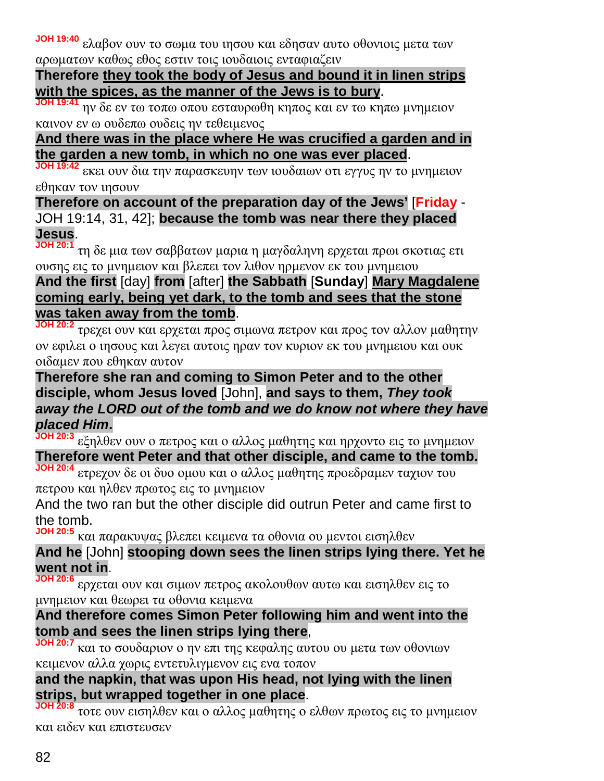**JOH 19:40** ελαβον ουν το σωμα του ιησου και εδησαν αυτο οθονιοις μετα των αρωματων καθως εθος εστιν τοις ιουδαιοις ενταφιαζειν

#### **Therefore they took the body of Jesus and bound it in linen strips with the spices, as the manner of the Jews is to bury**.

**JOH 19:41** ην δε εν τω τοπω οπου εσταυρωθη κηπος και εν τω κηπω μνημειον καινον εν ω ουδεπω ουδεις ην τεθειμενος

### **And there was in the place where He was crucified a garden and in the garden a new tomb, in which no one was ever placed**.

**JOH 19:42** εκει ουν δια την παρασκευην των ιουδαιων οτι εγγυς ην το μνημειον εθηκαν τον ιησουν

**Therefore on account of the preparation day of the Jews'** [**Friday** - JOH 19:14, 31, 42]; **because the tomb was near there they placed Jesus**.

**JOH 20:1** τη δε μια των σαββατων μαρια η μαγδαληνη ερχεται πρωι σκοτιας ετι ουσης εις το μνημειον και βλεπει τον λιθον ηρμενον εκ του μνημειου

# **And the first** [day] **from** [after] **the Sabbath** [**Sunday**] **Mary Magdalene coming early, being yet dark, to the tomb and sees that the stone was taken away from the tomb**.

**JOH 20:2** τρεχει ουν και ερχεται προς σιμωνα πετρον και προς τον αλλον μαθητην ον εφιλει ο ιησους και λεγει αυτοις ηραν τον κυριον εκ του μνημειου και ουκ οιδαμεν που εθηκαν αυτον

### **Therefore she ran and coming to Simon Peter and to the other disciple, whom Jesus loved** [John], **and says to them,** *They took away the LORD out of the tomb and we do know not where they have placed Him***.**

**JOH 20:3** εξηλθεν ουν ο πετρος και ο αλλος μαθητης και ηρχοντο εις το μνημειον **Therefore went Peter and that other disciple, and came to the tomb.**

**JOH 20:4** ετρεχον δε οι δυο ομου και ο αλλος μαθητης προεδραμεν ταχιον του πετρου και ηλθεν πρωτος εις το μνημειον

And the two ran but the other disciple did outrun Peter and came first to the tomb.

**JOH 20:5** και παρακυψας βλεπει κειμενα τα οθονια ου μεντοι εισηλθεν

## **And he** [John] **stooping down sees the linen strips lying there. Yet he went not in**.

**JOH 20:6** ερχεται ουν και σιμων πετρος ακολουθων αυτω και εισηλθεν εις το μνημειον και θεωρει τα οθονια κειμενα

# **And therefore comes Simon Peter following him and went into the tomb and sees the linen strips lying there**,

**JOH 20:7** και το σουδαριον ο ην επι της κεφαλης αυτου ου μετα των οθονιων κειμενον αλλα χωρις εντετυλιγμενον εις ενα τοπον

## **and the napkin, that was upon His head, not lying with the linen strips, but wrapped together in one place**.

**JOH 20:8** τοτε ουν εισηλθεν και ο αλλος μαθητης ο ελθων πρωτος εις το μνημειον και ειδεν και επιστευσεν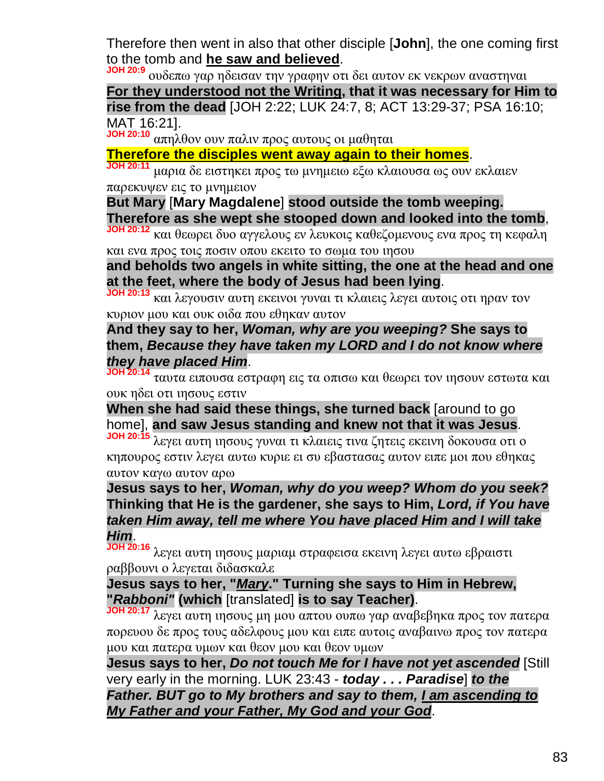Therefore then went in also that other disciple [**John**], the one coming first to the tomb and **he saw and believed**.

**JOH 20:9** ουδεπω γαρ ηδεισαν την γραφην οτι δει αυτον εκ νεκρων αναστηναι **For they understood not the Writing, that it was necessary for Him to rise from the dead** [JOH 2:22; LUK 24:7, 8; ACT 13:29-37; PSA 16:10; MAT 16:21].

**JOH 20:10** απηλθον ουν παλιν προς αυτους οι μαθηται

**Therefore the disciples went away again to their homes**.

**JOH 20:11** μαρια δε ειστηκει προς τω μνημειω εξω κλαιουσα ως ουν εκλαιεν παρεκυψεν εις το μνημειον

**But Mary** [**Mary Magdalene**] **stood outside the tomb weeping. Therefore as she wept she stooped down and looked into the tomb**,

**JOH 20:12** και θεωρει δυο αγγελους εν λευκοις καθεζομενους ενα προς τη κεφαλη και ενα προς τοις ποσιν οπου εκειτο το σωμα του ιησου

**and beholds two angels in white sitting, the one at the head and one at the feet, where the body of Jesus had been lying**.

**JOH 20:13** και λεγουσιν αυτη εκεινοι γυναι τι κλαιεις λεγει αυτοις οτι ηραν τον κυριον μου και ουκ οιδα που εθηκαν αυτον

**And they say to her,** *Woman, why are you weeping?* **She says to them,** *Because they have taken my LORD and I do not know where they have placed Him*.

**JOH 20:14** ταυτα ειπουσα εστραφη εις τα οπισω και θεωρει τον ιησουν εστωτα και ουκ ηδει οτι ιησους εστιν

**When she had said these things, she turned back** [around to go home], **and saw Jesus standing and knew not that it was Jesus**.

**JOH 20:15** λεγει αυτη ιησους γυναι τι κλαιεις τινα ζητεις εκεινη δοκουσα οτι ο κηπουρος εστιν λεγει αυτω κυριε ει συ εβαστασας αυτον ειπε μοι που εθηκας αυτον καγω αυτον αρω

**Jesus says to her,** *Woman, why do you weep? Whom do you seek?* **Thinking that He is the gardener, she says to Him,** *Lord, if You have taken Him away, tell me where You have placed Him and I will take Him*.

**JOH 20:16** λεγει αυτη ιησους μαριαμ στραφεισα εκεινη λεγει αυτω εβραιστι ραββουνι ο λεγεται διδασκαλε

**Jesus says to her, "***Mary***." Turning she says to Him in Hebrew, "***Rabboni"* **(which** [translated] **is to say Teacher)**.

**JOH 20:17** λεγει αυτη ιησους μη μου απτου ουπω γαρ αναβεβηκα προς τον πατερα πορευου δε προς τους αδελφους μου και ειπε αυτοις αναβαινω προς τον πατερα μου και πατερα υμων και θεον μου και θεον υμων

**Jesus says to her,** *Do not touch Me for I have not yet ascended* [Still very early in the morning. LUK 23:43 - *today . . . Paradise*] *to the Father. BUT go to My brothers and say to them, I am ascending to My Father and your Father, My God and your God*.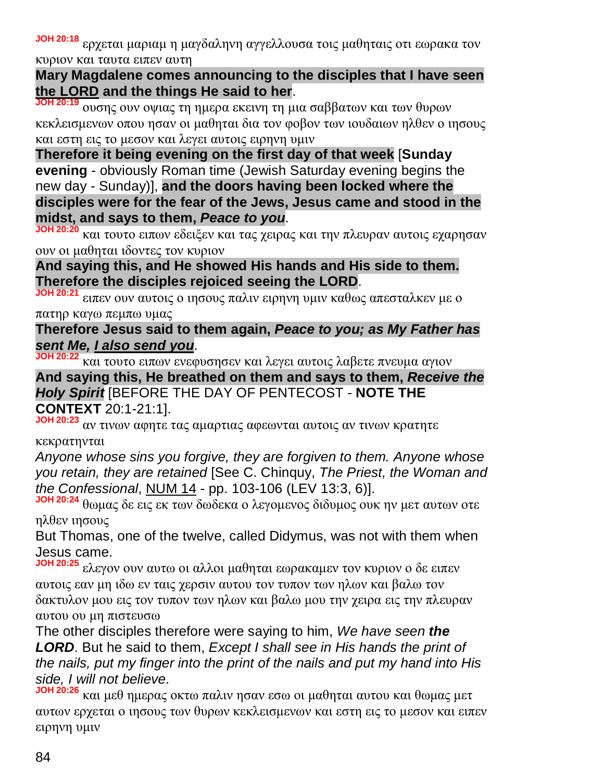**JOH 20:18** ερχεται μαριαμ η μαγδαληνη αγγελλουσα τοις μαθηταις οτι εωρακα τον κυριον και ταυτα ειπεν αυτη

**Mary Magdalene comes announcing to the disciples that I have seen the LORD and the things He said to her**.

**JOH 20:19** ουσης ουν οψιας τη ημερα εκεινη τη μια σαββατων και των θυρων κεκλεισμενων οπου ησαν οι μαθηται δια τον φοβον των ιουδαιων ηλθεν ο ιησους και εστη εις το μεσον και λεγει αυτοις ειρηνη υμιν

**Therefore it being evening on the first day of that week** [**Sunday evening** - obviously Roman time (Jewish Saturday evening begins the new day - Sunday)], **and the doors having been locked where the disciples were for the fear of the Jews, Jesus came and stood in the midst, and says to them,** *Peace to you*.

**JOH 20:20** και τουτο ειπων εδειξεν και τας χειρας και την πλευραν αυτοις εχαρησαν ουν οι μαθηται ιδοντες τον κυριον

### **And saying this, and He showed His hands and His side to them. Therefore the disciples rejoiced seeing the LORD**.

**JOH 20:21** ειπεν ουν αυτοις ο ιησους παλιν ειρηνη υμιν καθως απεσταλκεν με ο πατηρ καγω πεμπω υμας

# **Therefore Jesus said to them again,** *Peace to you; as My Father has sent Me, I also send you*.

**JOH 20:22** και τουτο ειπων ενεφυσησεν και λεγει αυτοις λαβετε πνευμα αγιον

**And saying this, He breathed on them and says to them,** *Receive the Holy Spirit* [BEFORE THE DAY OF PENTECOST - **NOTE THE CONTEXT** 20:1-21:1].

**JOH 20:23** αν τινων αφητε τας αμαρτιας αφεωνται αυτοις αν τινων κρατητε κεκρατηνται

*Anyone whose sins you forgive, they are forgiven to them. Anyone whose you retain, they are retained* [See C. Chinquy, *The Priest, the Woman and the Confessional*, NUM 14 - pp. 103-106 (LEV 13:3, 6)].

**JOH 20:24** θωμας δε εις εκ των δωδεκα ο λεγομενος διδυμος ουκ ην μετ αυτων οτε ηλθεν ιησους

But Thomas, one of the twelve, called Didymus, was not with them when Jesus came.

**JOH 20:25** ελεγον ουν αυτω οι αλλοι μαθηται εωρακαμεν τον κυριον ο δε ειπεν αυτοις εαν μη ιδω εν ταις χερσιν αυτου τον τυπον των ηλων και βαλω τον δακτυλον μου εις τον τυπον των ηλων και βαλω μου την χειρα εις την πλευραν αυτου ου μη πιστευσω

The other disciples therefore were saying to him, *We have seen the LORD*. But he said to them, *Except I shall see in His hands the print of the nails, put my finger into the print of the nails and put my hand into His side, I will not believe*.

**JOH 20:26** και μεθ ημερας οκτω παλιν ησαν εσω οι μαθηται αυτου και θωμας μετ αυτων ερχεται ο ιησους των θυρων κεκλεισμενων και εστη εις το μεσον και ειπεν ειρηνη υμιν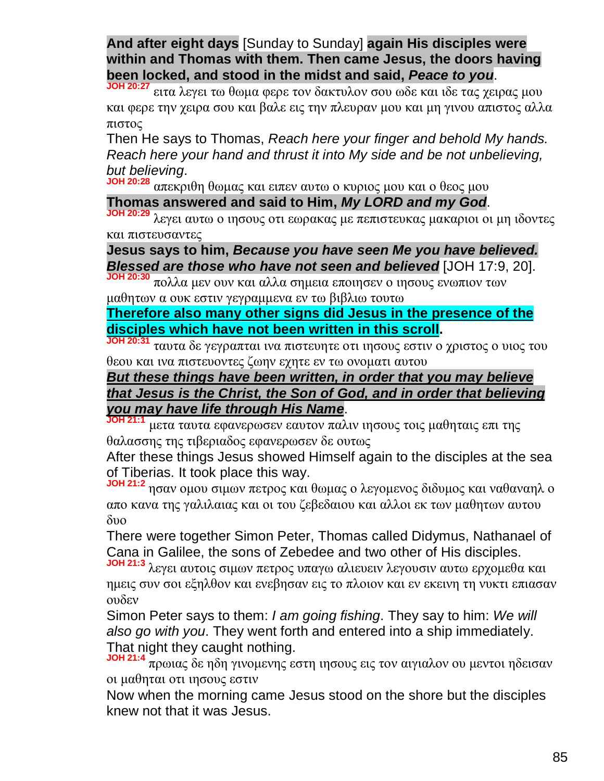**And after eight days** [Sunday to Sunday] **again His disciples were within and Thomas with them. Then came Jesus, the doors having been locked, and stood in the midst and said,** *Peace to you*.

**JOH 20:27** ειτα λεγει τω θωμα φερε τον δακτυλον σου ωδε και ιδε τας χειρας μου και φερε την χειρα σου και βαλε εις την πλευραν μου και μη γινου απιστος αλλα πιστος

Then He says to Thomas, *Reach here your finger and behold My hands. Reach here your hand and thrust it into My side and be not unbelieving, but believing*.

**JOH 20:28** απεκριθη θωμας και ειπεν αυτω ο κυριος μου και ο θεος μου

## **Thomas answered and said to Him,** *My LORD and my God*.

**JOH 20:29** λεγει αυτω ο ιησους οτι εωρακας με πεπιστευκας μακαριοι οι μη ιδοντες και πιστευσαντες

**Jesus says to him,** *Because you have seen Me you have believed. Blessed are those who have not seen and believed* [JOH 17:9, 20].

**JOH 20:30** πολλα μεν ουν και αλλα σημεια εποιησεν ο ιησους ενωπιον των μαθητων α ουκ εστιν γεγραμμενα εν τω βιβλιω τουτω

**Therefore also many other signs did Jesus in the presence of the disciples which have not been written in this scroll.**

**JOH 20:31** ταυτα δε γεγραπται ινα πιστευητε οτι ιησους εστιν ο χριστος ο υιος του θεου και ινα πιστευοντες ζωην εχητε εν τω ονοματι αυτου

### *But these things have been written, in order that you may believe that Jesus is the Christ, the Son of God, and in order that believing you may have life through His Name*.

**JOH 21:1** μετα ταυτα εφανερωσεν εαυτον παλιν ιησους τοις μαθηταις επι της θαλασσης της τιβεριαδος εφανερωσεν δε ουτως

After these things Jesus showed Himself again to the disciples at the sea of Tiberias. It took place this way.

**JOH 21:2** ησαν ομου σιμων πετρος και θωμας ο λεγομενος διδυμος και ναθαναηλ ο απο κανα της γαλιλαιας και οι του ζεβεδαιου και αλλοι εκ των μαθητων αυτου δυο

There were together Simon Peter, Thomas called Didymus, Nathanael of Cana in Galilee, the sons of Zebedee and two other of His disciples.

**JOH 21:3** λεγει αυτοις σιμων πετρος υπαγω αλιευειν λεγουσιν αυτω ερχομεθα και ημεις συν σοι εξηλθον και ενεβησαν εις το πλοιον και εν εκεινη τη νυκτι επιασαν ουδεν

Simon Peter says to them: *I am going fishing*. They say to him: *We will also go with you*. They went forth and entered into a ship immediately. That night they caught nothing.

**JOH 21:4** πρωιας δε ηδη γινομενης εστη ιησους εις τον αιγιαλον ου μεντοι ηδεισαν οι μαθηται οτι ιησους εστιν

Now when the morning came Jesus stood on the shore but the disciples knew not that it was Jesus.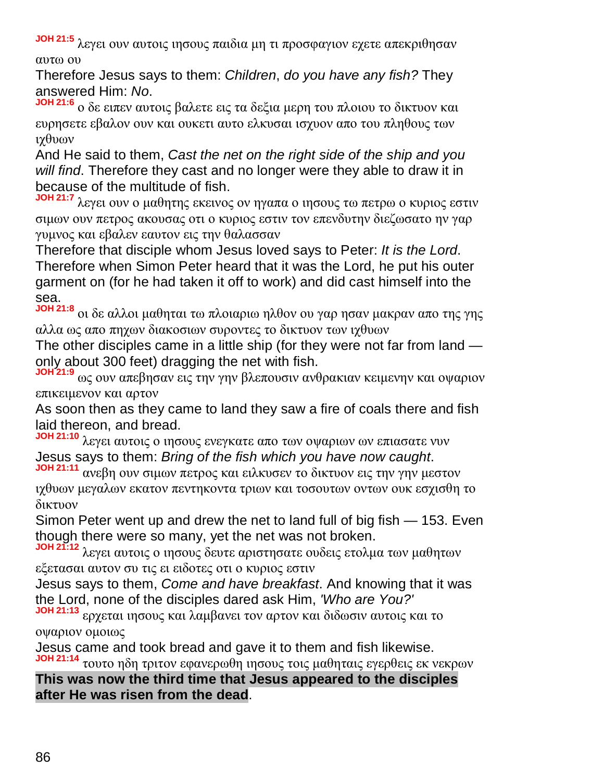**JOH 21:5** λεγει ουν αυτοις ιησους παιδια μη τι προσφαγιον εχετε απεκριθησαν αυτω ου

Therefore Jesus says to them: *Children*, *do you have any fish?* They answered Him: *No*.

**JOH 21:6** ο δε ειπεν αυτοις βαλετε εις τα δεξια μερη του πλοιου το δικτυον και ευρησετε εβαλον ουν και ουκετι αυτο ελκυσαι ισχυον απο του πληθους των ιχθυων

And He said to them, *Cast the net on the right side of the ship and you will find*. Therefore they cast and no longer were they able to draw it in because of the multitude of fish.

**JOH 21:7** λεγει ουν ο μαθητης εκεινος ον ηγαπα ο ιησους τω πετρω ο κυριος εστιν σιμων ουν πετρος ακουσας οτι ο κυριος εστιν τον επενδυτην διεζωσατο ην γαρ γυμνος και εβαλεν εαυτον εις την θαλασσαν

Therefore that disciple whom Jesus loved says to Peter: *It is the Lord*. Therefore when Simon Peter heard that it was the Lord, he put his outer garment on (for he had taken it off to work) and did cast himself into the sea.

**JOH 21:8** οι δε αλλοι μαθηται τω πλοιαριω ηλθον ου γαρ ησαν μακραν απο της γης αλλα ως απο πηχων διακοσιων συροντες το δικτυον των ιχθυων

The other disciples came in a little ship (for they were not far from land only about 300 feet) dragging the net with fish.

**JOH 21:9** ως ουν απεβησαν εις την γην βλεπουσιν ανθρακιαν κειμενην και οψαριον επικειμενον και αρτον

As soon then as they came to land they saw a fire of coals there and fish laid thereon, and bread.

**JOH 21:10** λεγει αυτοις ο ιησους ενεγκατε απο των οψαριων ων επιασατε νυν Jesus says to them: *Bring of the fish which you have now caught*.

**JOH 21:11** ανεβη ουν σιμων πετρος και ειλκυσεν το δικτυον εις την γην μεστον ιχθυων μεγαλων εκατον πεντηκοντα τριων και τοσουτων οντων ουκ εσχισθη το δικτυον

Simon Peter went up and drew the net to land full of big fish — 153. Even though there were so many, yet the net was not broken.

**JOH 21:12** λεγει αυτοις ο ιησους δευτε αριστησατε ουδεις ετολμα των μαθητων εξετασαι αυτον συ τις ει ειδοτες οτι ο κυριος εστιν

Jesus says to them, *Come and have breakfast*. And knowing that it was the Lord, none of the disciples dared ask Him, *'Who are You?'*

**JOH 21:13** ερχεται ιησους και λαμβανει τον αρτον και διδωσιν αυτοις και το οψαριον ομοιως

Jesus came and took bread and gave it to them and fish likewise. **JOH 21:14** τουτο ηδη τριτον εφανερωθη ιησους τοις μαθηταις εγερθεις εκ νεκρων

**This was now the third time that Jesus appeared to the disciples after He was risen from the dead**.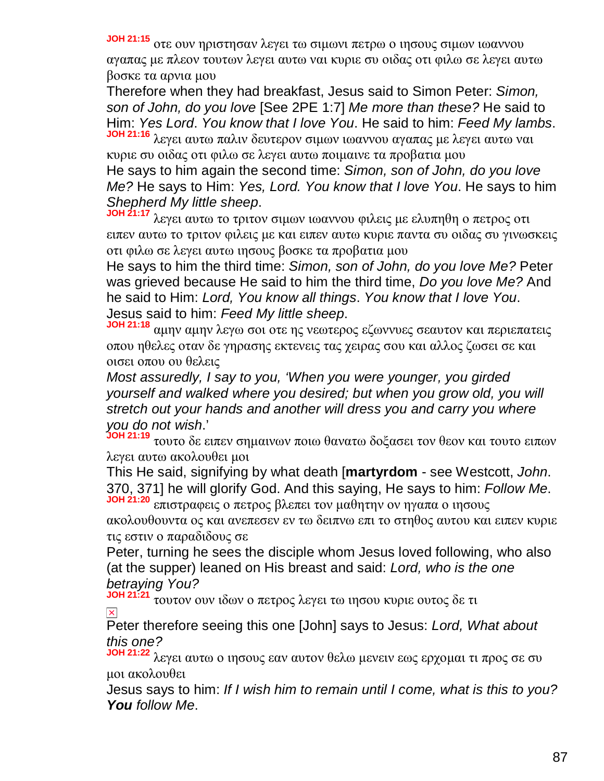**JOH 21:15** οτε ουν ηριστησαν λεγει τω σιμωνι πετρω ο ιησους σιμων ιωαννου αγαπας με πλεον τουτων λεγει αυτω ναι κυριε συ οιδας οτι φιλω σε λεγει αυτω βοσκε τα αρνια μου

Therefore when they had breakfast, Jesus said to Simon Peter: *Simon, son of John, do you love* [See 2PE 1:7] *Me more than these?* He said to Him: *Yes Lord*. *You know that I love You*. He said to him: *Feed My lambs*.

**JOH 21:16** λεγει αυτω παλιν δευτερον σιμων ιωαννου αγαπας με λεγει αυτω ναι κυριε συ οιδας οτι φιλω σε λεγει αυτω ποιμαινε τα προβατια μου

He says to him again the second time: *Simon, son of John, do you love Me?* He says to Him: *Yes, Lord. You know that I love You*. He says to him *Shepherd My little sheep*.

**JOH 21:17** λεγει αυτω το τριτον σιμων ιωαννου φιλεις με ελυπηθη ο πετρος οτι ειπεν αυτω το τριτον φιλεις με και ειπεν αυτω κυριε παντα συ οιδας συ γινωσκεις οτι φιλω σε λεγει αυτω ιησους βοσκε τα προβατια μου

He says to him the third time: *Simon, son of John, do you love Me?* Peter was grieved because He said to him the third time, *Do you love Me?* And he said to Him: *Lord, You know all things*. *You know that I love You*. Jesus said to him: *Feed My little sheep*.

**JOH 21:18** αμην αμην λεγω σοι οτε ης νεωτερος εζωννυες σεαυτον και περιεπατεις οπου ηθελες οταν δε γηρασης εκτενεις τας χειρας σου και αλλος ζωσει σε και οισει οπου ου θελεις

*Most assuredly, I say to you, 'When you were younger, you girded yourself and walked where you desired; but when you grow old, you will stretch out your hands and another will dress you and carry you where you do not wish*.'

**JOH 21:19** τουτο δε ειπεν σημαινων ποιω θανατω δοξασει τον θεον και τουτο ειπων λεγει αυτω ακολουθει μοι

This He said, signifying by what death [**martyrdom** - see Westcott, *John*. 370, 371] he will glorify God. And this saying, He says to him: *Follow Me*. **JOH 21:20** επιστραφεις ο πετρος βλεπει τον μαθητην ον ηγαπα ο ιησους

ακολουθουντα ος και ανεπεσεν εν τω δειπνω επι το στηθος αυτου και ειπεν κυριε τις εστιν ο παραδιδους σε

Peter, turning he sees the disciple whom Jesus loved following, who also (at the supper) leaned on His breast and said: *Lord, who is the one betraying You?*

**JOH 21:21** τουτον ουν ιδων ο πετρος λεγει τω ιησου κυριε ουτος δε τι  $\vert \times \vert$ 

Peter therefore seeing this one [John] says to Jesus: *Lord, What about this one?*

**JOH 21:22** λεγει αυτω ο ιησους εαν αυτον θελω μενειν εως ερχομαι τι προς σε συ μοι ακολουθει

Jesus says to him: *If I wish him to remain until I come, what is this to you? You follow Me*.